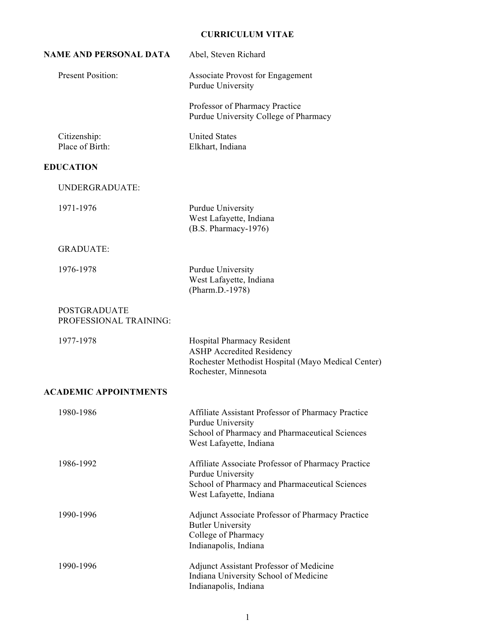# **CURRICULUM VITAE**

| NAME AND PERSONAL DATA                        | Abel, Steven Richard                                                                                                                                 |  |
|-----------------------------------------------|------------------------------------------------------------------------------------------------------------------------------------------------------|--|
| <b>Present Position:</b>                      | <b>Associate Provost for Engagement</b><br>Purdue University                                                                                         |  |
|                                               | Professor of Pharmacy Practice<br>Purdue University College of Pharmacy                                                                              |  |
| Citizenship:<br>Place of Birth:               | <b>United States</b><br>Elkhart, Indiana                                                                                                             |  |
| <b>EDUCATION</b>                              |                                                                                                                                                      |  |
| UNDERGRADUATE:                                |                                                                                                                                                      |  |
| 1971-1976                                     | Purdue University<br>West Lafayette, Indiana<br>(B.S. Pharmacy-1976)                                                                                 |  |
| <b>GRADUATE:</b>                              |                                                                                                                                                      |  |
| 1976-1978                                     | Purdue University<br>West Lafayette, Indiana<br>(Pharm.D.-1978)                                                                                      |  |
| <b>POSTGRADUATE</b><br>PROFESSIONAL TRAINING: |                                                                                                                                                      |  |
| 1977-1978                                     | Hospital Pharmacy Resident<br><b>ASHP</b> Accredited Residency<br>Rochester Methodist Hospital (Mayo Medical Center)<br>Rochester, Minnesota         |  |
| <b>ACADEMIC APPOINTMENTS</b>                  |                                                                                                                                                      |  |
| 1980-1986                                     | Affiliate Assistant Professor of Pharmacy Practice<br>Purdue University<br>School of Pharmacy and Pharmaceutical Sciences<br>West Lafayette, Indiana |  |
| 1986-1992                                     | Affiliate Associate Professor of Pharmacy Practice<br>Purdue University<br>School of Pharmacy and Pharmaceutical Sciences<br>West Lafayette, Indiana |  |
| 1990-1996                                     | Adjunct Associate Professor of Pharmacy Practice<br><b>Butler University</b><br>College of Pharmacy<br>Indianapolis, Indiana                         |  |
| 1990-1996                                     | Adjunct Assistant Professor of Medicine<br>Indiana University School of Medicine<br>Indianapolis, Indiana                                            |  |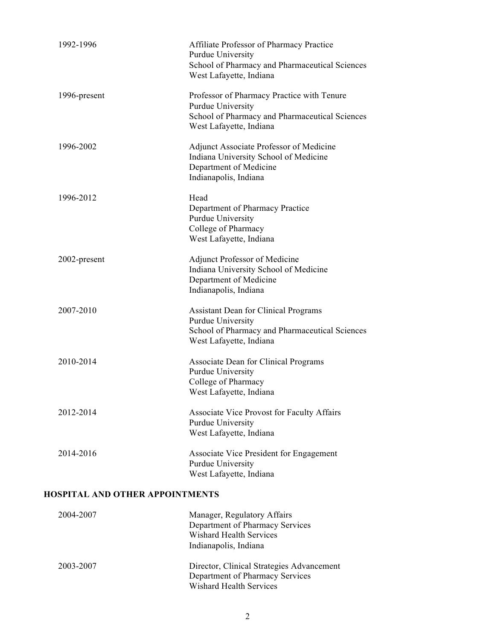| 1992-1996                              | Affiliate Professor of Pharmacy Practice<br>Purdue University<br>School of Pharmacy and Pharmaceutical Sciences<br>West Lafayette, Indiana    |
|----------------------------------------|-----------------------------------------------------------------------------------------------------------------------------------------------|
| 1996-present                           | Professor of Pharmacy Practice with Tenure<br>Purdue University<br>School of Pharmacy and Pharmaceutical Sciences<br>West Lafayette, Indiana  |
| 1996-2002                              | Adjunct Associate Professor of Medicine<br>Indiana University School of Medicine<br>Department of Medicine<br>Indianapolis, Indiana           |
| 1996-2012                              | Head<br>Department of Pharmacy Practice<br>Purdue University<br>College of Pharmacy<br>West Lafayette, Indiana                                |
| 2002-present                           | <b>Adjunct Professor of Medicine</b><br>Indiana University School of Medicine<br>Department of Medicine<br>Indianapolis, Indiana              |
| 2007-2010                              | <b>Assistant Dean for Clinical Programs</b><br>Purdue University<br>School of Pharmacy and Pharmaceutical Sciences<br>West Lafayette, Indiana |
| 2010-2014                              | Associate Dean for Clinical Programs<br>Purdue University<br>College of Pharmacy<br>West Lafayette, Indiana                                   |
| 2012-2014                              | Associate Vice Provost for Faculty Affairs<br>Purdue University<br>West Lafayette, Indiana                                                    |
| 2014-2016                              | Associate Vice President for Engagement<br>Purdue University<br>West Lafayette, Indiana                                                       |
| <b>HOSPITAL AND OTHER APPOINTMENTS</b> |                                                                                                                                               |
| 2004-2007                              | Manager, Regulatory Affairs                                                                                                                   |

| 2004-2007 | Manager, Regulatory Affairs               |
|-----------|-------------------------------------------|
|           | Department of Pharmacy Services           |
|           | <b>Wishard Health Services</b>            |
|           | Indianapolis, Indiana                     |
| 2003-2007 | Director, Clinical Strategies Advancement |
|           | Department of Pharmacy Services           |
|           | <b>Wishard Health Services</b>            |
|           |                                           |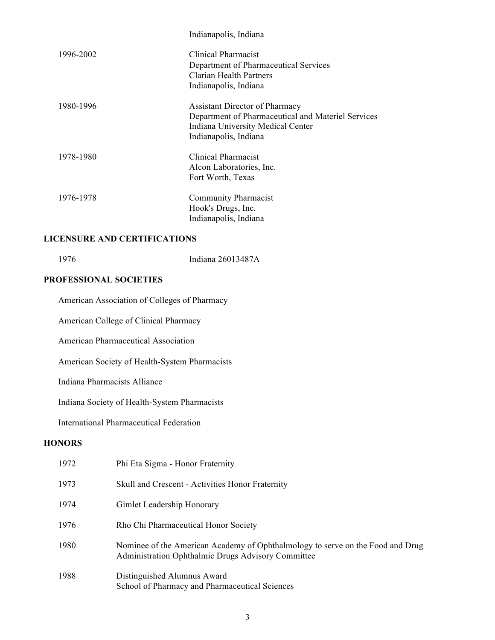|           | Indianapolis, Indiana                              |
|-----------|----------------------------------------------------|
| 1996-2002 | Clinical Pharmacist                                |
|           | Department of Pharmaceutical Services              |
|           | Clarian Health Partners                            |
|           | Indianapolis, Indiana                              |
| 1980-1996 | <b>Assistant Director of Pharmacy</b>              |
|           | Department of Pharmaceutical and Materiel Services |
|           | Indiana University Medical Center                  |
|           | Indianapolis, Indiana                              |
| 1978-1980 | Clinical Pharmacist                                |
|           | Alcon Laboratories, Inc.                           |
|           | Fort Worth, Texas                                  |
| 1976-1978 | <b>Community Pharmacist</b>                        |
|           | Hook's Drugs, Inc.                                 |
|           | Indianapolis, Indiana                              |
|           |                                                    |

## **LICENSURE AND CERTIFICATIONS**

1976 Indiana 26013487A

## **PROFESSIONAL SOCIETIES**

American Association of Colleges of Pharmacy

American College of Clinical Pharmacy

American Pharmaceutical Association

American Society of Health-System Pharmacists

Indiana Pharmacists Alliance

Indiana Society of Health-System Pharmacists

International Pharmaceutical Federation

## **HONORS**

| 1972 | Phi Eta Sigma - Honor Fraternity                                                                                                     |
|------|--------------------------------------------------------------------------------------------------------------------------------------|
| 1973 | Skull and Crescent - Activities Honor Fraternity                                                                                     |
| 1974 | Gimlet Leadership Honorary                                                                                                           |
| 1976 | Rho Chi Pharmaceutical Honor Society                                                                                                 |
| 1980 | Nominee of the American Academy of Ophthalmology to serve on the Food and Drug<br>Administration Ophthalmic Drugs Advisory Committee |
| 1988 | Distinguished Alumnus Award<br>School of Pharmacy and Pharmaceutical Sciences                                                        |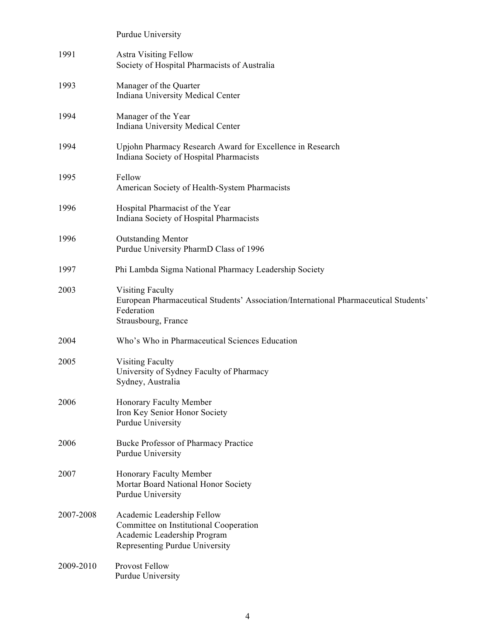|           | Purdue University                                                                                                                                    |
|-----------|------------------------------------------------------------------------------------------------------------------------------------------------------|
| 1991      | <b>Astra Visiting Fellow</b><br>Society of Hospital Pharmacists of Australia                                                                         |
| 1993      | Manager of the Quarter<br>Indiana University Medical Center                                                                                          |
| 1994      | Manager of the Year<br>Indiana University Medical Center                                                                                             |
| 1994      | Upjohn Pharmacy Research Award for Excellence in Research<br>Indiana Society of Hospital Pharmacists                                                 |
| 1995      | Fellow<br>American Society of Health-System Pharmacists                                                                                              |
| 1996      | Hospital Pharmacist of the Year<br>Indiana Society of Hospital Pharmacists                                                                           |
| 1996      | <b>Outstanding Mentor</b><br>Purdue University PharmD Class of 1996                                                                                  |
| 1997      | Phi Lambda Sigma National Pharmacy Leadership Society                                                                                                |
| 2003      | <b>Visiting Faculty</b><br>European Pharmaceutical Students' Association/International Pharmaceutical Students'<br>Federation<br>Strausbourg, France |
| 2004      | Who's Who in Pharmaceutical Sciences Education                                                                                                       |
| 2005      | <b>Visiting Faculty</b><br>University of Sydney Faculty of Pharmacy<br>Sydney, Australia                                                             |
| 2006      | Honorary Faculty Member<br>Iron Key Senior Honor Society<br>Purdue University                                                                        |
| 2006      | Bucke Professor of Pharmacy Practice<br>Purdue University                                                                                            |
| 2007      | Honorary Faculty Member<br>Mortar Board National Honor Society<br>Purdue University                                                                  |
| 2007-2008 | Academic Leadership Fellow<br>Committee on Institutional Cooperation<br>Academic Leadership Program<br>Representing Purdue University                |
| 2009-2010 | Provost Fellow<br>Purdue University                                                                                                                  |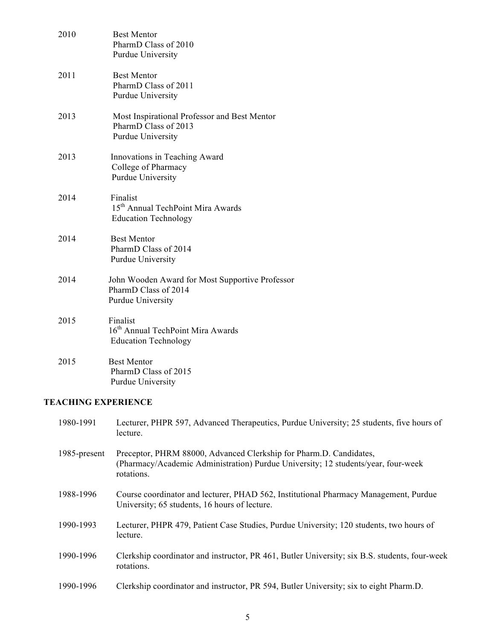| 2010 | <b>Best Mentor</b><br>PharmD Class of 2010<br>Purdue University                              |
|------|----------------------------------------------------------------------------------------------|
| 2011 | <b>Best Mentor</b><br>PharmD Class of 2011<br>Purdue University                              |
| 2013 | Most Inspirational Professor and Best Mentor<br>PharmD Class of 2013<br>Purdue University    |
| 2013 | Innovations in Teaching Award<br>College of Pharmacy<br>Purdue University                    |
| 2014 | Finalist<br>15 <sup>th</sup> Annual TechPoint Mira Awards<br><b>Education Technology</b>     |
| 2014 | <b>Best Mentor</b><br>PharmD Class of 2014<br>Purdue University                              |
| 2014 | John Wooden Award for Most Supportive Professor<br>PharmD Class of 2014<br>Purdue University |
| 2015 | Finalist<br>16 <sup>th</sup> Annual TechPoint Mira Awards<br><b>Education Technology</b>     |
| 2015 | <b>Best Mentor</b><br>PharmD Class of 2015<br>Purdue University                              |

# **TEACHING EXPERIENCE**

| 1980-1991    | Lecturer, PHPR 597, Advanced Therapeutics, Purdue University; 25 students, five hours of<br>lecture.                                                                  |
|--------------|-----------------------------------------------------------------------------------------------------------------------------------------------------------------------|
| 1985-present | Preceptor, PHRM 88000, Advanced Clerkship for Pharm.D. Candidates,<br>(Pharmacy/Academic Administration) Purdue University; 12 students/year, four-week<br>rotations. |
| 1988-1996    | Course coordinator and lecturer, PHAD 562, Institutional Pharmacy Management, Purdue<br>University; 65 students, 16 hours of lecture.                                 |
| 1990-1993    | Lecturer, PHPR 479, Patient Case Studies, Purdue University; 120 students, two hours of<br>lecture.                                                                   |
| 1990-1996    | Clerkship coordinator and instructor, PR 461, Butler University; six B.S. students, four-week<br>rotations.                                                           |
| 1990-1996    | Clerkship coordinator and instructor, PR 594, Butler University; six to eight Pharm.D.                                                                                |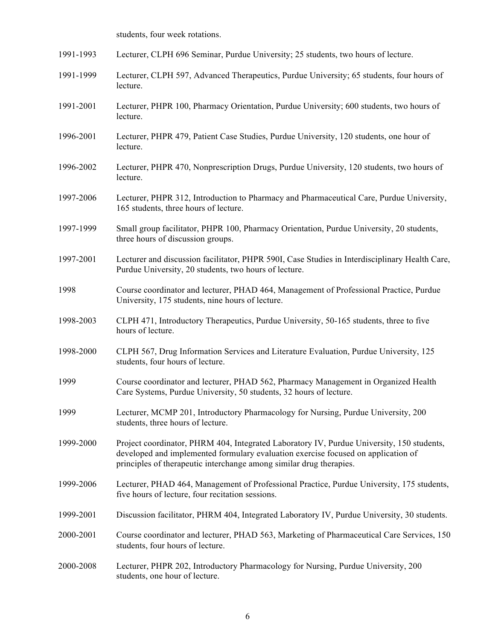students, four week rotations.

| 1991-1993 | Lecturer, CLPH 696 Seminar, Purdue University; 25 students, two hours of lecture.                                                                                                                                                                     |
|-----------|-------------------------------------------------------------------------------------------------------------------------------------------------------------------------------------------------------------------------------------------------------|
| 1991-1999 | Lecturer, CLPH 597, Advanced Therapeutics, Purdue University; 65 students, four hours of<br>lecture.                                                                                                                                                  |
| 1991-2001 | Lecturer, PHPR 100, Pharmacy Orientation, Purdue University; 600 students, two hours of<br>lecture.                                                                                                                                                   |
| 1996-2001 | Lecturer, PHPR 479, Patient Case Studies, Purdue University, 120 students, one hour of<br>lecture.                                                                                                                                                    |
| 1996-2002 | Lecturer, PHPR 470, Nonprescription Drugs, Purdue University, 120 students, two hours of<br>lecture.                                                                                                                                                  |
| 1997-2006 | Lecturer, PHPR 312, Introduction to Pharmacy and Pharmaceutical Care, Purdue University,<br>165 students, three hours of lecture.                                                                                                                     |
| 1997-1999 | Small group facilitator, PHPR 100, Pharmacy Orientation, Purdue University, 20 students,<br>three hours of discussion groups.                                                                                                                         |
| 1997-2001 | Lecturer and discussion facilitator, PHPR 590I, Case Studies in Interdisciplinary Health Care,<br>Purdue University, 20 students, two hours of lecture.                                                                                               |
| 1998      | Course coordinator and lecturer, PHAD 464, Management of Professional Practice, Purdue<br>University, 175 students, nine hours of lecture.                                                                                                            |
| 1998-2003 | CLPH 471, Introductory Therapeutics, Purdue University, 50-165 students, three to five<br>hours of lecture.                                                                                                                                           |
| 1998-2000 | CLPH 567, Drug Information Services and Literature Evaluation, Purdue University, 125<br>students, four hours of lecture.                                                                                                                             |
| 1999      | Course coordinator and lecturer, PHAD 562, Pharmacy Management in Organized Health<br>Care Systems, Purdue University, 50 students, 32 hours of lecture.                                                                                              |
| 1999      | Lecturer, MCMP 201, Introductory Pharmacology for Nursing, Purdue University, 200<br>students, three hours of lecture.                                                                                                                                |
| 1999-2000 | Project coordinator, PHRM 404, Integrated Laboratory IV, Purdue University, 150 students,<br>developed and implemented formulary evaluation exercise focused on application of<br>principles of therapeutic interchange among similar drug therapies. |
| 1999-2006 | Lecturer, PHAD 464, Management of Professional Practice, Purdue University, 175 students,<br>five hours of lecture, four recitation sessions.                                                                                                         |
| 1999-2001 | Discussion facilitator, PHRM 404, Integrated Laboratory IV, Purdue University, 30 students.                                                                                                                                                           |
| 2000-2001 | Course coordinator and lecturer, PHAD 563, Marketing of Pharmaceutical Care Services, 150<br>students, four hours of lecture.                                                                                                                         |
| 2000-2008 | Lecturer, PHPR 202, Introductory Pharmacology for Nursing, Purdue University, 200<br>students, one hour of lecture.                                                                                                                                   |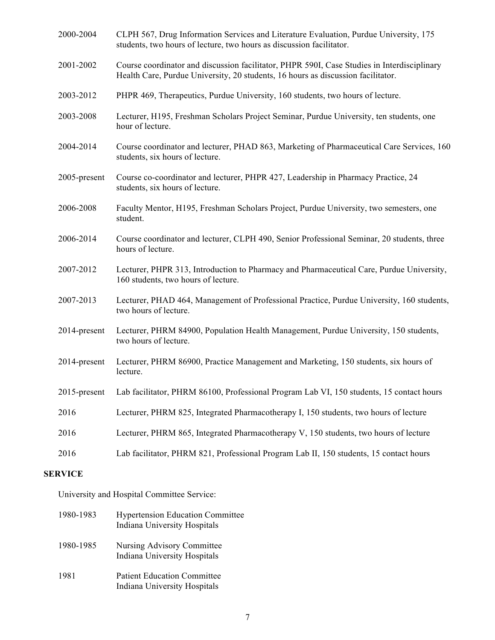| 2000-2004    | CLPH 567, Drug Information Services and Literature Evaluation, Purdue University, 175<br>students, two hours of lecture, two hours as discussion facilitator.                   |
|--------------|---------------------------------------------------------------------------------------------------------------------------------------------------------------------------------|
| 2001-2002    | Course coordinator and discussion facilitator, PHPR 590I, Case Studies in Interdisciplinary<br>Health Care, Purdue University, 20 students, 16 hours as discussion facilitator. |
| 2003-2012    | PHPR 469, Therapeutics, Purdue University, 160 students, two hours of lecture.                                                                                                  |
| 2003-2008    | Lecturer, H195, Freshman Scholars Project Seminar, Purdue University, ten students, one<br>hour of lecture.                                                                     |
| 2004-2014    | Course coordinator and lecturer, PHAD 863, Marketing of Pharmaceutical Care Services, 160<br>students, six hours of lecture.                                                    |
| 2005-present | Course co-coordinator and lecturer, PHPR 427, Leadership in Pharmacy Practice, 24<br>students, six hours of lecture.                                                            |
| 2006-2008    | Faculty Mentor, H195, Freshman Scholars Project, Purdue University, two semesters, one<br>student.                                                                              |
| 2006-2014    | Course coordinator and lecturer, CLPH 490, Senior Professional Seminar, 20 students, three<br>hours of lecture.                                                                 |
| 2007-2012    | Lecturer, PHPR 313, Introduction to Pharmacy and Pharmaceutical Care, Purdue University,<br>160 students, two hours of lecture.                                                 |
| 2007-2013    | Lecturer, PHAD 464, Management of Professional Practice, Purdue University, 160 students,<br>two hours of lecture.                                                              |
| 2014-present | Lecturer, PHRM 84900, Population Health Management, Purdue University, 150 students,<br>two hours of lecture.                                                                   |
| 2014-present | Lecturer, PHRM 86900, Practice Management and Marketing, 150 students, six hours of<br>lecture.                                                                                 |
|              | 2015-present Lab facilitator, PHRM 86100, Professional Program Lab VI, 150 students, 15 contact hours                                                                           |
| 2016         | Lecturer, PHRM 825, Integrated Pharmacotherapy I, 150 students, two hours of lecture                                                                                            |
| 2016         | Lecturer, PHRM 865, Integrated Pharmacotherapy V, 150 students, two hours of lecture                                                                                            |
| 2016         | Lab facilitator, PHRM 821, Professional Program Lab II, 150 students, 15 contact hours                                                                                          |

#### **SERVICE**

University and Hospital Committee Service:

1980-1983 Hypertension Education Committee Indiana University Hospitals 1980-1985 Nursing Advisory Committee Indiana University Hospitals 1981 Patient Education Committee Indiana University Hospitals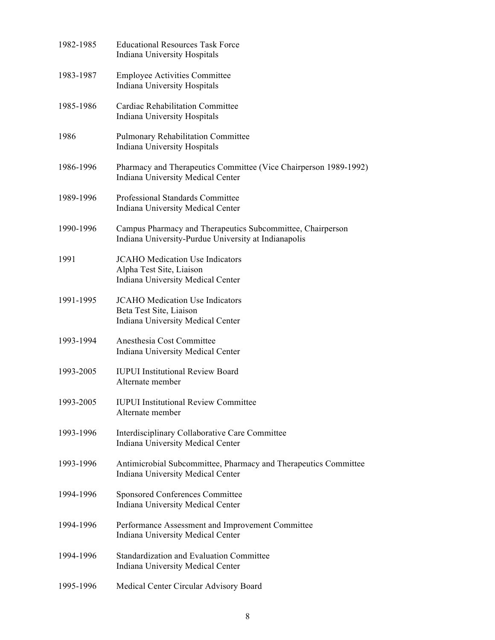| 1982-1985 | <b>Educational Resources Task Force</b><br>Indiana University Hospitals                                            |
|-----------|--------------------------------------------------------------------------------------------------------------------|
| 1983-1987 | <b>Employee Activities Committee</b><br>Indiana University Hospitals                                               |
| 1985-1986 | <b>Cardiac Rehabilitation Committee</b><br>Indiana University Hospitals                                            |
| 1986      | <b>Pulmonary Rehabilitation Committee</b><br>Indiana University Hospitals                                          |
| 1986-1996 | Pharmacy and Therapeutics Committee (Vice Chairperson 1989-1992)<br>Indiana University Medical Center              |
| 1989-1996 | Professional Standards Committee<br>Indiana University Medical Center                                              |
| 1990-1996 | Campus Pharmacy and Therapeutics Subcommittee, Chairperson<br>Indiana University-Purdue University at Indianapolis |
| 1991      | <b>JCAHO</b> Medication Use Indicators<br>Alpha Test Site, Liaison<br>Indiana University Medical Center            |
| 1991-1995 | <b>JCAHO</b> Medication Use Indicators<br>Beta Test Site, Liaison<br>Indiana University Medical Center             |
| 1993-1994 | Anesthesia Cost Committee<br>Indiana University Medical Center                                                     |
| 1993-2005 | <b>IUPUI</b> Institutional Review Board<br>Alternate member                                                        |
| 1993-2005 | <b>IUPUI</b> Institutional Review Committee<br>Alternate member                                                    |
| 1993-1996 | Interdisciplinary Collaborative Care Committee<br>Indiana University Medical Center                                |
| 1993-1996 | Antimicrobial Subcommittee, Pharmacy and Therapeutics Committee<br><b>Indiana University Medical Center</b>        |
| 1994-1996 | <b>Sponsored Conferences Committee</b><br>Indiana University Medical Center                                        |
| 1994-1996 | Performance Assessment and Improvement Committee<br>Indiana University Medical Center                              |
| 1994-1996 | Standardization and Evaluation Committee<br>Indiana University Medical Center                                      |
| 1995-1996 | Medical Center Circular Advisory Board                                                                             |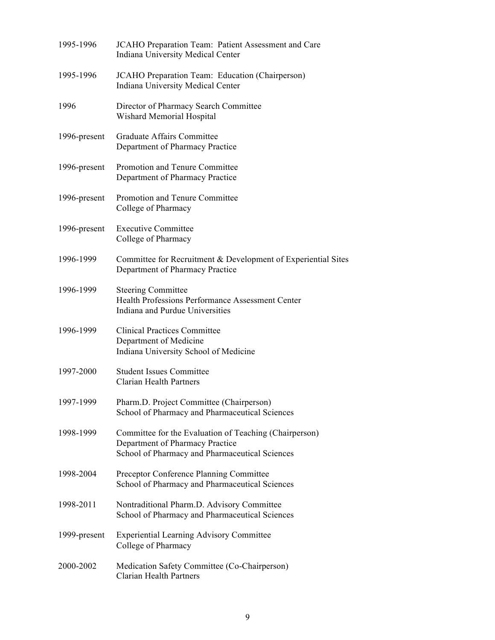| 1995-1996    | JCAHO Preparation Team: Patient Assessment and Care<br>Indiana University Medical Center                                                    |
|--------------|---------------------------------------------------------------------------------------------------------------------------------------------|
| 1995-1996    | JCAHO Preparation Team: Education (Chairperson)<br>Indiana University Medical Center                                                        |
| 1996         | Director of Pharmacy Search Committee<br>Wishard Memorial Hospital                                                                          |
| 1996-present | Graduate Affairs Committee<br>Department of Pharmacy Practice                                                                               |
| 1996-present | Promotion and Tenure Committee<br>Department of Pharmacy Practice                                                                           |
| 1996-present | Promotion and Tenure Committee<br>College of Pharmacy                                                                                       |
| 1996-present | <b>Executive Committee</b><br>College of Pharmacy                                                                                           |
| 1996-1999    | Committee for Recruitment & Development of Experiential Sites<br>Department of Pharmacy Practice                                            |
| 1996-1999    | <b>Steering Committee</b><br>Health Professions Performance Assessment Center<br>Indiana and Purdue Universities                            |
| 1996-1999    | <b>Clinical Practices Committee</b><br>Department of Medicine<br>Indiana University School of Medicine                                      |
| 1997-2000    | <b>Student Issues Committee</b><br><b>Clarian Health Partners</b>                                                                           |
| 1997-1999    | Pharm.D. Project Committee (Chairperson)<br>School of Pharmacy and Pharmaceutical Sciences                                                  |
| 1998-1999    | Committee for the Evaluation of Teaching (Chairperson)<br>Department of Pharmacy Practice<br>School of Pharmacy and Pharmaceutical Sciences |
| 1998-2004    | Preceptor Conference Planning Committee<br>School of Pharmacy and Pharmaceutical Sciences                                                   |
| 1998-2011    | Nontraditional Pharm.D. Advisory Committee<br>School of Pharmacy and Pharmaceutical Sciences                                                |
| 1999-present | <b>Experiential Learning Advisory Committee</b><br>College of Pharmacy                                                                      |
| 2000-2002    | Medication Safety Committee (Co-Chairperson)<br><b>Clarian Health Partners</b>                                                              |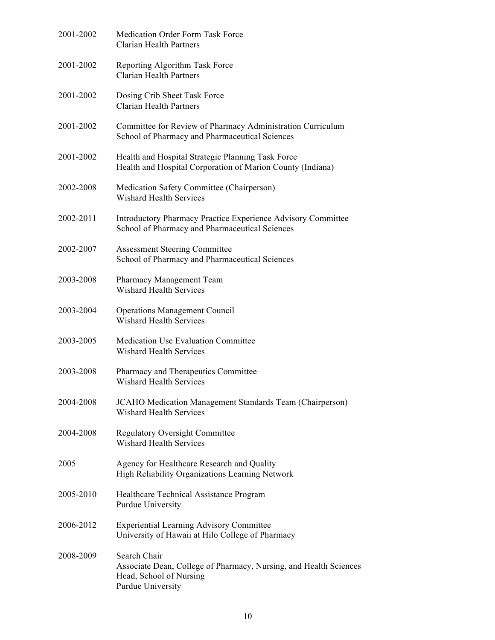| 2001-2002 | <b>Medication Order Form Task Force</b><br><b>Clarian Health Partners</b>                                                         |
|-----------|-----------------------------------------------------------------------------------------------------------------------------------|
| 2001-2002 | Reporting Algorithm Task Force<br><b>Clarian Health Partners</b>                                                                  |
| 2001-2002 | Dosing Crib Sheet Task Force<br><b>Clarian Health Partners</b>                                                                    |
| 2001-2002 | Committee for Review of Pharmacy Administration Curriculum<br>School of Pharmacy and Pharmaceutical Sciences                      |
| 2001-2002 | Health and Hospital Strategic Planning Task Force<br>Health and Hospital Corporation of Marion County (Indiana)                   |
| 2002-2008 | Medication Safety Committee (Chairperson)<br><b>Wishard Health Services</b>                                                       |
| 2002-2011 | Introductory Pharmacy Practice Experience Advisory Committee<br>School of Pharmacy and Pharmaceutical Sciences                    |
| 2002-2007 | <b>Assessment Steering Committee</b><br>School of Pharmacy and Pharmaceutical Sciences                                            |
| 2003-2008 | Pharmacy Management Team<br><b>Wishard Health Services</b>                                                                        |
| 2003-2004 | <b>Operations Management Council</b><br><b>Wishard Health Services</b>                                                            |
| 2003-2005 | <b>Medication Use Evaluation Committee</b><br><b>Wishard Health Services</b>                                                      |
| 2003-2008 | Pharmacy and Therapeutics Committee<br><b>Wishard Health Services</b>                                                             |
| 2004-2008 | <b>JCAHO</b> Medication Management Standards Team (Chairperson)<br><b>Wishard Health Services</b>                                 |
| 2004-2008 | <b>Regulatory Oversight Committee</b><br><b>Wishard Health Services</b>                                                           |
| 2005      | Agency for Healthcare Research and Quality<br>High Reliability Organizations Learning Network                                     |
| 2005-2010 | Healthcare Technical Assistance Program<br>Purdue University                                                                      |
| 2006-2012 | <b>Experiential Learning Advisory Committee</b><br>University of Hawaii at Hilo College of Pharmacy                               |
| 2008-2009 | Search Chair<br>Associate Dean, College of Pharmacy, Nursing, and Health Sciences<br>Head, School of Nursing<br>Purdue University |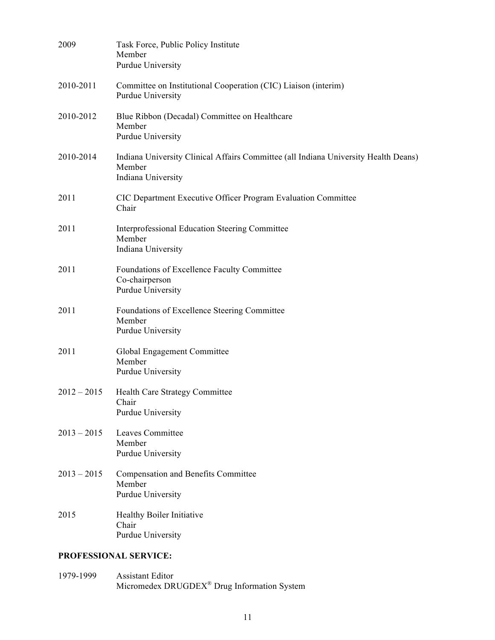| 2009                  | Task Force, Public Policy Institute<br>Member<br>Purdue University                                                  |  |
|-----------------------|---------------------------------------------------------------------------------------------------------------------|--|
| 2010-2011             | Committee on Institutional Cooperation (CIC) Liaison (interim)<br>Purdue University                                 |  |
| 2010-2012             | Blue Ribbon (Decadal) Committee on Healthcare<br>Member<br>Purdue University                                        |  |
| 2010-2014             | Indiana University Clinical Affairs Committee (all Indiana University Health Deans)<br>Member<br>Indiana University |  |
| 2011                  | CIC Department Executive Officer Program Evaluation Committee<br>Chair                                              |  |
| 2011                  | Interprofessional Education Steering Committee<br>Member<br>Indiana University                                      |  |
| 2011                  | Foundations of Excellence Faculty Committee<br>Co-chairperson<br>Purdue University                                  |  |
| 2011                  | Foundations of Excellence Steering Committee<br>Member<br>Purdue University                                         |  |
| 2011                  | Global Engagement Committee<br>Member<br>Purdue University                                                          |  |
| $2012 - 2015$         | Health Care Strategy Committee<br>Chair<br>Purdue University                                                        |  |
| $2013 - 2015$         | Leaves Committee<br>Member<br>Purdue University                                                                     |  |
| $2013 - 2015$         | <b>Compensation and Benefits Committee</b><br>Member<br>Purdue University                                           |  |
| 2015                  | Healthy Boiler Initiative<br>Chair<br>Purdue University                                                             |  |
| PROFESSIONAL SERVICE: |                                                                                                                     |  |

1979-1999 Assistant Editor Micromedex DRUGDEX<sup>®</sup> Drug Information System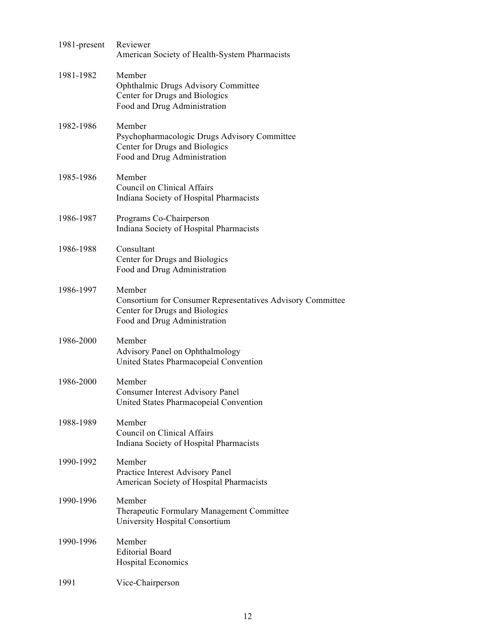| 1981-present | Reviewer<br>American Society of Health-System Pharmacists                                                                              |
|--------------|----------------------------------------------------------------------------------------------------------------------------------------|
| 1981-1982    | Member<br>Ophthalmic Drugs Advisory Committee<br>Center for Drugs and Biologics<br>Food and Drug Administration                        |
| 1982-1986    | Member<br>Psychopharmacologic Drugs Advisory Committee<br>Center for Drugs and Biologics<br>Food and Drug Administration               |
| 1985-1986    | Member<br>Council on Clinical Affairs<br>Indiana Society of Hospital Pharmacists                                                       |
| 1986-1987    | Programs Co-Chairperson<br>Indiana Society of Hospital Pharmacists                                                                     |
| 1986-1988    | Consultant<br>Center for Drugs and Biologics<br>Food and Drug Administration                                                           |
| 1986-1997    | Member<br>Consortium for Consumer Representatives Advisory Committee<br>Center for Drugs and Biologics<br>Food and Drug Administration |
| 1986-2000    | Member<br>Advisory Panel on Ophthalmology<br>United States Pharmacopeial Convention                                                    |
| 1986-2000    | Member<br><b>Consumer Interest Advisory Panel</b><br>United States Pharmacopeial Convention                                            |
| 1988-1989    | Member<br>Council on Clinical Affairs<br>Indiana Society of Hospital Pharmacists                                                       |
| 1990-1992    | Member<br>Practice Interest Advisory Panel<br>American Society of Hospital Pharmacists                                                 |
| 1990-1996    | Member<br>Therapeutic Formulary Management Committee<br>University Hospital Consortium                                                 |
| 1990-1996    | Member<br><b>Editorial Board</b><br><b>Hospital Economics</b>                                                                          |
| 1991         | Vice-Chairperson                                                                                                                       |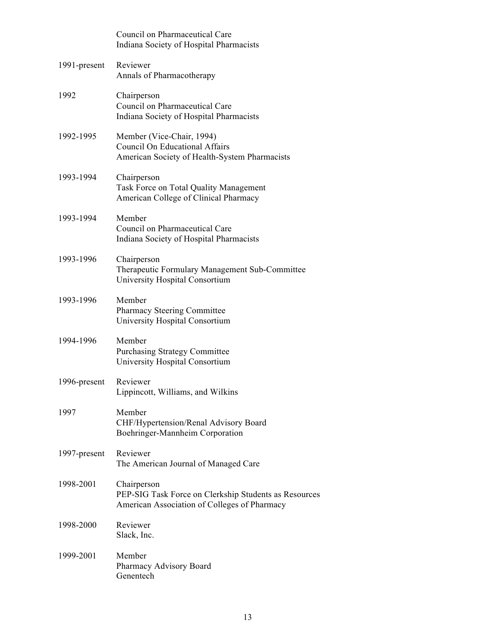|              | Council on Pharmaceutical Care<br>Indiana Society of Hospital Pharmacists                                            |
|--------------|----------------------------------------------------------------------------------------------------------------------|
| 1991-present | Reviewer<br>Annals of Pharmacotherapy                                                                                |
| 1992         | Chairperson<br>Council on Pharmaceutical Care<br>Indiana Society of Hospital Pharmacists                             |
| 1992-1995    | Member (Vice-Chair, 1994)<br><b>Council On Educational Affairs</b><br>American Society of Health-System Pharmacists  |
| 1993-1994    | Chairperson<br>Task Force on Total Quality Management<br>American College of Clinical Pharmacy                       |
| 1993-1994    | Member<br>Council on Pharmaceutical Care<br>Indiana Society of Hospital Pharmacists                                  |
| 1993-1996    | Chairperson<br>Therapeutic Formulary Management Sub-Committee<br>University Hospital Consortium                      |
| 1993-1996    | Member<br>Pharmacy Steering Committee<br>University Hospital Consortium                                              |
| 1994-1996    | Member<br><b>Purchasing Strategy Committee</b><br>University Hospital Consortium                                     |
| 1996-present | Reviewer<br>Lippincott, Williams, and Wilkins                                                                        |
| 1997         | Member<br>CHF/Hypertension/Renal Advisory Board<br>Boehringer-Mannheim Corporation                                   |
| 1997-present | Reviewer<br>The American Journal of Managed Care                                                                     |
| 1998-2001    | Chairperson<br>PEP-SIG Task Force on Clerkship Students as Resources<br>American Association of Colleges of Pharmacy |
| 1998-2000    | Reviewer<br>Slack, Inc.                                                                                              |
| 1999-2001    | Member<br>Pharmacy Advisory Board<br>Genentech                                                                       |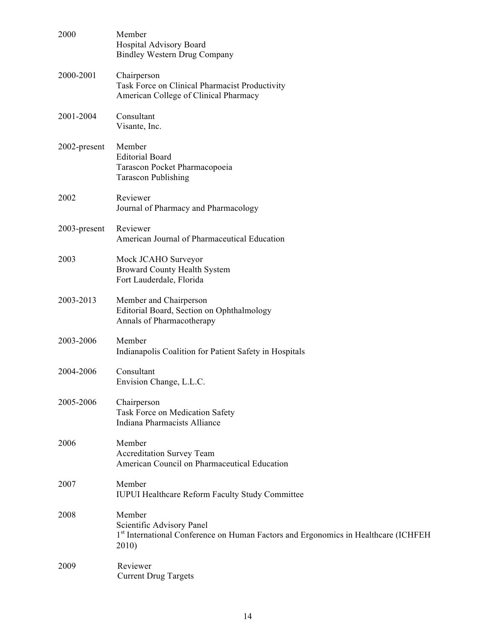| 2000         | Member<br>Hospital Advisory Board<br><b>Bindley Western Drug Company</b>                                                           |
|--------------|------------------------------------------------------------------------------------------------------------------------------------|
| 2000-2001    | Chairperson<br>Task Force on Clinical Pharmacist Productivity<br>American College of Clinical Pharmacy                             |
| 2001-2004    | Consultant<br>Visante, Inc.                                                                                                        |
| 2002-present | Member<br><b>Editorial Board</b><br>Tarascon Pocket Pharmacopoeia<br><b>Tarascon Publishing</b>                                    |
| 2002         | Reviewer<br>Journal of Pharmacy and Pharmacology                                                                                   |
| 2003-present | Reviewer<br>American Journal of Pharmaceutical Education                                                                           |
| 2003         | Mock JCAHO Surveyor<br>Broward County Health System<br>Fort Lauderdale, Florida                                                    |
| 2003-2013    | Member and Chairperson<br>Editorial Board, Section on Ophthalmology<br>Annals of Pharmacotherapy                                   |
| 2003-2006    | Member<br>Indianapolis Coalition for Patient Safety in Hospitals                                                                   |
| 2004-2006    | Consultant<br>Envision Change, L.L.C.                                                                                              |
| 2005-2006    | Chairperson<br>Task Force on Medication Safety<br>Indiana Pharmacists Alliance                                                     |
| 2006         | Member<br>Accreditation Survey Team<br>American Council on Pharmaceutical Education                                                |
| 2007         | Member<br><b>IUPUI Healthcare Reform Faculty Study Committee</b>                                                                   |
| 2008         | Member<br>Scientific Advisory Panel<br>1st International Conference on Human Factors and Ergonomics in Healthcare (ICHFEH<br>2010) |
| 2009         | Reviewer<br><b>Current Drug Targets</b>                                                                                            |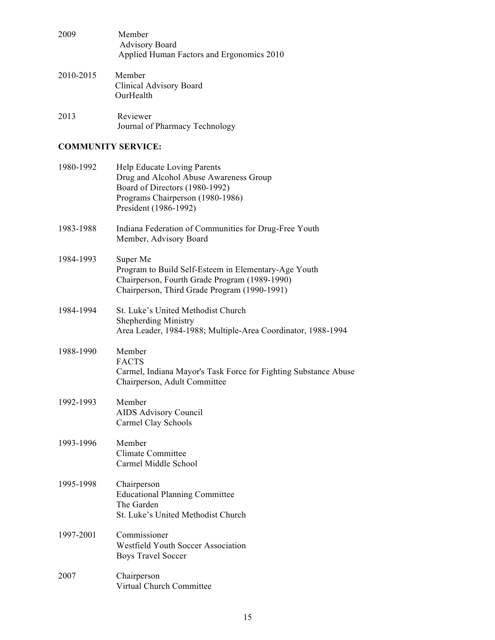| 2009      | Member<br><b>Advisory Board</b><br>Applied Human Factors and Ergonomics 2010 |
|-----------|------------------------------------------------------------------------------|
| 2010-2015 | Member<br>Clinical Advisory Board<br>OurHealth                               |
| 2013      | Reviewer<br>Journal of Pharmacy Technology                                   |

## **COMMUNITY SERVICE:**

| 1980-1992 | Help Educate Loving Parents<br>Drug and Alcohol Abuse Awareness Group<br>Board of Directors (1980-1992)<br>Programs Chairperson (1980-1986)<br>President (1986-1992) |
|-----------|----------------------------------------------------------------------------------------------------------------------------------------------------------------------|
| 1983-1988 | Indiana Federation of Communities for Drug-Free Youth<br>Member, Advisory Board                                                                                      |
| 1984-1993 | Super Me<br>Program to Build Self-Esteem in Elementary-Age Youth<br>Chairperson, Fourth Grade Program (1989-1990)<br>Chairperson, Third Grade Program (1990-1991)    |
| 1984-1994 | St. Luke's United Methodist Church<br><b>Shepherding Ministry</b><br>Area Leader, 1984-1988; Multiple-Area Coordinator, 1988-1994                                    |
| 1988-1990 | Member<br><b>FACTS</b><br>Carmel, Indiana Mayor's Task Force for Fighting Substance Abuse<br>Chairperson, Adult Committee                                            |
| 1992-1993 | Member<br><b>AIDS Advisory Council</b><br>Carmel Clay Schools                                                                                                        |
| 1993-1996 | Member<br><b>Climate Committee</b><br>Carmel Middle School                                                                                                           |
| 1995-1998 | Chairperson<br><b>Educational Planning Committee</b><br>The Garden<br>St. Luke's United Methodist Church                                                             |
| 1997-2001 | Commissioner<br><b>Westfield Youth Soccer Association</b><br><b>Boys Travel Soccer</b>                                                                               |
| 2007      | Chairperson<br>Virtual Church Committee                                                                                                                              |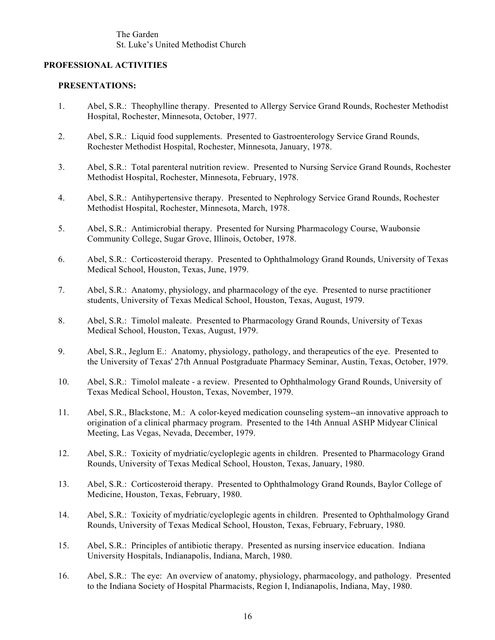The Garden St. Luke's United Methodist Church

## **PROFESSIONAL ACTIVITIES**

#### **PRESENTATIONS:**

- 1. Abel, S.R.: Theophylline therapy. Presented to Allergy Service Grand Rounds, Rochester Methodist Hospital, Rochester, Minnesota, October, 1977.
- 2. Abel, S.R.: Liquid food supplements. Presented to Gastroenterology Service Grand Rounds, Rochester Methodist Hospital, Rochester, Minnesota, January, 1978.
- 3. Abel, S.R.: Total parenteral nutrition review. Presented to Nursing Service Grand Rounds, Rochester Methodist Hospital, Rochester, Minnesota, February, 1978.
- 4. Abel, S.R.: Antihypertensive therapy. Presented to Nephrology Service Grand Rounds, Rochester Methodist Hospital, Rochester, Minnesota, March, 1978.
- 5. Abel, S.R.: Antimicrobial therapy. Presented for Nursing Pharmacology Course, Waubonsie Community College, Sugar Grove, Illinois, October, 1978.
- 6. Abel, S.R.: Corticosteroid therapy. Presented to Ophthalmology Grand Rounds, University of Texas Medical School, Houston, Texas, June, 1979.
- 7. Abel, S.R.: Anatomy, physiology, and pharmacology of the eye. Presented to nurse practitioner students, University of Texas Medical School, Houston, Texas, August, 1979.
- 8. Abel, S.R.: Timolol maleate. Presented to Pharmacology Grand Rounds, University of Texas Medical School, Houston, Texas, August, 1979.
- 9. Abel, S.R., Jeglum E.: Anatomy, physiology, pathology, and therapeutics of the eye. Presented to the University of Texas' 27th Annual Postgraduate Pharmacy Seminar, Austin, Texas, October, 1979.
- 10. Abel, S.R.: Timolol maleate a review. Presented to Ophthalmology Grand Rounds, University of Texas Medical School, Houston, Texas, November, 1979.
- 11. Abel, S.R., Blackstone, M.: A color-keyed medication counseling system--an innovative approach to origination of a clinical pharmacy program. Presented to the 14th Annual ASHP Midyear Clinical Meeting, Las Vegas, Nevada, December, 1979.
- 12. Abel, S.R.: Toxicity of mydriatic/cycloplegic agents in children. Presented to Pharmacology Grand Rounds, University of Texas Medical School, Houston, Texas, January, 1980.
- 13. Abel, S.R.: Corticosteroid therapy. Presented to Ophthalmology Grand Rounds, Baylor College of Medicine, Houston, Texas, February, 1980.
- 14. Abel, S.R.: Toxicity of mydriatic/cycloplegic agents in children. Presented to Ophthalmology Grand Rounds, University of Texas Medical School, Houston, Texas, February, February, 1980.
- 15. Abel, S.R.: Principles of antibiotic therapy. Presented as nursing inservice education. Indiana University Hospitals, Indianapolis, Indiana, March, 1980.
- 16. Abel, S.R.: The eye: An overview of anatomy, physiology, pharmacology, and pathology. Presented to the Indiana Society of Hospital Pharmacists, Region I, Indianapolis, Indiana, May, 1980.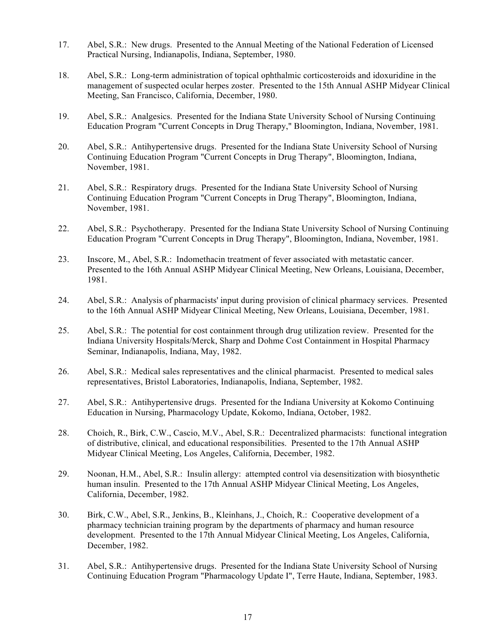- 17. Abel, S.R.: New drugs. Presented to the Annual Meeting of the National Federation of Licensed Practical Nursing, Indianapolis, Indiana, September, 1980.
- 18. Abel, S.R.: Long-term administration of topical ophthalmic corticosteroids and idoxuridine in the management of suspected ocular herpes zoster. Presented to the 15th Annual ASHP Midyear Clinical Meeting, San Francisco, California, December, 1980.
- 19. Abel, S.R.: Analgesics. Presented for the Indiana State University School of Nursing Continuing Education Program "Current Concepts in Drug Therapy," Bloomington, Indiana, November, 1981.
- 20. Abel, S.R.: Antihypertensive drugs. Presented for the Indiana State University School of Nursing Continuing Education Program "Current Concepts in Drug Therapy", Bloomington, Indiana, November, 1981.
- 21. Abel, S.R.: Respiratory drugs. Presented for the Indiana State University School of Nursing Continuing Education Program "Current Concepts in Drug Therapy", Bloomington, Indiana, November, 1981.
- 22. Abel, S.R.: Psychotherapy. Presented for the Indiana State University School of Nursing Continuing Education Program "Current Concepts in Drug Therapy", Bloomington, Indiana, November, 1981.
- 23. Inscore, M., Abel, S.R.: Indomethacin treatment of fever associated with metastatic cancer. Presented to the 16th Annual ASHP Midyear Clinical Meeting, New Orleans, Louisiana, December, 1981.
- 24. Abel, S.R.: Analysis of pharmacists' input during provision of clinical pharmacy services. Presented to the 16th Annual ASHP Midyear Clinical Meeting, New Orleans, Louisiana, December, 1981.
- 25. Abel, S.R.: The potential for cost containment through drug utilization review. Presented for the Indiana University Hospitals/Merck, Sharp and Dohme Cost Containment in Hospital Pharmacy Seminar, Indianapolis, Indiana, May, 1982.
- 26. Abel, S.R.: Medical sales representatives and the clinical pharmacist. Presented to medical sales representatives, Bristol Laboratories, Indianapolis, Indiana, September, 1982.
- 27. Abel, S.R.: Antihypertensive drugs. Presented for the Indiana University at Kokomo Continuing Education in Nursing, Pharmacology Update, Kokomo, Indiana, October, 1982.
- 28. Choich, R., Birk, C.W., Cascio, M.V., Abel, S.R.: Decentralized pharmacists: functional integration of distributive, clinical, and educational responsibilities. Presented to the 17th Annual ASHP Midyear Clinical Meeting, Los Angeles, California, December, 1982.
- 29. Noonan, H.M., Abel, S.R.: Insulin allergy: attempted control via desensitization with biosynthetic human insulin. Presented to the 17th Annual ASHP Midyear Clinical Meeting, Los Angeles, California, December, 1982.
- 30. Birk, C.W., Abel, S.R., Jenkins, B., Kleinhans, J., Choich, R.: Cooperative development of a pharmacy technician training program by the departments of pharmacy and human resource development. Presented to the 17th Annual Midyear Clinical Meeting, Los Angeles, California, December, 1982.
- 31. Abel, S.R.: Antihypertensive drugs. Presented for the Indiana State University School of Nursing Continuing Education Program "Pharmacology Update I", Terre Haute, Indiana, September, 1983.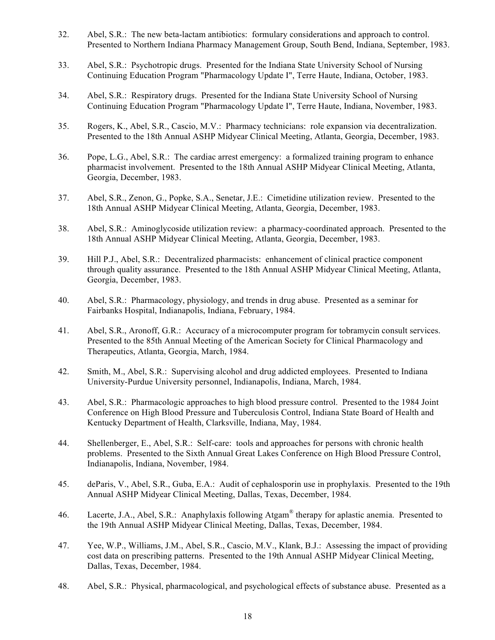- 32. Abel, S.R.: The new beta-lactam antibiotics: formulary considerations and approach to control. Presented to Northern Indiana Pharmacy Management Group, South Bend, Indiana, September, 1983.
- 33. Abel, S.R.: Psychotropic drugs. Presented for the Indiana State University School of Nursing Continuing Education Program "Pharmacology Update I", Terre Haute, Indiana, October, 1983.
- 34. Abel, S.R.: Respiratory drugs. Presented for the Indiana State University School of Nursing Continuing Education Program "Pharmacology Update I", Terre Haute, Indiana, November, 1983.
- 35. Rogers, K., Abel, S.R., Cascio, M.V.: Pharmacy technicians: role expansion via decentralization. Presented to the 18th Annual ASHP Midyear Clinical Meeting, Atlanta, Georgia, December, 1983.
- 36. Pope, L.G., Abel, S.R.: The cardiac arrest emergency: a formalized training program to enhance pharmacist involvement. Presented to the 18th Annual ASHP Midyear Clinical Meeting, Atlanta, Georgia, December, 1983.
- 37. Abel, S.R., Zenon, G., Popke, S.A., Senetar, J.E.: Cimetidine utilization review. Presented to the 18th Annual ASHP Midyear Clinical Meeting, Atlanta, Georgia, December, 1983.
- 38. Abel, S.R.: Aminoglycoside utilization review: a pharmacy-coordinated approach. Presented to the 18th Annual ASHP Midyear Clinical Meeting, Atlanta, Georgia, December, 1983.
- 39. Hill P.J., Abel, S.R.: Decentralized pharmacists: enhancement of clinical practice component through quality assurance. Presented to the 18th Annual ASHP Midyear Clinical Meeting, Atlanta, Georgia, December, 1983.
- 40. Abel, S.R.: Pharmacology, physiology, and trends in drug abuse. Presented as a seminar for Fairbanks Hospital, Indianapolis, Indiana, February, 1984.
- 41. Abel, S.R., Aronoff, G.R.: Accuracy of a microcomputer program for tobramycin consult services. Presented to the 85th Annual Meeting of the American Society for Clinical Pharmacology and Therapeutics, Atlanta, Georgia, March, 1984.
- 42. Smith, M., Abel, S.R.: Supervising alcohol and drug addicted employees. Presented to Indiana University-Purdue University personnel, Indianapolis, Indiana, March, 1984.
- 43. Abel, S.R.: Pharmacologic approaches to high blood pressure control. Presented to the 1984 Joint Conference on High Blood Pressure and Tuberculosis Control, Indiana State Board of Health and Kentucky Department of Health, Clarksville, Indiana, May, 1984.
- 44. Shellenberger, E., Abel, S.R.: Self-care: tools and approaches for persons with chronic health problems. Presented to the Sixth Annual Great Lakes Conference on High Blood Pressure Control, Indianapolis, Indiana, November, 1984.
- 45. deParis, V., Abel, S.R., Guba, E.A.: Audit of cephalosporin use in prophylaxis. Presented to the 19th Annual ASHP Midyear Clinical Meeting, Dallas, Texas, December, 1984.
- 46. Lacerte, J.A., Abel, S.R.: Anaphylaxis following Atgam® therapy for aplastic anemia. Presented to the 19th Annual ASHP Midyear Clinical Meeting, Dallas, Texas, December, 1984.
- 47. Yee, W.P., Williams, J.M., Abel, S.R., Cascio, M.V., Klank, B.J.: Assessing the impact of providing cost data on prescribing patterns. Presented to the 19th Annual ASHP Midyear Clinical Meeting, Dallas, Texas, December, 1984.
- 48. Abel, S.R.: Physical, pharmacological, and psychological effects of substance abuse. Presented as a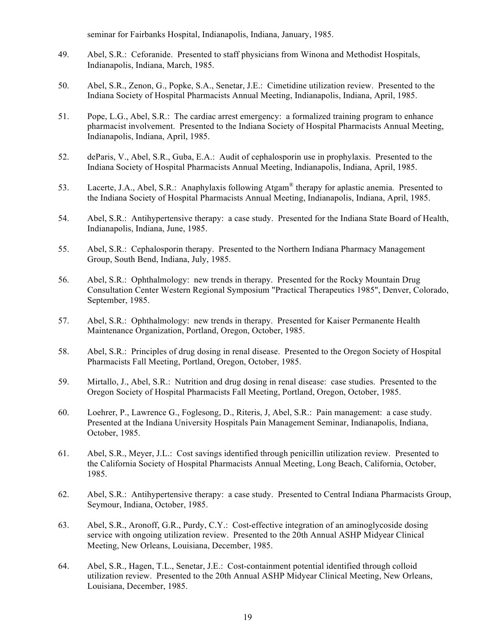seminar for Fairbanks Hospital, Indianapolis, Indiana, January, 1985.

- 49. Abel, S.R.: Ceforanide. Presented to staff physicians from Winona and Methodist Hospitals, Indianapolis, Indiana, March, 1985.
- 50. Abel, S.R., Zenon, G., Popke, S.A., Senetar, J.E.: Cimetidine utilization review. Presented to the Indiana Society of Hospital Pharmacists Annual Meeting, Indianapolis, Indiana, April, 1985.
- 51. Pope, L.G., Abel, S.R.: The cardiac arrest emergency: a formalized training program to enhance pharmacist involvement. Presented to the Indiana Society of Hospital Pharmacists Annual Meeting, Indianapolis, Indiana, April, 1985.
- 52. deParis, V., Abel, S.R., Guba, E.A.: Audit of cephalosporin use in prophylaxis. Presented to the Indiana Society of Hospital Pharmacists Annual Meeting, Indianapolis, Indiana, April, 1985.
- 53. Lacerte, J.A., Abel, S.R.: Anaphylaxis following Atgam® therapy for aplastic anemia. Presented to the Indiana Society of Hospital Pharmacists Annual Meeting, Indianapolis, Indiana, April, 1985.
- 54. Abel, S.R.: Antihypertensive therapy: a case study. Presented for the Indiana State Board of Health, Indianapolis, Indiana, June, 1985.
- 55. Abel, S.R.: Cephalosporin therapy. Presented to the Northern Indiana Pharmacy Management Group, South Bend, Indiana, July, 1985.
- 56. Abel, S.R.: Ophthalmology: new trends in therapy. Presented for the Rocky Mountain Drug Consultation Center Western Regional Symposium "Practical Therapeutics 1985", Denver, Colorado, September, 1985.
- 57. Abel, S.R.: Ophthalmology: new trends in therapy. Presented for Kaiser Permanente Health Maintenance Organization, Portland, Oregon, October, 1985.
- 58. Abel, S.R.: Principles of drug dosing in renal disease. Presented to the Oregon Society of Hospital Pharmacists Fall Meeting, Portland, Oregon, October, 1985.
- 59. Mirtallo, J., Abel, S.R.: Nutrition and drug dosing in renal disease: case studies. Presented to the Oregon Society of Hospital Pharmacists Fall Meeting, Portland, Oregon, October, 1985.
- 60. Loehrer, P., Lawrence G., Foglesong, D., Riteris, J, Abel, S.R.: Pain management: a case study. Presented at the Indiana University Hospitals Pain Management Seminar, Indianapolis, Indiana, October, 1985.
- 61. Abel, S.R., Meyer, J.L.: Cost savings identified through penicillin utilization review. Presented to the California Society of Hospital Pharmacists Annual Meeting, Long Beach, California, October, 1985.
- 62. Abel, S.R.: Antihypertensive therapy: a case study. Presented to Central Indiana Pharmacists Group, Seymour, Indiana, October, 1985.
- 63. Abel, S.R., Aronoff, G.R., Purdy, C.Y.: Cost-effective integration of an aminoglycoside dosing service with ongoing utilization review. Presented to the 20th Annual ASHP Midyear Clinical Meeting, New Orleans, Louisiana, December, 1985.
- 64. Abel, S.R., Hagen, T.L., Senetar, J.E.: Cost-containment potential identified through colloid utilization review. Presented to the 20th Annual ASHP Midyear Clinical Meeting, New Orleans, Louisiana, December, 1985.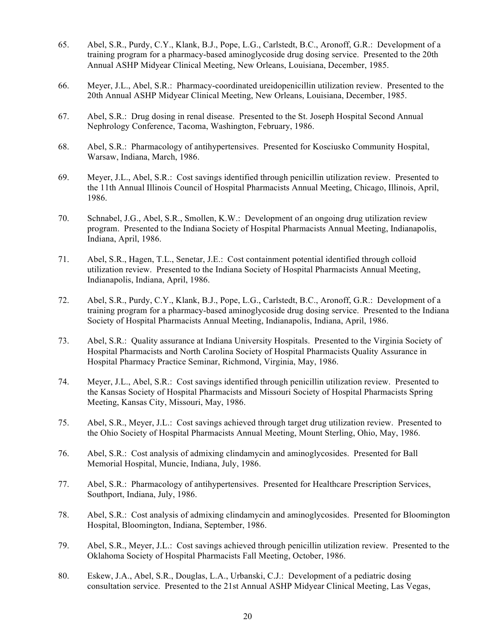- 65. Abel, S.R., Purdy, C.Y., Klank, B.J., Pope, L.G., Carlstedt, B.C., Aronoff, G.R.: Development of a training program for a pharmacy-based aminoglycoside drug dosing service. Presented to the 20th Annual ASHP Midyear Clinical Meeting, New Orleans, Louisiana, December, 1985.
- 66. Meyer, J.L., Abel, S.R.: Pharmacy-coordinated ureidopenicillin utilization review. Presented to the 20th Annual ASHP Midyear Clinical Meeting, New Orleans, Louisiana, December, 1985.
- 67. Abel, S.R.: Drug dosing in renal disease. Presented to the St. Joseph Hospital Second Annual Nephrology Conference, Tacoma, Washington, February, 1986.
- 68. Abel, S.R.: Pharmacology of antihypertensives. Presented for Kosciusko Community Hospital, Warsaw, Indiana, March, 1986.
- 69. Meyer, J.L., Abel, S.R.: Cost savings identified through penicillin utilization review. Presented to the 11th Annual Illinois Council of Hospital Pharmacists Annual Meeting, Chicago, Illinois, April, 1986.
- 70. Schnabel, J.G., Abel, S.R., Smollen, K.W.: Development of an ongoing drug utilization review program. Presented to the Indiana Society of Hospital Pharmacists Annual Meeting, Indianapolis, Indiana, April, 1986.
- 71. Abel, S.R., Hagen, T.L., Senetar, J.E.: Cost containment potential identified through colloid utilization review. Presented to the Indiana Society of Hospital Pharmacists Annual Meeting, Indianapolis, Indiana, April, 1986.
- 72. Abel, S.R., Purdy, C.Y., Klank, B.J., Pope, L.G., Carlstedt, B.C., Aronoff, G.R.: Development of a training program for a pharmacy-based aminoglycoside drug dosing service. Presented to the Indiana Society of Hospital Pharmacists Annual Meeting, Indianapolis, Indiana, April, 1986.
- 73. Abel, S.R.: Quality assurance at Indiana University Hospitals. Presented to the Virginia Society of Hospital Pharmacists and North Carolina Society of Hospital Pharmacists Quality Assurance in Hospital Pharmacy Practice Seminar, Richmond, Virginia, May, 1986.
- 74. Meyer, J.L., Abel, S.R.: Cost savings identified through penicillin utilization review. Presented to the Kansas Society of Hospital Pharmacists and Missouri Society of Hospital Pharmacists Spring Meeting, Kansas City, Missouri, May, 1986.
- 75. Abel, S.R., Meyer, J.L.: Cost savings achieved through target drug utilization review. Presented to the Ohio Society of Hospital Pharmacists Annual Meeting, Mount Sterling, Ohio, May, 1986.
- 76. Abel, S.R.: Cost analysis of admixing clindamycin and aminoglycosides. Presented for Ball Memorial Hospital, Muncie, Indiana, July, 1986.
- 77. Abel, S.R.: Pharmacology of antihypertensives. Presented for Healthcare Prescription Services, Southport, Indiana, July, 1986.
- 78. Abel, S.R.: Cost analysis of admixing clindamycin and aminoglycosides. Presented for Bloomington Hospital, Bloomington, Indiana, September, 1986.
- 79. Abel, S.R., Meyer, J.L.: Cost savings achieved through penicillin utilization review. Presented to the Oklahoma Society of Hospital Pharmacists Fall Meeting, October, 1986.
- 80. Eskew, J.A., Abel, S.R., Douglas, L.A., Urbanski, C.J.: Development of a pediatric dosing consultation service. Presented to the 21st Annual ASHP Midyear Clinical Meeting, Las Vegas,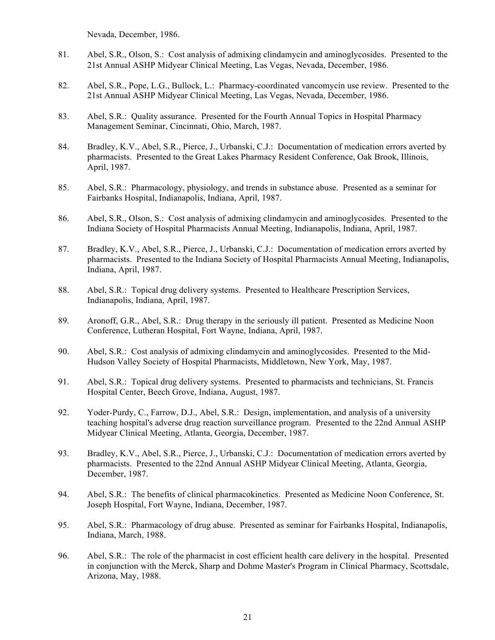Nevada, December, 1986.

- 81. Abel, S.R., Olson, S.: Cost analysis of admixing clindamycin and aminoglycosides. Presented to the 21st Annual ASHP Midyear Clinical Meeting, Las Vegas, Nevada, December, 1986.
- 82. Abel, S.R., Pope, L.G., Bullock, L.: Pharmacy-coordinated vancomycin use review. Presented to the 21st Annual ASHP Midyear Clinical Meeting, Las Vegas, Nevada, December, 1986.
- 83. Abel, S.R.: Quality assurance. Presented for the Fourth Annual Topics in Hospital Pharmacy Management Seminar, Cincinnati, Ohio, March, 1987.
- 84. Bradley, K.V., Abel, S.R., Pierce, J., Urbanski, C.J.: Documentation of medication errors averted by pharmacists. Presented to the Great Lakes Pharmacy Resident Conference, Oak Brook, Illinois, April, 1987.
- 85. Abel, S.R.: Pharmacology, physiology, and trends in substance abuse. Presented as a seminar for Fairbanks Hospital, Indianapolis, Indiana, April, 1987.
- 86. Abel, S.R., Olson, S.: Cost analysis of admixing clindamycin and aminoglycosides. Presented to the Indiana Society of Hospital Pharmacists Annual Meeting, Indianapolis, Indiana, April, 1987.
- 87. Bradley, K.V., Abel, S.R., Pierce, J., Urbanski, C.J.: Documentation of medication errors averted by pharmacists. Presented to the Indiana Society of Hospital Pharmacists Annual Meeting, Indianapolis, Indiana, April, 1987.
- 88. Abel, S.R.: Topical drug delivery systems. Presented to Healthcare Prescription Services, Indianapolis, Indiana, April, 1987.
- 89. Aronoff, G.R., Abel, S.R.: Drug therapy in the seriously ill patient. Presented as Medicine Noon Conference, Lutheran Hospital, Fort Wayne, Indiana, April, 1987.
- 90. Abel, S.R.: Cost analysis of admixing clindamycin and aminoglycosides. Presented to the Mid-Hudson Valley Society of Hospital Pharmacists, Middletown, New York, May, 1987.
- 91. Abel, S.R.: Topical drug delivery systems. Presented to pharmacists and technicians, St. Francis Hospital Center, Beech Grove, Indiana, August, 1987.
- 92. Yoder-Purdy, C., Farrow, D.J., Abel, S.R.: Design, implementation, and analysis of a university teaching hospital's adverse drug reaction surveillance program. Presented to the 22nd Annual ASHP Midyear Clinical Meeting, Atlanta, Georgia, December, 1987.
- 93. Bradley, K.V., Abel, S.R., Pierce, J., Urbanski, C.J.: Documentation of medication errors averted by pharmacists. Presented to the 22nd Annual ASHP Midyear Clinical Meeting, Atlanta, Georgia, December, 1987.
- 94. Abel, S.R.: The benefits of clinical pharmacokinetics. Presented as Medicine Noon Conference, St. Joseph Hospital, Fort Wayne, Indiana, December, 1987.
- 95. Abel, S.R.: Pharmacology of drug abuse. Presented as seminar for Fairbanks Hospital, Indianapolis, Indiana, March, 1988.
- 96. Abel, S.R.: The role of the pharmacist in cost efficient health care delivery in the hospital. Presented in conjunction with the Merck, Sharp and Dohme Master's Program in Clinical Pharmacy, Scottsdale, Arizona, May, 1988.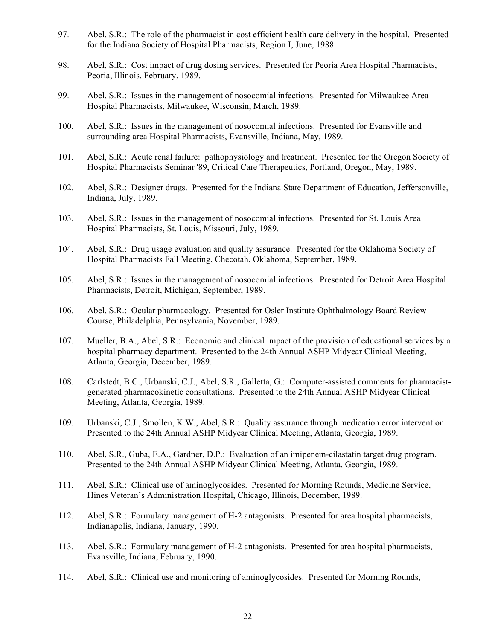- 97. Abel, S.R.: The role of the pharmacist in cost efficient health care delivery in the hospital. Presented for the Indiana Society of Hospital Pharmacists, Region I, June, 1988.
- 98. Abel, S.R.: Cost impact of drug dosing services. Presented for Peoria Area Hospital Pharmacists, Peoria, Illinois, February, 1989.
- 99. Abel, S.R.: Issues in the management of nosocomial infections. Presented for Milwaukee Area Hospital Pharmacists, Milwaukee, Wisconsin, March, 1989.
- 100. Abel, S.R.: Issues in the management of nosocomial infections. Presented for Evansville and surrounding area Hospital Pharmacists, Evansville, Indiana, May, 1989.
- 101. Abel, S.R.: Acute renal failure: pathophysiology and treatment. Presented for the Oregon Society of Hospital Pharmacists Seminar '89, Critical Care Therapeutics, Portland, Oregon, May, 1989.
- 102. Abel, S.R.: Designer drugs. Presented for the Indiana State Department of Education, Jeffersonville, Indiana, July, 1989.
- 103. Abel, S.R.: Issues in the management of nosocomial infections. Presented for St. Louis Area Hospital Pharmacists, St. Louis, Missouri, July, 1989.
- 104. Abel, S.R.: Drug usage evaluation and quality assurance. Presented for the Oklahoma Society of Hospital Pharmacists Fall Meeting, Checotah, Oklahoma, September, 1989.
- 105. Abel, S.R.: Issues in the management of nosocomial infections. Presented for Detroit Area Hospital Pharmacists, Detroit, Michigan, September, 1989.
- 106. Abel, S.R.: Ocular pharmacology. Presented for Osler Institute Ophthalmology Board Review Course, Philadelphia, Pennsylvania, November, 1989.
- 107. Mueller, B.A., Abel, S.R.: Economic and clinical impact of the provision of educational services by a hospital pharmacy department. Presented to the 24th Annual ASHP Midyear Clinical Meeting, Atlanta, Georgia, December, 1989.
- 108. Carlstedt, B.C., Urbanski, C.J., Abel, S.R., Galletta, G.: Computer-assisted comments for pharmacistgenerated pharmacokinetic consultations. Presented to the 24th Annual ASHP Midyear Clinical Meeting, Atlanta, Georgia, 1989.
- 109. Urbanski, C.J., Smollen, K.W., Abel, S.R.: Quality assurance through medication error intervention. Presented to the 24th Annual ASHP Midyear Clinical Meeting, Atlanta, Georgia, 1989.
- 110. Abel, S.R., Guba, E.A., Gardner, D.P.: Evaluation of an imipenem-cilastatin target drug program. Presented to the 24th Annual ASHP Midyear Clinical Meeting, Atlanta, Georgia, 1989.
- 111. Abel, S.R.: Clinical use of aminoglycosides. Presented for Morning Rounds, Medicine Service, Hines Veteran's Administration Hospital, Chicago, Illinois, December, 1989.
- 112. Abel, S.R.: Formulary management of H-2 antagonists. Presented for area hospital pharmacists, Indianapolis, Indiana, January, 1990.
- 113. Abel, S.R.: Formulary management of H-2 antagonists. Presented for area hospital pharmacists, Evansville, Indiana, February, 1990.
- 114. Abel, S.R.: Clinical use and monitoring of aminoglycosides. Presented for Morning Rounds,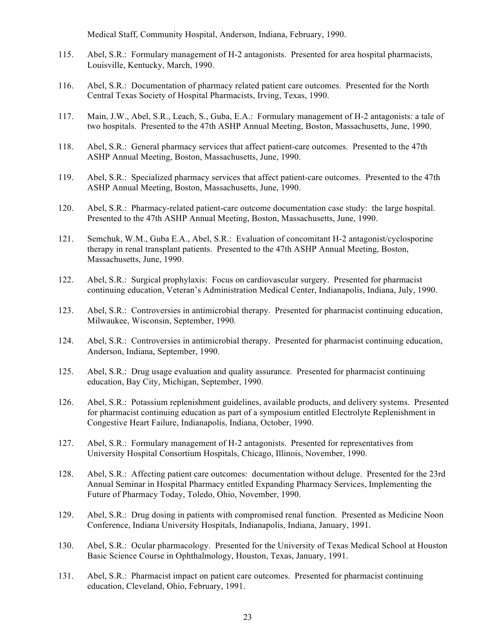Medical Staff, Community Hospital, Anderson, Indiana, February, 1990.

- 115. Abel, S.R.: Formulary management of H-2 antagonists. Presented for area hospital pharmacists, Louisville, Kentucky, March, 1990.
- 116. Abel, S.R.: Documentation of pharmacy related patient care outcomes. Presented for the North Central Texas Society of Hospital Pharmacists, Irving, Texas, 1990.
- 117. Main, J.W., Abel, S.R., Leach, S., Guba, E.A.: Formulary management of H-2 antagonists: a tale of two hospitals. Presented to the 47th ASHP Annual Meeting, Boston, Massachusetts, June, 1990.
- 118. Abel, S.R.: General pharmacy services that affect patient-care outcomes. Presented to the 47th ASHP Annual Meeting, Boston, Massachusetts, June, 1990.
- 119. Abel, S.R.: Specialized pharmacy services that affect patient-care outcomes. Presented to the 47th ASHP Annual Meeting, Boston, Massachusetts, June, 1990.
- 120. Abel, S.R.: Pharmacy-related patient-care outcome documentation case study: the large hospital. Presented to the 47th ASHP Annual Meeting, Boston, Massachusetts, June, 1990.
- 121. Semchuk, W.M., Guba E.A., Abel, S.R.: Evaluation of concomitant H-2 antagonist/cyclosporine therapy in renal transplant patients. Presented to the 47th ASHP Annual Meeting, Boston, Massachusetts, June, 1990.
- 122. Abel, S.R.: Surgical prophylaxis: Focus on cardiovascular surgery. Presented for pharmacist continuing education, Veteran's Administration Medical Center, Indianapolis, Indiana, July, 1990.
- 123. Abel, S.R.: Controversies in antimicrobial therapy. Presented for pharmacist continuing education, Milwaukee, Wisconsin, September, 1990.
- 124. Abel, S.R.: Controversies in antimicrobial therapy. Presented for pharmacist continuing education, Anderson, Indiana, September, 1990.
- 125. Abel, S.R.: Drug usage evaluation and quality assurance. Presented for pharmacist continuing education, Bay City, Michigan, September, 1990.
- 126. Abel, S.R.: Potassium replenishment guidelines, available products, and delivery systems. Presented for pharmacist continuing education as part of a symposium entitled Electrolyte Replenishment in Congestive Heart Failure, Indianapolis, Indiana, October, 1990.
- 127. Abel, S.R.: Formulary management of H-2 antagonists. Presented for representatives from University Hospital Consortium Hospitals, Chicago, Illinois, November, 1990.
- 128. Abel, S.R.: Affecting patient care outcomes: documentation without deluge. Presented for the 23rd Annual Seminar in Hospital Pharmacy entitled Expanding Pharmacy Services, Implementing the Future of Pharmacy Today, Toledo, Ohio, November, 1990.
- 129. Abel, S.R.: Drug dosing in patients with compromised renal function. Presented as Medicine Noon Conference, Indiana University Hospitals, Indianapolis, Indiana, January, 1991.
- 130. Abel, S.R.: Ocular pharmacology. Presented for the University of Texas Medical School at Houston Basic Science Course in Ophthalmology, Houston, Texas, January, 1991.
- 131. Abel, S.R.: Pharmacist impact on patient care outcomes. Presented for pharmacist continuing education, Cleveland, Ohio, February, 1991.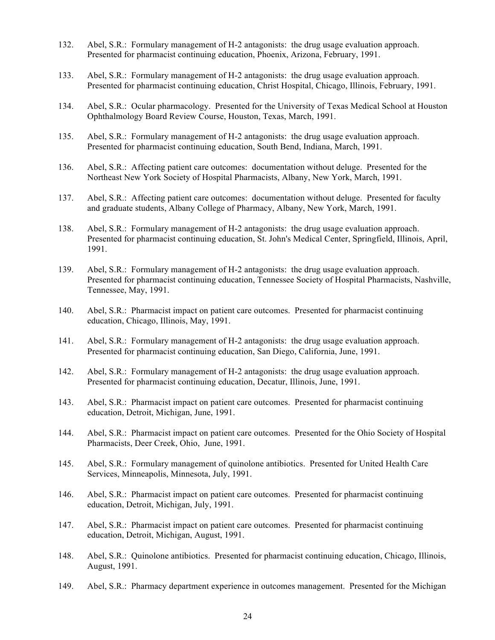- 132. Abel, S.R.: Formulary management of H-2 antagonists: the drug usage evaluation approach. Presented for pharmacist continuing education, Phoenix, Arizona, February, 1991.
- 133. Abel, S.R.: Formulary management of H-2 antagonists: the drug usage evaluation approach. Presented for pharmacist continuing education, Christ Hospital, Chicago, Illinois, February, 1991.
- 134. Abel, S.R.: Ocular pharmacology. Presented for the University of Texas Medical School at Houston Ophthalmology Board Review Course, Houston, Texas, March, 1991.
- 135. Abel, S.R.: Formulary management of H-2 antagonists: the drug usage evaluation approach. Presented for pharmacist continuing education, South Bend, Indiana, March, 1991.
- 136. Abel, S.R.: Affecting patient care outcomes: documentation without deluge. Presented for the Northeast New York Society of Hospital Pharmacists, Albany, New York, March, 1991.
- 137. Abel, S.R.: Affecting patient care outcomes: documentation without deluge. Presented for faculty and graduate students, Albany College of Pharmacy, Albany, New York, March, 1991.
- 138. Abel, S.R.: Formulary management of H-2 antagonists: the drug usage evaluation approach. Presented for pharmacist continuing education, St. John's Medical Center, Springfield, Illinois, April, 1991.
- 139. Abel, S.R.: Formulary management of H-2 antagonists: the drug usage evaluation approach. Presented for pharmacist continuing education, Tennessee Society of Hospital Pharmacists, Nashville, Tennessee, May, 1991.
- 140. Abel, S.R.: Pharmacist impact on patient care outcomes. Presented for pharmacist continuing education, Chicago, Illinois, May, 1991.
- 141. Abel, S.R.: Formulary management of H-2 antagonists: the drug usage evaluation approach. Presented for pharmacist continuing education, San Diego, California, June, 1991.
- 142. Abel, S.R.: Formulary management of H-2 antagonists: the drug usage evaluation approach. Presented for pharmacist continuing education, Decatur, Illinois, June, 1991.
- 143. Abel, S.R.: Pharmacist impact on patient care outcomes. Presented for pharmacist continuing education, Detroit, Michigan, June, 1991.
- 144. Abel, S.R.: Pharmacist impact on patient care outcomes. Presented for the Ohio Society of Hospital Pharmacists, Deer Creek, Ohio, June, 1991.
- 145. Abel, S.R.: Formulary management of quinolone antibiotics. Presented for United Health Care Services, Minneapolis, Minnesota, July, 1991.
- 146. Abel, S.R.: Pharmacist impact on patient care outcomes. Presented for pharmacist continuing education, Detroit, Michigan, July, 1991.
- 147. Abel, S.R.: Pharmacist impact on patient care outcomes. Presented for pharmacist continuing education, Detroit, Michigan, August, 1991.
- 148. Abel, S.R.: Quinolone antibiotics. Presented for pharmacist continuing education, Chicago, Illinois, August, 1991.
- 149. Abel, S.R.: Pharmacy department experience in outcomes management. Presented for the Michigan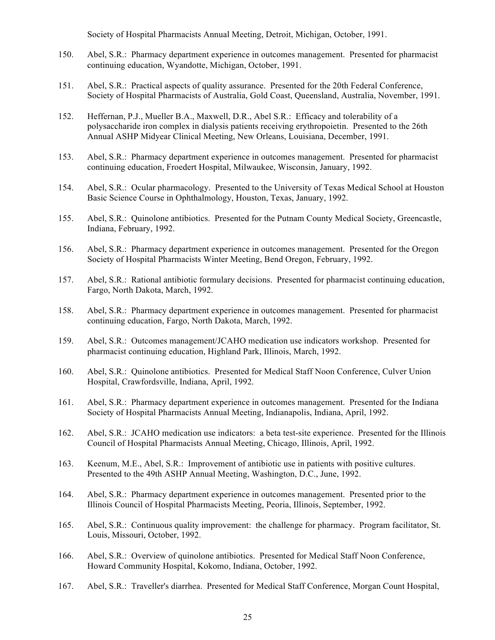Society of Hospital Pharmacists Annual Meeting, Detroit, Michigan, October, 1991.

- 150. Abel, S.R.: Pharmacy department experience in outcomes management. Presented for pharmacist continuing education, Wyandotte, Michigan, October, 1991.
- 151. Abel, S.R.: Practical aspects of quality assurance. Presented for the 20th Federal Conference, Society of Hospital Pharmacists of Australia, Gold Coast, Queensland, Australia, November, 1991.
- 152. Heffernan, P.J., Mueller B.A., Maxwell, D.R., Abel S.R.: Efficacy and tolerability of a polysaccharide iron complex in dialysis patients receiving erythropoietin. Presented to the 26th Annual ASHP Midyear Clinical Meeting, New Orleans, Louisiana, December, 1991.
- 153. Abel, S.R.: Pharmacy department experience in outcomes management. Presented for pharmacist continuing education, Froedert Hospital, Milwaukee, Wisconsin, January, 1992.
- 154. Abel, S.R.: Ocular pharmacology. Presented to the University of Texas Medical School at Houston Basic Science Course in Ophthalmology, Houston, Texas, January, 1992.
- 155. Abel, S.R.: Quinolone antibiotics. Presented for the Putnam County Medical Society, Greencastle, Indiana, February, 1992.
- 156. Abel, S.R.: Pharmacy department experience in outcomes management. Presented for the Oregon Society of Hospital Pharmacists Winter Meeting, Bend Oregon, February, 1992.
- 157. Abel, S.R.: Rational antibiotic formulary decisions. Presented for pharmacist continuing education, Fargo, North Dakota, March, 1992.
- 158. Abel, S.R.: Pharmacy department experience in outcomes management. Presented for pharmacist continuing education, Fargo, North Dakota, March, 1992.
- 159. Abel, S.R.: Outcomes management/JCAHO medication use indicators workshop. Presented for pharmacist continuing education, Highland Park, Illinois, March, 1992.
- 160. Abel, S.R.: Quinolone antibiotics. Presented for Medical Staff Noon Conference, Culver Union Hospital, Crawfordsville, Indiana, April, 1992.
- 161. Abel, S.R.: Pharmacy department experience in outcomes management. Presented for the Indiana Society of Hospital Pharmacists Annual Meeting, Indianapolis, Indiana, April, 1992.
- 162. Abel, S.R.: JCAHO medication use indicators: a beta test-site experience. Presented for the Illinois Council of Hospital Pharmacists Annual Meeting, Chicago, Illinois, April, 1992.
- 163. Keenum, M.E., Abel, S.R.: Improvement of antibiotic use in patients with positive cultures. Presented to the 49th ASHP Annual Meeting, Washington, D.C., June, 1992.
- 164. Abel, S.R.: Pharmacy department experience in outcomes management. Presented prior to the Illinois Council of Hospital Pharmacists Meeting, Peoria, Illinois, September, 1992.
- 165. Abel, S.R.: Continuous quality improvement: the challenge for pharmacy. Program facilitator, St. Louis, Missouri, October, 1992.
- 166. Abel, S.R.: Overview of quinolone antibiotics. Presented for Medical Staff Noon Conference, Howard Community Hospital, Kokomo, Indiana, October, 1992.
- 167. Abel, S.R.: Traveller's diarrhea. Presented for Medical Staff Conference, Morgan Count Hospital,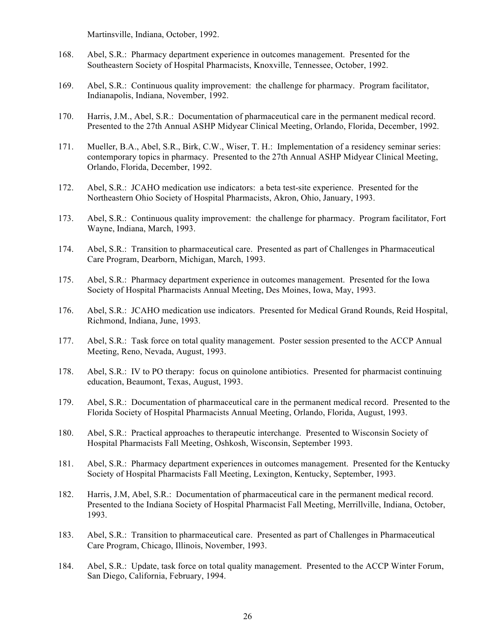Martinsville, Indiana, October, 1992.

- 168. Abel, S.R.: Pharmacy department experience in outcomes management. Presented for the Southeastern Society of Hospital Pharmacists, Knoxville, Tennessee, October, 1992.
- 169. Abel, S.R.: Continuous quality improvement: the challenge for pharmacy. Program facilitator, Indianapolis, Indiana, November, 1992.
- 170. Harris, J.M., Abel, S.R.: Documentation of pharmaceutical care in the permanent medical record. Presented to the 27th Annual ASHP Midyear Clinical Meeting, Orlando, Florida, December, 1992.
- 171. Mueller, B.A., Abel, S.R., Birk, C.W., Wiser, T. H.: Implementation of a residency seminar series: contemporary topics in pharmacy. Presented to the 27th Annual ASHP Midyear Clinical Meeting, Orlando, Florida, December, 1992.
- 172. Abel, S.R.: JCAHO medication use indicators: a beta test-site experience. Presented for the Northeastern Ohio Society of Hospital Pharmacists, Akron, Ohio, January, 1993.
- 173. Abel, S.R.: Continuous quality improvement: the challenge for pharmacy. Program facilitator, Fort Wayne, Indiana, March, 1993.
- 174. Abel, S.R.: Transition to pharmaceutical care. Presented as part of Challenges in Pharmaceutical Care Program, Dearborn, Michigan, March, 1993.
- 175. Abel, S.R.: Pharmacy department experience in outcomes management. Presented for the Iowa Society of Hospital Pharmacists Annual Meeting, Des Moines, Iowa, May, 1993.
- 176. Abel, S.R.: JCAHO medication use indicators. Presented for Medical Grand Rounds, Reid Hospital, Richmond, Indiana, June, 1993.
- 177. Abel, S.R.: Task force on total quality management. Poster session presented to the ACCP Annual Meeting, Reno, Nevada, August, 1993.
- 178. Abel, S.R.: IV to PO therapy: focus on quinolone antibiotics. Presented for pharmacist continuing education, Beaumont, Texas, August, 1993.
- 179. Abel, S.R.: Documentation of pharmaceutical care in the permanent medical record. Presented to the Florida Society of Hospital Pharmacists Annual Meeting, Orlando, Florida, August, 1993.
- 180. Abel, S.R.: Practical approaches to therapeutic interchange. Presented to Wisconsin Society of Hospital Pharmacists Fall Meeting, Oshkosh, Wisconsin, September 1993.
- 181. Abel, S.R.: Pharmacy department experiences in outcomes management. Presented for the Kentucky Society of Hospital Pharmacists Fall Meeting, Lexington, Kentucky, September, 1993.
- 182. Harris, J.M, Abel, S.R.: Documentation of pharmaceutical care in the permanent medical record. Presented to the Indiana Society of Hospital Pharmacist Fall Meeting, Merrillville, Indiana, October, 1993.
- 183. Abel, S.R.: Transition to pharmaceutical care. Presented as part of Challenges in Pharmaceutical Care Program, Chicago, Illinois, November, 1993.
- 184. Abel, S.R.: Update, task force on total quality management. Presented to the ACCP Winter Forum, San Diego, California, February, 1994.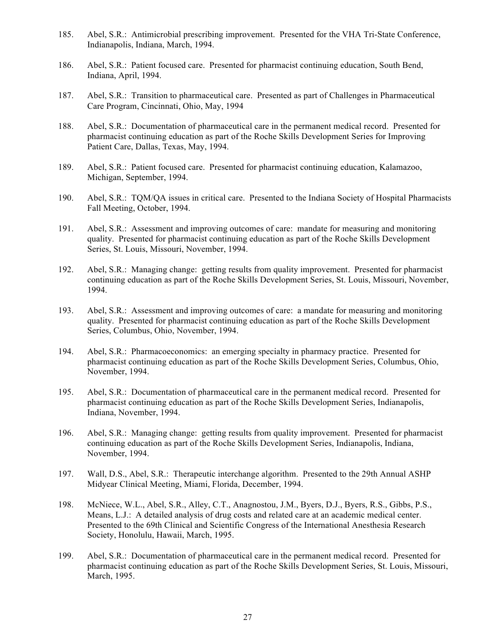- 185. Abel, S.R.: Antimicrobial prescribing improvement. Presented for the VHA Tri-State Conference, Indianapolis, Indiana, March, 1994.
- 186. Abel, S.R.: Patient focused care. Presented for pharmacist continuing education, South Bend, Indiana, April, 1994.
- 187. Abel, S.R.: Transition to pharmaceutical care. Presented as part of Challenges in Pharmaceutical Care Program, Cincinnati, Ohio, May, 1994
- 188. Abel, S.R.: Documentation of pharmaceutical care in the permanent medical record. Presented for pharmacist continuing education as part of the Roche Skills Development Series for Improving Patient Care, Dallas, Texas, May, 1994.
- 189. Abel, S.R.: Patient focused care. Presented for pharmacist continuing education, Kalamazoo, Michigan, September, 1994.
- 190. Abel, S.R.: TQM/QA issues in critical care. Presented to the Indiana Society of Hospital Pharmacists Fall Meeting, October, 1994.
- 191. Abel, S.R.: Assessment and improving outcomes of care: mandate for measuring and monitoring quality. Presented for pharmacist continuing education as part of the Roche Skills Development Series, St. Louis, Missouri, November, 1994.
- 192. Abel, S.R.: Managing change: getting results from quality improvement. Presented for pharmacist continuing education as part of the Roche Skills Development Series, St. Louis, Missouri, November, 1994.
- 193. Abel, S.R.: Assessment and improving outcomes of care: a mandate for measuring and monitoring quality. Presented for pharmacist continuing education as part of the Roche Skills Development Series, Columbus, Ohio, November, 1994.
- 194. Abel, S.R.: Pharmacoeconomics: an emerging specialty in pharmacy practice. Presented for pharmacist continuing education as part of the Roche Skills Development Series, Columbus, Ohio, November, 1994.
- 195. Abel, S.R.: Documentation of pharmaceutical care in the permanent medical record. Presented for pharmacist continuing education as part of the Roche Skills Development Series, Indianapolis, Indiana, November, 1994.
- 196. Abel, S.R.: Managing change: getting results from quality improvement. Presented for pharmacist continuing education as part of the Roche Skills Development Series, Indianapolis, Indiana, November, 1994.
- 197. Wall, D.S., Abel, S.R.: Therapeutic interchange algorithm. Presented to the 29th Annual ASHP Midyear Clinical Meeting, Miami, Florida, December, 1994.
- 198. McNiece, W.L., Abel, S.R., Alley, C.T., Anagnostou, J.M., Byers, D.J., Byers, R.S., Gibbs, P.S., Means, L.J.: A detailed analysis of drug costs and related care at an academic medical center. Presented to the 69th Clinical and Scientific Congress of the International Anesthesia Research Society, Honolulu, Hawaii, March, 1995.
- 199. Abel, S.R.: Documentation of pharmaceutical care in the permanent medical record. Presented for pharmacist continuing education as part of the Roche Skills Development Series, St. Louis, Missouri, March, 1995.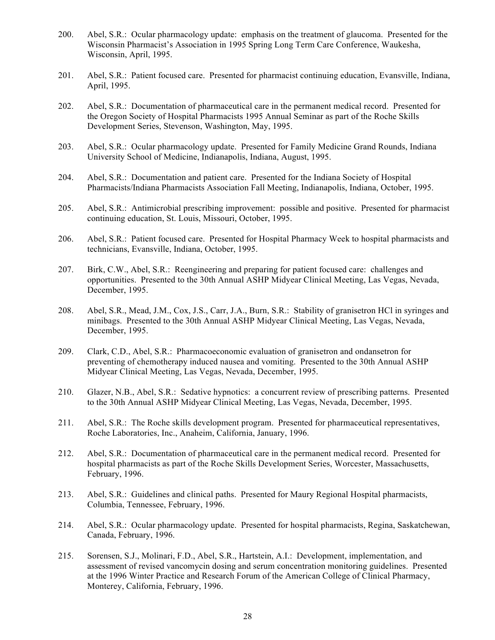- 200. Abel, S.R.: Ocular pharmacology update: emphasis on the treatment of glaucoma. Presented for the Wisconsin Pharmacist's Association in 1995 Spring Long Term Care Conference, Waukesha, Wisconsin, April, 1995.
- 201. Abel, S.R.: Patient focused care. Presented for pharmacist continuing education, Evansville, Indiana, April, 1995.
- 202. Abel, S.R.: Documentation of pharmaceutical care in the permanent medical record. Presented for the Oregon Society of Hospital Pharmacists 1995 Annual Seminar as part of the Roche Skills Development Series, Stevenson, Washington, May, 1995.
- 203. Abel, S.R.: Ocular pharmacology update. Presented for Family Medicine Grand Rounds, Indiana University School of Medicine, Indianapolis, Indiana, August, 1995.
- 204. Abel, S.R.: Documentation and patient care. Presented for the Indiana Society of Hospital Pharmacists/Indiana Pharmacists Association Fall Meeting, Indianapolis, Indiana, October, 1995.
- 205. Abel, S.R.: Antimicrobial prescribing improvement: possible and positive. Presented for pharmacist continuing education, St. Louis, Missouri, October, 1995.
- 206. Abel, S.R.: Patient focused care. Presented for Hospital Pharmacy Week to hospital pharmacists and technicians, Evansville, Indiana, October, 1995.
- 207. Birk, C.W., Abel, S.R.: Reengineering and preparing for patient focused care: challenges and opportunities. Presented to the 30th Annual ASHP Midyear Clinical Meeting, Las Vegas, Nevada, December, 1995.
- 208. Abel, S.R., Mead, J.M., Cox, J.S., Carr, J.A., Burn, S.R.: Stability of granisetron HCl in syringes and minibags. Presented to the 30th Annual ASHP Midyear Clinical Meeting, Las Vegas, Nevada, December, 1995.
- 209. Clark, C.D., Abel, S.R.: Pharmacoeconomic evaluation of granisetron and ondansetron for preventing of chemotherapy induced nausea and vomiting. Presented to the 30th Annual ASHP Midyear Clinical Meeting, Las Vegas, Nevada, December, 1995.
- 210. Glazer, N.B., Abel, S.R.: Sedative hypnotics: a concurrent review of prescribing patterns. Presented to the 30th Annual ASHP Midyear Clinical Meeting, Las Vegas, Nevada, December, 1995.
- 211. Abel, S.R.: The Roche skills development program. Presented for pharmaceutical representatives, Roche Laboratories, Inc., Anaheim, California, January, 1996.
- 212. Abel, S.R.: Documentation of pharmaceutical care in the permanent medical record. Presented for hospital pharmacists as part of the Roche Skills Development Series, Worcester, Massachusetts, February, 1996.
- 213. Abel, S.R.: Guidelines and clinical paths. Presented for Maury Regional Hospital pharmacists, Columbia, Tennessee, February, 1996.
- 214. Abel, S.R.: Ocular pharmacology update. Presented for hospital pharmacists, Regina, Saskatchewan, Canada, February, 1996.
- 215. Sorensen, S.J., Molinari, F.D., Abel, S.R., Hartstein, A.I.: Development, implementation, and assessment of revised vancomycin dosing and serum concentration monitoring guidelines. Presented at the 1996 Winter Practice and Research Forum of the American College of Clinical Pharmacy, Monterey, California, February, 1996.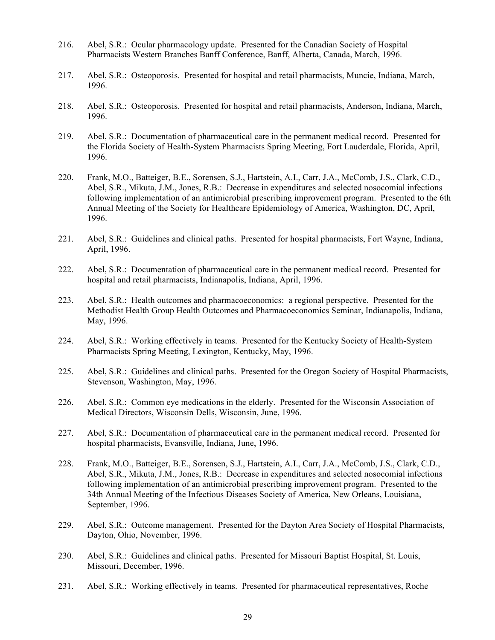- 216. Abel, S.R.: Ocular pharmacology update. Presented for the Canadian Society of Hospital Pharmacists Western Branches Banff Conference, Banff, Alberta, Canada, March, 1996.
- 217. Abel, S.R.: Osteoporosis. Presented for hospital and retail pharmacists, Muncie, Indiana, March, 1996.
- 218. Abel, S.R.: Osteoporosis. Presented for hospital and retail pharmacists, Anderson, Indiana, March, 1996.
- 219. Abel, S.R.: Documentation of pharmaceutical care in the permanent medical record. Presented for the Florida Society of Health-System Pharmacists Spring Meeting, Fort Lauderdale, Florida, April, 1996.
- 220. Frank, M.O., Batteiger, B.E., Sorensen, S.J., Hartstein, A.I., Carr, J.A., McComb, J.S., Clark, C.D., Abel, S.R., Mikuta, J.M., Jones, R.B.: Decrease in expenditures and selected nosocomial infections following implementation of an antimicrobial prescribing improvement program. Presented to the 6th Annual Meeting of the Society for Healthcare Epidemiology of America, Washington, DC, April, 1996.
- 221. Abel, S.R.: Guidelines and clinical paths. Presented for hospital pharmacists, Fort Wayne, Indiana, April, 1996.
- 222. Abel, S.R.: Documentation of pharmaceutical care in the permanent medical record. Presented for hospital and retail pharmacists, Indianapolis, Indiana, April, 1996.
- 223. Abel, S.R.: Health outcomes and pharmacoeconomics: a regional perspective. Presented for the Methodist Health Group Health Outcomes and Pharmacoeconomics Seminar, Indianapolis, Indiana, May, 1996.
- 224. Abel, S.R.: Working effectively in teams. Presented for the Kentucky Society of Health-System Pharmacists Spring Meeting, Lexington, Kentucky, May, 1996.
- 225. Abel, S.R.: Guidelines and clinical paths. Presented for the Oregon Society of Hospital Pharmacists, Stevenson, Washington, May, 1996.
- 226. Abel, S.R.: Common eye medications in the elderly. Presented for the Wisconsin Association of Medical Directors, Wisconsin Dells, Wisconsin, June, 1996.
- 227. Abel, S.R.: Documentation of pharmaceutical care in the permanent medical record. Presented for hospital pharmacists, Evansville, Indiana, June, 1996.
- 228. Frank, M.O., Batteiger, B.E., Sorensen, S.J., Hartstein, A.I., Carr, J.A., McComb, J.S., Clark, C.D., Abel, S.R., Mikuta, J.M., Jones, R.B.: Decrease in expenditures and selected nosocomial infections following implementation of an antimicrobial prescribing improvement program. Presented to the 34th Annual Meeting of the Infectious Diseases Society of America, New Orleans, Louisiana, September, 1996.
- 229. Abel, S.R.: Outcome management. Presented for the Dayton Area Society of Hospital Pharmacists, Dayton, Ohio, November, 1996.
- 230. Abel, S.R.: Guidelines and clinical paths. Presented for Missouri Baptist Hospital, St. Louis, Missouri, December, 1996.
- 231. Abel, S.R.: Working effectively in teams. Presented for pharmaceutical representatives, Roche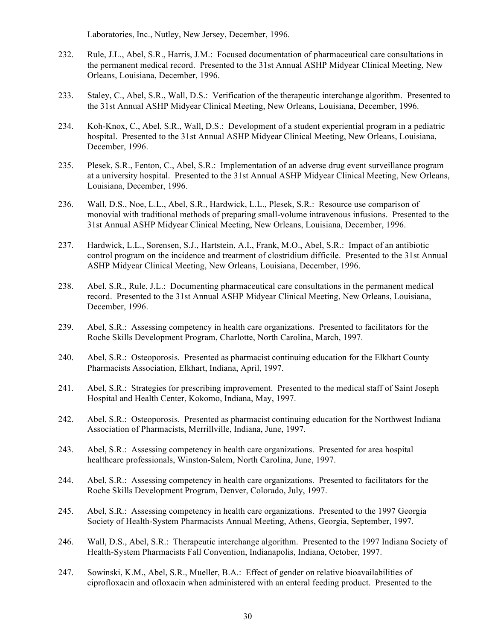Laboratories, Inc., Nutley, New Jersey, December, 1996.

- 232. Rule, J.L., Abel, S.R., Harris, J.M.: Focused documentation of pharmaceutical care consultations in the permanent medical record. Presented to the 31st Annual ASHP Midyear Clinical Meeting, New Orleans, Louisiana, December, 1996.
- 233. Staley, C., Abel, S.R., Wall, D.S.: Verification of the therapeutic interchange algorithm. Presented to the 31st Annual ASHP Midyear Clinical Meeting, New Orleans, Louisiana, December, 1996.
- 234. Koh-Knox, C., Abel, S.R., Wall, D.S.: Development of a student experiential program in a pediatric hospital. Presented to the 31st Annual ASHP Midyear Clinical Meeting, New Orleans, Louisiana, December, 1996.
- 235. Plesek, S.R., Fenton, C., Abel, S.R.: Implementation of an adverse drug event surveillance program at a university hospital. Presented to the 31st Annual ASHP Midyear Clinical Meeting, New Orleans, Louisiana, December, 1996.
- 236. Wall, D.S., Noe, L.L., Abel, S.R., Hardwick, L.L., Plesek, S.R.: Resource use comparison of monovial with traditional methods of preparing small-volume intravenous infusions. Presented to the 31st Annual ASHP Midyear Clinical Meeting, New Orleans, Louisiana, December, 1996.
- 237. Hardwick, L.L., Sorensen, S.J., Hartstein, A.I., Frank, M.O., Abel, S.R.: Impact of an antibiotic control program on the incidence and treatment of clostridium difficile. Presented to the 31st Annual ASHP Midyear Clinical Meeting, New Orleans, Louisiana, December, 1996.
- 238. Abel, S.R., Rule, J.L.: Documenting pharmaceutical care consultations in the permanent medical record. Presented to the 31st Annual ASHP Midyear Clinical Meeting, New Orleans, Louisiana, December, 1996.
- 239. Abel, S.R.: Assessing competency in health care organizations. Presented to facilitators for the Roche Skills Development Program, Charlotte, North Carolina, March, 1997.
- 240. Abel, S.R.: Osteoporosis. Presented as pharmacist continuing education for the Elkhart County Pharmacists Association, Elkhart, Indiana, April, 1997.
- 241. Abel, S.R.: Strategies for prescribing improvement. Presented to the medical staff of Saint Joseph Hospital and Health Center, Kokomo, Indiana, May, 1997.
- 242. Abel, S.R.: Osteoporosis. Presented as pharmacist continuing education for the Northwest Indiana Association of Pharmacists, Merrillville, Indiana, June, 1997.
- 243. Abel, S.R.: Assessing competency in health care organizations. Presented for area hospital healthcare professionals, Winston-Salem, North Carolina, June, 1997.
- 244. Abel, S.R.: Assessing competency in health care organizations. Presented to facilitators for the Roche Skills Development Program, Denver, Colorado, July, 1997.
- 245. Abel, S.R.: Assessing competency in health care organizations. Presented to the 1997 Georgia Society of Health-System Pharmacists Annual Meeting, Athens, Georgia, September, 1997.
- 246. Wall, D.S., Abel, S.R.: Therapeutic interchange algorithm. Presented to the 1997 Indiana Society of Health-System Pharmacists Fall Convention, Indianapolis, Indiana, October, 1997.
- 247. Sowinski, K.M., Abel, S.R., Mueller, B.A.: Effect of gender on relative bioavailabilities of ciprofloxacin and ofloxacin when administered with an enteral feeding product. Presented to the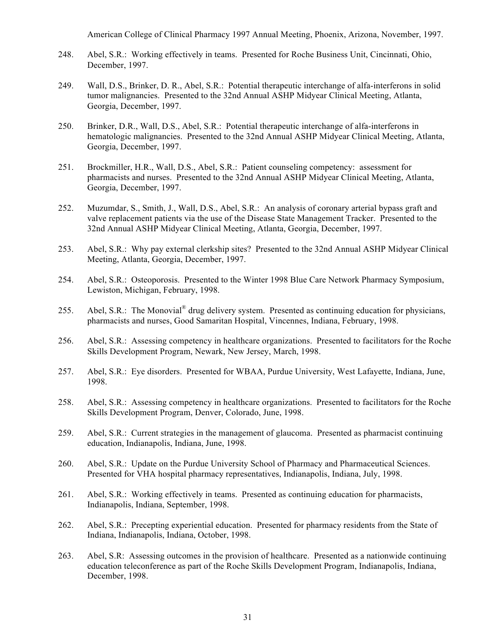American College of Clinical Pharmacy 1997 Annual Meeting, Phoenix, Arizona, November, 1997.

- 248. Abel, S.R.: Working effectively in teams. Presented for Roche Business Unit, Cincinnati, Ohio, December, 1997.
- 249. Wall, D.S., Brinker, D. R., Abel, S.R.: Potential therapeutic interchange of alfa-interferons in solid tumor malignancies. Presented to the 32nd Annual ASHP Midyear Clinical Meeting, Atlanta, Georgia, December, 1997.
- 250. Brinker, D.R., Wall, D.S., Abel, S.R.: Potential therapeutic interchange of alfa-interferons in hematologic malignancies. Presented to the 32nd Annual ASHP Midyear Clinical Meeting, Atlanta, Georgia, December, 1997.
- 251. Brockmiller, H.R., Wall, D.S., Abel, S.R.: Patient counseling competency: assessment for pharmacists and nurses. Presented to the 32nd Annual ASHP Midyear Clinical Meeting, Atlanta, Georgia, December, 1997.
- 252. Muzumdar, S., Smith, J., Wall, D.S., Abel, S.R.: An analysis of coronary arterial bypass graft and valve replacement patients via the use of the Disease State Management Tracker. Presented to the 32nd Annual ASHP Midyear Clinical Meeting, Atlanta, Georgia, December, 1997.
- 253. Abel, S.R.: Why pay external clerkship sites? Presented to the 32nd Annual ASHP Midyear Clinical Meeting, Atlanta, Georgia, December, 1997.
- 254. Abel, S.R.: Osteoporosis. Presented to the Winter 1998 Blue Care Network Pharmacy Symposium, Lewiston, Michigan, February, 1998.
- 255. Abel, S.R.: The Monovial® drug delivery system. Presented as continuing education for physicians, pharmacists and nurses, Good Samaritan Hospital, Vincennes, Indiana, February, 1998.
- 256. Abel, S.R.: Assessing competency in healthcare organizations. Presented to facilitators for the Roche Skills Development Program, Newark, New Jersey, March, 1998.
- 257. Abel, S.R.: Eye disorders. Presented for WBAA, Purdue University, West Lafayette, Indiana, June, 1998.
- 258. Abel, S.R.: Assessing competency in healthcare organizations. Presented to facilitators for the Roche Skills Development Program, Denver, Colorado, June, 1998.
- 259. Abel, S.R.: Current strategies in the management of glaucoma. Presented as pharmacist continuing education, Indianapolis, Indiana, June, 1998.
- 260. Abel, S.R.: Update on the Purdue University School of Pharmacy and Pharmaceutical Sciences. Presented for VHA hospital pharmacy representatives, Indianapolis, Indiana, July, 1998.
- 261. Abel, S.R.: Working effectively in teams. Presented as continuing education for pharmacists, Indianapolis, Indiana, September, 1998.
- 262. Abel, S.R.: Precepting experiential education. Presented for pharmacy residents from the State of Indiana, Indianapolis, Indiana, October, 1998.
- 263. Abel, S.R: Assessing outcomes in the provision of healthcare. Presented as a nationwide continuing education teleconference as part of the Roche Skills Development Program, Indianapolis, Indiana, December, 1998.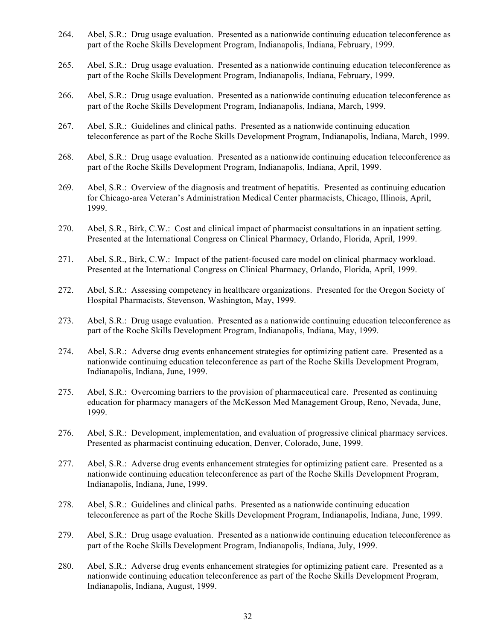- 264. Abel, S.R.: Drug usage evaluation. Presented as a nationwide continuing education teleconference as part of the Roche Skills Development Program, Indianapolis, Indiana, February, 1999.
- 265. Abel, S.R.: Drug usage evaluation. Presented as a nationwide continuing education teleconference as part of the Roche Skills Development Program, Indianapolis, Indiana, February, 1999.
- 266. Abel, S.R.: Drug usage evaluation. Presented as a nationwide continuing education teleconference as part of the Roche Skills Development Program, Indianapolis, Indiana, March, 1999.
- 267. Abel, S.R.: Guidelines and clinical paths. Presented as a nationwide continuing education teleconference as part of the Roche Skills Development Program, Indianapolis, Indiana, March, 1999.
- 268. Abel, S.R.: Drug usage evaluation. Presented as a nationwide continuing education teleconference as part of the Roche Skills Development Program, Indianapolis, Indiana, April, 1999.
- 269. Abel, S.R.: Overview of the diagnosis and treatment of hepatitis. Presented as continuing education for Chicago-area Veteran's Administration Medical Center pharmacists, Chicago, Illinois, April, 1999.
- 270. Abel, S.R., Birk, C.W.: Cost and clinical impact of pharmacist consultations in an inpatient setting. Presented at the International Congress on Clinical Pharmacy, Orlando, Florida, April, 1999.
- 271. Abel, S.R., Birk, C.W.: Impact of the patient-focused care model on clinical pharmacy workload. Presented at the International Congress on Clinical Pharmacy, Orlando, Florida, April, 1999.
- 272. Abel, S.R.: Assessing competency in healthcare organizations. Presented for the Oregon Society of Hospital Pharmacists, Stevenson, Washington, May, 1999.
- 273. Abel, S.R.: Drug usage evaluation. Presented as a nationwide continuing education teleconference as part of the Roche Skills Development Program, Indianapolis, Indiana, May, 1999.
- 274. Abel, S.R.: Adverse drug events enhancement strategies for optimizing patient care. Presented as a nationwide continuing education teleconference as part of the Roche Skills Development Program, Indianapolis, Indiana, June, 1999.
- 275. Abel, S.R.: Overcoming barriers to the provision of pharmaceutical care. Presented as continuing education for pharmacy managers of the McKesson Med Management Group, Reno, Nevada, June, 1999.
- 276. Abel, S.R.: Development, implementation, and evaluation of progressive clinical pharmacy services. Presented as pharmacist continuing education, Denver, Colorado, June, 1999.
- 277. Abel, S.R.: Adverse drug events enhancement strategies for optimizing patient care. Presented as a nationwide continuing education teleconference as part of the Roche Skills Development Program, Indianapolis, Indiana, June, 1999.
- 278. Abel, S.R.: Guidelines and clinical paths. Presented as a nationwide continuing education teleconference as part of the Roche Skills Development Program, Indianapolis, Indiana, June, 1999.
- 279. Abel, S.R.: Drug usage evaluation. Presented as a nationwide continuing education teleconference as part of the Roche Skills Development Program, Indianapolis, Indiana, July, 1999.
- 280. Abel, S.R.: Adverse drug events enhancement strategies for optimizing patient care. Presented as a nationwide continuing education teleconference as part of the Roche Skills Development Program, Indianapolis, Indiana, August, 1999.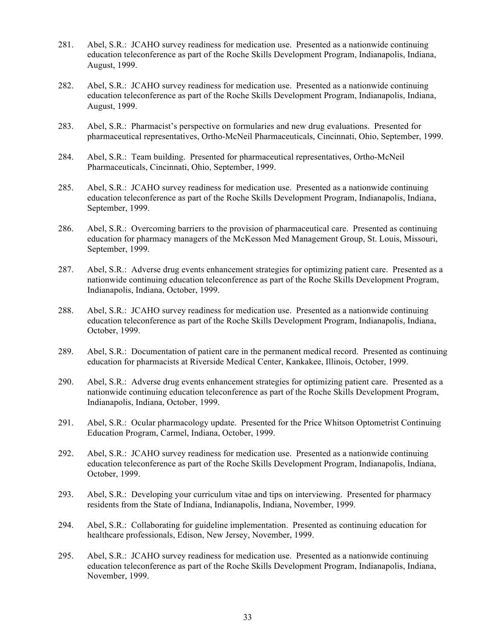- 281. Abel, S.R.: JCAHO survey readiness for medication use. Presented as a nationwide continuing education teleconference as part of the Roche Skills Development Program, Indianapolis, Indiana, August, 1999.
- 282. Abel, S.R.: JCAHO survey readiness for medication use. Presented as a nationwide continuing education teleconference as part of the Roche Skills Development Program, Indianapolis, Indiana, August, 1999.
- 283. Abel, S.R.: Pharmacist's perspective on formularies and new drug evaluations. Presented for pharmaceutical representatives, Ortho-McNeil Pharmaceuticals, Cincinnati, Ohio, September, 1999.
- 284. Abel, S.R.: Team building. Presented for pharmaceutical representatives, Ortho-McNeil Pharmaceuticals, Cincinnati, Ohio, September, 1999.
- 285. Abel, S.R.: JCAHO survey readiness for medication use. Presented as a nationwide continuing education teleconference as part of the Roche Skills Development Program, Indianapolis, Indiana, September, 1999.
- 286. Abel, S.R.: Overcoming barriers to the provision of pharmaceutical care. Presented as continuing education for pharmacy managers of the McKesson Med Management Group, St. Louis, Missouri, September, 1999.
- 287. Abel, S.R.: Adverse drug events enhancement strategies for optimizing patient care. Presented as a nationwide continuing education teleconference as part of the Roche Skills Development Program, Indianapolis, Indiana, October, 1999.
- 288. Abel, S.R.: JCAHO survey readiness for medication use. Presented as a nationwide continuing education teleconference as part of the Roche Skills Development Program, Indianapolis, Indiana, October, 1999.
- 289. Abel, S.R.: Documentation of patient care in the permanent medical record. Presented as continuing education for pharmacists at Riverside Medical Center, Kankakee, Illinois, October, 1999.
- 290. Abel, S.R.: Adverse drug events enhancement strategies for optimizing patient care. Presented as a nationwide continuing education teleconference as part of the Roche Skills Development Program, Indianapolis, Indiana, October, 1999.
- 291. Abel, S.R.: Ocular pharmacology update. Presented for the Price Whitson Optometrist Continuing Education Program, Carmel, Indiana, October, 1999.
- 292. Abel, S.R.: JCAHO survey readiness for medication use. Presented as a nationwide continuing education teleconference as part of the Roche Skills Development Program, Indianapolis, Indiana, October, 1999.
- 293. Abel, S.R.: Developing your curriculum vitae and tips on interviewing. Presented for pharmacy residents from the State of Indiana, Indianapolis, Indiana, November, 1999.
- 294. Abel, S.R.: Collaborating for guideline implementation. Presented as continuing education for healthcare professionals, Edison, New Jersey, November, 1999.
- 295. Abel, S.R.: JCAHO survey readiness for medication use. Presented as a nationwide continuing education teleconference as part of the Roche Skills Development Program, Indianapolis, Indiana, November, 1999.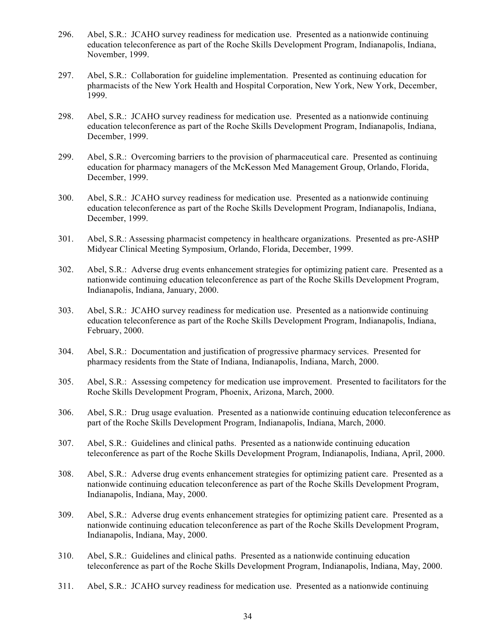- 296. Abel, S.R.: JCAHO survey readiness for medication use. Presented as a nationwide continuing education teleconference as part of the Roche Skills Development Program, Indianapolis, Indiana, November, 1999.
- 297. Abel, S.R.: Collaboration for guideline implementation. Presented as continuing education for pharmacists of the New York Health and Hospital Corporation, New York, New York, December, 1999.
- 298. Abel, S.R.: JCAHO survey readiness for medication use. Presented as a nationwide continuing education teleconference as part of the Roche Skills Development Program, Indianapolis, Indiana, December, 1999.
- 299. Abel, S.R.: Overcoming barriers to the provision of pharmaceutical care. Presented as continuing education for pharmacy managers of the McKesson Med Management Group, Orlando, Florida, December, 1999.
- 300. Abel, S.R.: JCAHO survey readiness for medication use. Presented as a nationwide continuing education teleconference as part of the Roche Skills Development Program, Indianapolis, Indiana, December, 1999.
- 301. Abel, S.R.: Assessing pharmacist competency in healthcare organizations. Presented as pre-ASHP Midyear Clinical Meeting Symposium, Orlando, Florida, December, 1999.
- 302. Abel, S.R.: Adverse drug events enhancement strategies for optimizing patient care. Presented as a nationwide continuing education teleconference as part of the Roche Skills Development Program, Indianapolis, Indiana, January, 2000.
- 303. Abel, S.R.: JCAHO survey readiness for medication use. Presented as a nationwide continuing education teleconference as part of the Roche Skills Development Program, Indianapolis, Indiana, February, 2000.
- 304. Abel, S.R.: Documentation and justification of progressive pharmacy services. Presented for pharmacy residents from the State of Indiana, Indianapolis, Indiana, March, 2000.
- 305. Abel, S.R.: Assessing competency for medication use improvement. Presented to facilitators for the Roche Skills Development Program, Phoenix, Arizona, March, 2000.
- 306. Abel, S.R.: Drug usage evaluation. Presented as a nationwide continuing education teleconference as part of the Roche Skills Development Program, Indianapolis, Indiana, March, 2000.
- 307. Abel, S.R.: Guidelines and clinical paths. Presented as a nationwide continuing education teleconference as part of the Roche Skills Development Program, Indianapolis, Indiana, April, 2000.
- 308. Abel, S.R.: Adverse drug events enhancement strategies for optimizing patient care. Presented as a nationwide continuing education teleconference as part of the Roche Skills Development Program, Indianapolis, Indiana, May, 2000.
- 309. Abel, S.R.: Adverse drug events enhancement strategies for optimizing patient care. Presented as a nationwide continuing education teleconference as part of the Roche Skills Development Program, Indianapolis, Indiana, May, 2000.
- 310. Abel, S.R.: Guidelines and clinical paths. Presented as a nationwide continuing education teleconference as part of the Roche Skills Development Program, Indianapolis, Indiana, May, 2000.
- 311. Abel, S.R.: JCAHO survey readiness for medication use. Presented as a nationwide continuing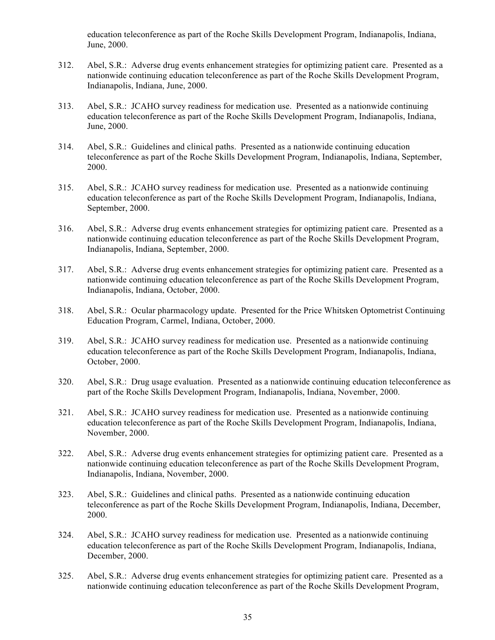education teleconference as part of the Roche Skills Development Program, Indianapolis, Indiana, June, 2000.

- 312. Abel, S.R.: Adverse drug events enhancement strategies for optimizing patient care. Presented as a nationwide continuing education teleconference as part of the Roche Skills Development Program, Indianapolis, Indiana, June, 2000.
- 313. Abel, S.R.: JCAHO survey readiness for medication use. Presented as a nationwide continuing education teleconference as part of the Roche Skills Development Program, Indianapolis, Indiana, June, 2000.
- 314. Abel, S.R.: Guidelines and clinical paths. Presented as a nationwide continuing education teleconference as part of the Roche Skills Development Program, Indianapolis, Indiana, September, 2000.
- 315. Abel, S.R.: JCAHO survey readiness for medication use. Presented as a nationwide continuing education teleconference as part of the Roche Skills Development Program, Indianapolis, Indiana, September, 2000.
- 316. Abel, S.R.: Adverse drug events enhancement strategies for optimizing patient care. Presented as a nationwide continuing education teleconference as part of the Roche Skills Development Program, Indianapolis, Indiana, September, 2000.
- 317. Abel, S.R.: Adverse drug events enhancement strategies for optimizing patient care. Presented as a nationwide continuing education teleconference as part of the Roche Skills Development Program, Indianapolis, Indiana, October, 2000.
- 318. Abel, S.R.: Ocular pharmacology update. Presented for the Price Whitsken Optometrist Continuing Education Program, Carmel, Indiana, October, 2000.
- 319. Abel, S.R.: JCAHO survey readiness for medication use. Presented as a nationwide continuing education teleconference as part of the Roche Skills Development Program, Indianapolis, Indiana, October, 2000.
- 320. Abel, S.R.: Drug usage evaluation. Presented as a nationwide continuing education teleconference as part of the Roche Skills Development Program, Indianapolis, Indiana, November, 2000.
- 321. Abel, S.R.: JCAHO survey readiness for medication use. Presented as a nationwide continuing education teleconference as part of the Roche Skills Development Program, Indianapolis, Indiana, November, 2000.
- 322. Abel, S.R.: Adverse drug events enhancement strategies for optimizing patient care. Presented as a nationwide continuing education teleconference as part of the Roche Skills Development Program, Indianapolis, Indiana, November, 2000.
- 323. Abel, S.R.: Guidelines and clinical paths. Presented as a nationwide continuing education teleconference as part of the Roche Skills Development Program, Indianapolis, Indiana, December, 2000.
- 324. Abel, S.R.: JCAHO survey readiness for medication use. Presented as a nationwide continuing education teleconference as part of the Roche Skills Development Program, Indianapolis, Indiana, December, 2000.
- 325. Abel, S.R.: Adverse drug events enhancement strategies for optimizing patient care. Presented as a nationwide continuing education teleconference as part of the Roche Skills Development Program,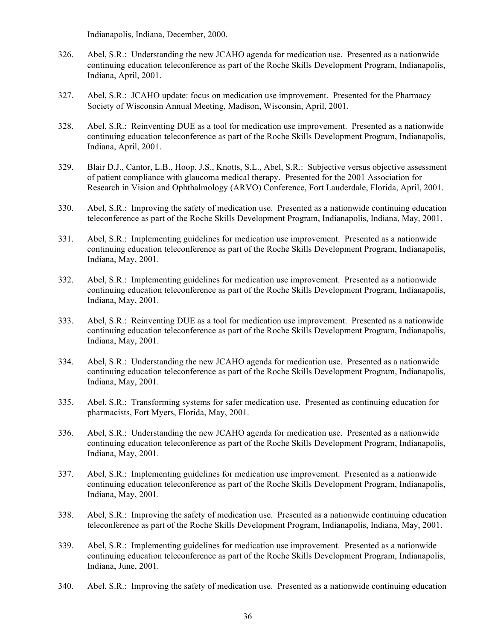Indianapolis, Indiana, December, 2000.

- 326. Abel, S.R.: Understanding the new JCAHO agenda for medication use. Presented as a nationwide continuing education teleconference as part of the Roche Skills Development Program, Indianapolis, Indiana, April, 2001.
- 327. Abel, S.R.: JCAHO update: focus on medication use improvement. Presented for the Pharmacy Society of Wisconsin Annual Meeting, Madison, Wisconsin, April, 2001.
- 328. Abel, S.R.: Reinventing DUE as a tool for medication use improvement. Presented as a nationwide continuing education teleconference as part of the Roche Skills Development Program, Indianapolis, Indiana, April, 2001.
- 329. Blair D.J., Cantor, L.B., Hoop, J.S., Knotts, S.L., Abel, S.R.: Subjective versus objective assessment of patient compliance with glaucoma medical therapy. Presented for the 2001 Association for Research in Vision and Ophthalmology (ARVO) Conference, Fort Lauderdale, Florida, April, 2001.
- 330. Abel, S.R.: Improving the safety of medication use. Presented as a nationwide continuing education teleconference as part of the Roche Skills Development Program, Indianapolis, Indiana, May, 2001.
- 331. Abel, S.R.: Implementing guidelines for medication use improvement. Presented as a nationwide continuing education teleconference as part of the Roche Skills Development Program, Indianapolis, Indiana, May, 2001.
- 332. Abel, S.R.: Implementing guidelines for medication use improvement. Presented as a nationwide continuing education teleconference as part of the Roche Skills Development Program, Indianapolis, Indiana, May, 2001.
- 333. Abel, S.R.: Reinventing DUE as a tool for medication use improvement. Presented as a nationwide continuing education teleconference as part of the Roche Skills Development Program, Indianapolis, Indiana, May, 2001.
- 334. Abel, S.R.: Understanding the new JCAHO agenda for medication use. Presented as a nationwide continuing education teleconference as part of the Roche Skills Development Program, Indianapolis, Indiana, May, 2001.
- 335. Abel, S.R.: Transforming systems for safer medication use. Presented as continuing education for pharmacists, Fort Myers, Florida, May, 2001.
- 336. Abel, S.R.: Understanding the new JCAHO agenda for medication use. Presented as a nationwide continuing education teleconference as part of the Roche Skills Development Program, Indianapolis, Indiana, May, 2001.
- 337. Abel, S.R.: Implementing guidelines for medication use improvement. Presented as a nationwide continuing education teleconference as part of the Roche Skills Development Program, Indianapolis, Indiana, May, 2001.
- 338. Abel, S.R.: Improving the safety of medication use. Presented as a nationwide continuing education teleconference as part of the Roche Skills Development Program, Indianapolis, Indiana, May, 2001.
- 339. Abel, S.R.: Implementing guidelines for medication use improvement. Presented as a nationwide continuing education teleconference as part of the Roche Skills Development Program, Indianapolis, Indiana, June, 2001.
- 340. Abel, S.R.: Improving the safety of medication use. Presented as a nationwide continuing education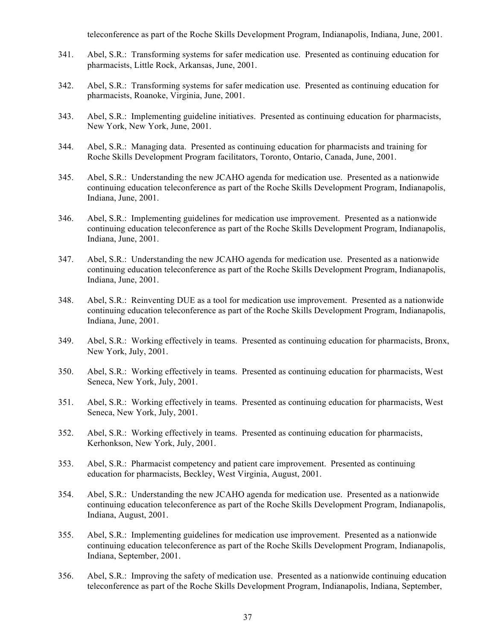teleconference as part of the Roche Skills Development Program, Indianapolis, Indiana, June, 2001.

- 341. Abel, S.R.: Transforming systems for safer medication use. Presented as continuing education for pharmacists, Little Rock, Arkansas, June, 2001.
- 342. Abel, S.R.: Transforming systems for safer medication use. Presented as continuing education for pharmacists, Roanoke, Virginia, June, 2001.
- 343. Abel, S.R.: Implementing guideline initiatives. Presented as continuing education for pharmacists, New York, New York, June, 2001.
- 344. Abel, S.R.: Managing data. Presented as continuing education for pharmacists and training for Roche Skills Development Program facilitators, Toronto, Ontario, Canada, June, 2001.
- 345. Abel, S.R.: Understanding the new JCAHO agenda for medication use. Presented as a nationwide continuing education teleconference as part of the Roche Skills Development Program, Indianapolis, Indiana, June, 2001.
- 346. Abel, S.R.: Implementing guidelines for medication use improvement. Presented as a nationwide continuing education teleconference as part of the Roche Skills Development Program, Indianapolis, Indiana, June, 2001.
- 347. Abel, S.R.: Understanding the new JCAHO agenda for medication use. Presented as a nationwide continuing education teleconference as part of the Roche Skills Development Program, Indianapolis, Indiana, June, 2001.
- 348. Abel, S.R.: Reinventing DUE as a tool for medication use improvement. Presented as a nationwide continuing education teleconference as part of the Roche Skills Development Program, Indianapolis, Indiana, June, 2001.
- 349. Abel, S.R.: Working effectively in teams. Presented as continuing education for pharmacists, Bronx, New York, July, 2001.
- 350. Abel, S.R.: Working effectively in teams. Presented as continuing education for pharmacists, West Seneca, New York, July, 2001.
- 351. Abel, S.R.: Working effectively in teams. Presented as continuing education for pharmacists, West Seneca, New York, July, 2001.
- 352. Abel, S.R.: Working effectively in teams. Presented as continuing education for pharmacists, Kerhonkson, New York, July, 2001.
- 353. Abel, S.R.: Pharmacist competency and patient care improvement. Presented as continuing education for pharmacists, Beckley, West Virginia, August, 2001.
- 354. Abel, S.R.: Understanding the new JCAHO agenda for medication use. Presented as a nationwide continuing education teleconference as part of the Roche Skills Development Program, Indianapolis, Indiana, August, 2001.
- 355. Abel, S.R.: Implementing guidelines for medication use improvement. Presented as a nationwide continuing education teleconference as part of the Roche Skills Development Program, Indianapolis, Indiana, September, 2001.
- 356. Abel, S.R.: Improving the safety of medication use. Presented as a nationwide continuing education teleconference as part of the Roche Skills Development Program, Indianapolis, Indiana, September,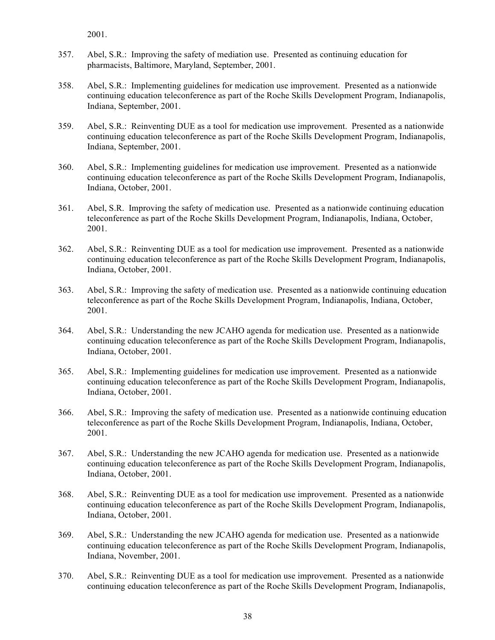2001.

- 357. Abel, S.R.: Improving the safety of mediation use. Presented as continuing education for pharmacists, Baltimore, Maryland, September, 2001.
- 358. Abel, S.R.: Implementing guidelines for medication use improvement. Presented as a nationwide continuing education teleconference as part of the Roche Skills Development Program, Indianapolis, Indiana, September, 2001.
- 359. Abel, S.R.: Reinventing DUE as a tool for medication use improvement. Presented as a nationwide continuing education teleconference as part of the Roche Skills Development Program, Indianapolis, Indiana, September, 2001.
- 360. Abel, S.R.: Implementing guidelines for medication use improvement. Presented as a nationwide continuing education teleconference as part of the Roche Skills Development Program, Indianapolis, Indiana, October, 2001.
- 361. Abel, S.R. Improving the safety of medication use. Presented as a nationwide continuing education teleconference as part of the Roche Skills Development Program, Indianapolis, Indiana, October, 2001.
- 362. Abel, S.R.: Reinventing DUE as a tool for medication use improvement. Presented as a nationwide continuing education teleconference as part of the Roche Skills Development Program, Indianapolis, Indiana, October, 2001.
- 363. Abel, S.R.: Improving the safety of medication use. Presented as a nationwide continuing education teleconference as part of the Roche Skills Development Program, Indianapolis, Indiana, October, 2001.
- 364. Abel, S.R.: Understanding the new JCAHO agenda for medication use. Presented as a nationwide continuing education teleconference as part of the Roche Skills Development Program, Indianapolis, Indiana, October, 2001.
- 365. Abel, S.R.: Implementing guidelines for medication use improvement. Presented as a nationwide continuing education teleconference as part of the Roche Skills Development Program, Indianapolis, Indiana, October, 2001.
- 366. Abel, S.R.: Improving the safety of medication use. Presented as a nationwide continuing education teleconference as part of the Roche Skills Development Program, Indianapolis, Indiana, October, 2001.
- 367. Abel, S.R.: Understanding the new JCAHO agenda for medication use. Presented as a nationwide continuing education teleconference as part of the Roche Skills Development Program, Indianapolis, Indiana, October, 2001.
- 368. Abel, S.R.: Reinventing DUE as a tool for medication use improvement. Presented as a nationwide continuing education teleconference as part of the Roche Skills Development Program, Indianapolis, Indiana, October, 2001.
- 369. Abel, S.R.: Understanding the new JCAHO agenda for medication use. Presented as a nationwide continuing education teleconference as part of the Roche Skills Development Program, Indianapolis, Indiana, November, 2001.
- 370. Abel, S.R.: Reinventing DUE as a tool for medication use improvement. Presented as a nationwide continuing education teleconference as part of the Roche Skills Development Program, Indianapolis,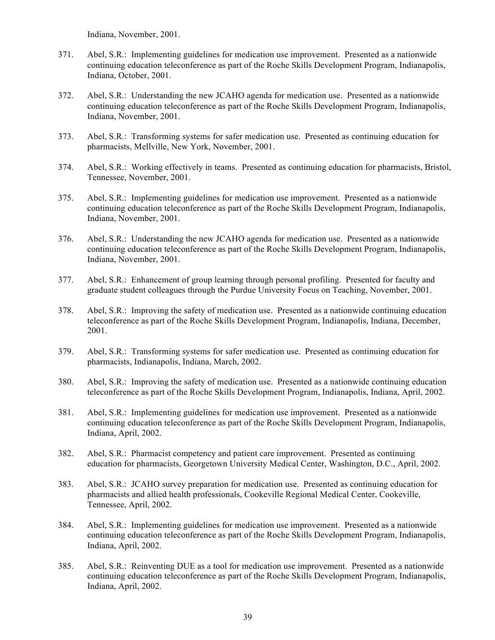Indiana, November, 2001.

- 371. Abel, S.R.: Implementing guidelines for medication use improvement. Presented as a nationwide continuing education teleconference as part of the Roche Skills Development Program, Indianapolis, Indiana, October, 2001.
- 372. Abel, S.R.: Understanding the new JCAHO agenda for medication use. Presented as a nationwide continuing education teleconference as part of the Roche Skills Development Program, Indianapolis, Indiana, November, 2001.
- 373. Abel, S.R.: Transforming systems for safer medication use. Presented as continuing education for pharmacists, Mellville, New York, November, 2001.
- 374. Abel, S.R.: Working effectively in teams. Presented as continuing education for pharmacists, Bristol, Tennessee, November, 2001.
- 375. Abel, S.R.: Implementing guidelines for medication use improvement. Presented as a nationwide continuing education teleconference as part of the Roche Skills Development Program, Indianapolis, Indiana, November, 2001.
- 376. Abel, S.R.: Understanding the new JCAHO agenda for medication use. Presented as a nationwide continuing education teleconference as part of the Roche Skills Development Program, Indianapolis, Indiana, November, 2001.
- 377. Abel, S.R.: Enhancement of group learning through personal profiling. Presented for faculty and graduate student colleagues through the Purdue University Focus on Teaching, November, 2001.
- 378. Abel, S.R.: Improving the safety of medication use. Presented as a nationwide continuing education teleconference as part of the Roche Skills Development Program, Indianapolis, Indiana, December, 2001.
- 379. Abel, S.R.: Transforming systems for safer medication use. Presented as continuing education for pharmacists, Indianapolis, Indiana, March, 2002.
- 380. Abel, S.R.: Improving the safety of medication use. Presented as a nationwide continuing education teleconference as part of the Roche Skills Development Program, Indianapolis, Indiana, April, 2002.
- 381. Abel, S.R.: Implementing guidelines for medication use improvement. Presented as a nationwide continuing education teleconference as part of the Roche Skills Development Program, Indianapolis, Indiana, April, 2002.
- 382. Abel, S.R.: Pharmacist competency and patient care improvement. Presented as continuing education for pharmacists, Georgetown University Medical Center, Washington, D.C., April, 2002.
- 383. Abel, S.R.: JCAHO survey preparation for medication use. Presented as continuing education for pharmacists and allied health professionals, Cookeville Regional Medical Center, Cookeville, Tennessee, April, 2002.
- 384. Abel, S.R.: Implementing guidelines for medication use improvement. Presented as a nationwide continuing education teleconference as part of the Roche Skills Development Program, Indianapolis, Indiana, April, 2002.
- 385. Abel, S.R.: Reinventing DUE as a tool for medication use improvement. Presented as a nationwide continuing education teleconference as part of the Roche Skills Development Program, Indianapolis, Indiana, April, 2002.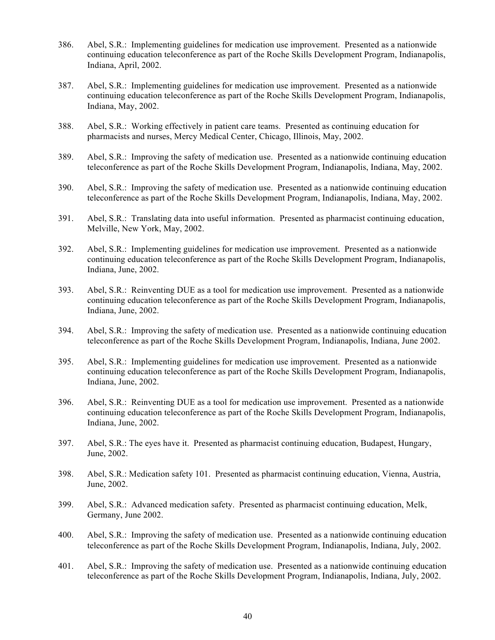- 386. Abel, S.R.: Implementing guidelines for medication use improvement. Presented as a nationwide continuing education teleconference as part of the Roche Skills Development Program, Indianapolis, Indiana, April, 2002.
- 387. Abel, S.R.: Implementing guidelines for medication use improvement. Presented as a nationwide continuing education teleconference as part of the Roche Skills Development Program, Indianapolis, Indiana, May, 2002.
- 388. Abel, S.R.: Working effectively in patient care teams. Presented as continuing education for pharmacists and nurses, Mercy Medical Center, Chicago, Illinois, May, 2002.
- 389. Abel, S.R.: Improving the safety of medication use. Presented as a nationwide continuing education teleconference as part of the Roche Skills Development Program, Indianapolis, Indiana, May, 2002.
- 390. Abel, S.R.: Improving the safety of medication use. Presented as a nationwide continuing education teleconference as part of the Roche Skills Development Program, Indianapolis, Indiana, May, 2002.
- 391. Abel, S.R.: Translating data into useful information. Presented as pharmacist continuing education, Melville, New York, May, 2002.
- 392. Abel, S.R.: Implementing guidelines for medication use improvement. Presented as a nationwide continuing education teleconference as part of the Roche Skills Development Program, Indianapolis, Indiana, June, 2002.
- 393. Abel, S.R.: Reinventing DUE as a tool for medication use improvement. Presented as a nationwide continuing education teleconference as part of the Roche Skills Development Program, Indianapolis, Indiana, June, 2002.
- 394. Abel, S.R.: Improving the safety of medication use. Presented as a nationwide continuing education teleconference as part of the Roche Skills Development Program, Indianapolis, Indiana, June 2002.
- 395. Abel, S.R.: Implementing guidelines for medication use improvement. Presented as a nationwide continuing education teleconference as part of the Roche Skills Development Program, Indianapolis, Indiana, June, 2002.
- 396. Abel, S.R.: Reinventing DUE as a tool for medication use improvement. Presented as a nationwide continuing education teleconference as part of the Roche Skills Development Program, Indianapolis, Indiana, June, 2002.
- 397. Abel, S.R.: The eyes have it. Presented as pharmacist continuing education, Budapest, Hungary, June, 2002.
- 398. Abel, S.R.: Medication safety 101. Presented as pharmacist continuing education, Vienna, Austria, June, 2002.
- 399. Abel, S.R.: Advanced medication safety. Presented as pharmacist continuing education, Melk, Germany, June 2002.
- 400. Abel, S.R.: Improving the safety of medication use. Presented as a nationwide continuing education teleconference as part of the Roche Skills Development Program, Indianapolis, Indiana, July, 2002.
- 401. Abel, S.R.: Improving the safety of medication use. Presented as a nationwide continuing education teleconference as part of the Roche Skills Development Program, Indianapolis, Indiana, July, 2002.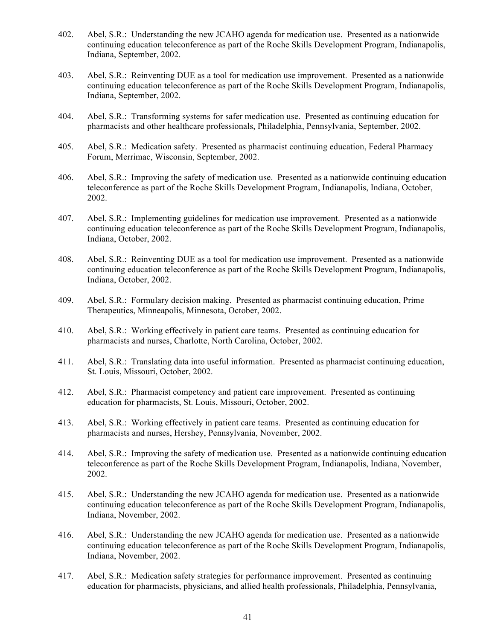- 402. Abel, S.R.: Understanding the new JCAHO agenda for medication use. Presented as a nationwide continuing education teleconference as part of the Roche Skills Development Program, Indianapolis, Indiana, September, 2002.
- 403. Abel, S.R.: Reinventing DUE as a tool for medication use improvement. Presented as a nationwide continuing education teleconference as part of the Roche Skills Development Program, Indianapolis, Indiana, September, 2002.
- 404. Abel, S.R.: Transforming systems for safer medication use. Presented as continuing education for pharmacists and other healthcare professionals, Philadelphia, Pennsylvania, September, 2002.
- 405. Abel, S.R.: Medication safety. Presented as pharmacist continuing education, Federal Pharmacy Forum, Merrimac, Wisconsin, September, 2002.
- 406. Abel, S.R.: Improving the safety of medication use. Presented as a nationwide continuing education teleconference as part of the Roche Skills Development Program, Indianapolis, Indiana, October, 2002.
- 407. Abel, S.R.: Implementing guidelines for medication use improvement. Presented as a nationwide continuing education teleconference as part of the Roche Skills Development Program, Indianapolis, Indiana, October, 2002.
- 408. Abel, S.R.: Reinventing DUE as a tool for medication use improvement. Presented as a nationwide continuing education teleconference as part of the Roche Skills Development Program, Indianapolis, Indiana, October, 2002.
- 409. Abel, S.R.: Formulary decision making. Presented as pharmacist continuing education, Prime Therapeutics, Minneapolis, Minnesota, October, 2002.
- 410. Abel, S.R.: Working effectively in patient care teams. Presented as continuing education for pharmacists and nurses, Charlotte, North Carolina, October, 2002.
- 411. Abel, S.R.: Translating data into useful information. Presented as pharmacist continuing education, St. Louis, Missouri, October, 2002.
- 412. Abel, S.R.: Pharmacist competency and patient care improvement. Presented as continuing education for pharmacists, St. Louis, Missouri, October, 2002.
- 413. Abel, S.R.: Working effectively in patient care teams. Presented as continuing education for pharmacists and nurses, Hershey, Pennsylvania, November, 2002.
- 414. Abel, S.R.: Improving the safety of medication use. Presented as a nationwide continuing education teleconference as part of the Roche Skills Development Program, Indianapolis, Indiana, November, 2002.
- 415. Abel, S.R.: Understanding the new JCAHO agenda for medication use. Presented as a nationwide continuing education teleconference as part of the Roche Skills Development Program, Indianapolis, Indiana, November, 2002.
- 416. Abel, S.R.: Understanding the new JCAHO agenda for medication use. Presented as a nationwide continuing education teleconference as part of the Roche Skills Development Program, Indianapolis, Indiana, November, 2002.
- 417. Abel, S.R.: Medication safety strategies for performance improvement. Presented as continuing education for pharmacists, physicians, and allied health professionals, Philadelphia, Pennsylvania,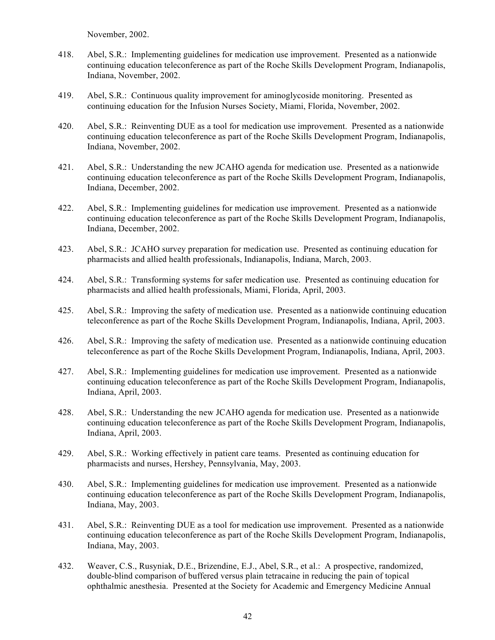November, 2002.

- 418. Abel, S.R.: Implementing guidelines for medication use improvement. Presented as a nationwide continuing education teleconference as part of the Roche Skills Development Program, Indianapolis, Indiana, November, 2002.
- 419. Abel, S.R.: Continuous quality improvement for aminoglycoside monitoring. Presented as continuing education for the Infusion Nurses Society, Miami, Florida, November, 2002.
- 420. Abel, S.R.: Reinventing DUE as a tool for medication use improvement. Presented as a nationwide continuing education teleconference as part of the Roche Skills Development Program, Indianapolis, Indiana, November, 2002.
- 421. Abel, S.R.: Understanding the new JCAHO agenda for medication use. Presented as a nationwide continuing education teleconference as part of the Roche Skills Development Program, Indianapolis, Indiana, December, 2002.
- 422. Abel, S.R.: Implementing guidelines for medication use improvement. Presented as a nationwide continuing education teleconference as part of the Roche Skills Development Program, Indianapolis, Indiana, December, 2002.
- 423. Abel, S.R.: JCAHO survey preparation for medication use. Presented as continuing education for pharmacists and allied health professionals, Indianapolis, Indiana, March, 2003.
- 424. Abel, S.R.: Transforming systems for safer medication use. Presented as continuing education for pharmacists and allied health professionals, Miami, Florida, April, 2003.
- 425. Abel, S.R.: Improving the safety of medication use. Presented as a nationwide continuing education teleconference as part of the Roche Skills Development Program, Indianapolis, Indiana, April, 2003.
- 426. Abel, S.R.: Improving the safety of medication use. Presented as a nationwide continuing education teleconference as part of the Roche Skills Development Program, Indianapolis, Indiana, April, 2003.
- 427. Abel, S.R.: Implementing guidelines for medication use improvement. Presented as a nationwide continuing education teleconference as part of the Roche Skills Development Program, Indianapolis, Indiana, April, 2003.
- 428. Abel, S.R.: Understanding the new JCAHO agenda for medication use. Presented as a nationwide continuing education teleconference as part of the Roche Skills Development Program, Indianapolis, Indiana, April, 2003.
- 429. Abel, S.R.: Working effectively in patient care teams. Presented as continuing education for pharmacists and nurses, Hershey, Pennsylvania, May, 2003.
- 430. Abel, S.R.: Implementing guidelines for medication use improvement. Presented as a nationwide continuing education teleconference as part of the Roche Skills Development Program, Indianapolis, Indiana, May, 2003.
- 431. Abel, S.R.: Reinventing DUE as a tool for medication use improvement. Presented as a nationwide continuing education teleconference as part of the Roche Skills Development Program, Indianapolis, Indiana, May, 2003.
- 432. Weaver, C.S., Rusyniak, D.E., Brizendine, E.J., Abel, S.R., et al.: A prospective, randomized, double-blind comparison of buffered versus plain tetracaine in reducing the pain of topical ophthalmic anesthesia. Presented at the Society for Academic and Emergency Medicine Annual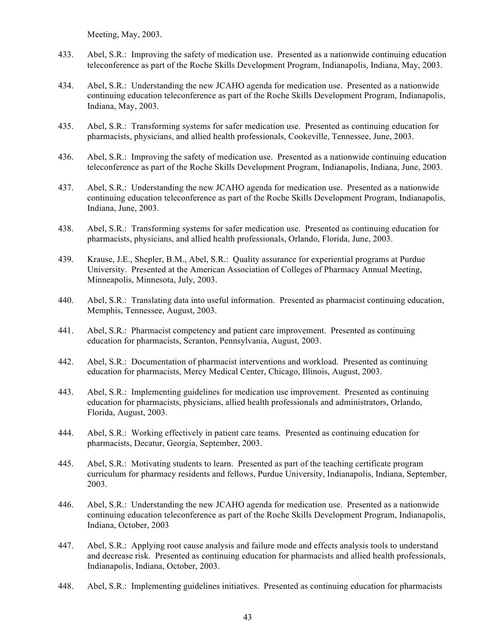Meeting, May, 2003.

- 433. Abel, S.R.: Improving the safety of medication use. Presented as a nationwide continuing education teleconference as part of the Roche Skills Development Program, Indianapolis, Indiana, May, 2003.
- 434. Abel, S.R.: Understanding the new JCAHO agenda for medication use. Presented as a nationwide continuing education teleconference as part of the Roche Skills Development Program, Indianapolis, Indiana, May, 2003.
- 435. Abel, S.R.: Transforming systems for safer medication use. Presented as continuing education for pharmacists, physicians, and allied health professionals, Cookeville, Tennessee, June, 2003.
- 436. Abel, S.R.: Improving the safety of medication use. Presented as a nationwide continuing education teleconference as part of the Roche Skills Development Program, Indianapolis, Indiana, June, 2003.
- 437. Abel, S.R.: Understanding the new JCAHO agenda for medication use. Presented as a nationwide continuing education teleconference as part of the Roche Skills Development Program, Indianapolis, Indiana, June, 2003.
- 438. Abel, S.R.: Transforming systems for safer medication use. Presented as continuing education for pharmacists, physicians, and allied health professionals, Orlando, Florida, June, 2003.
- 439. Krause, J.E., Shepler, B.M., Abel, S.R.: Quality assurance for experiential programs at Purdue University. Presented at the American Association of Colleges of Pharmacy Annual Meeting, Minneapolis, Minnesota, July, 2003.
- 440. Abel, S.R.: Translating data into useful information. Presented as pharmacist continuing education, Memphis, Tennessee, August, 2003.
- 441. Abel, S.R.: Pharmacist competency and patient care improvement. Presented as continuing education for pharmacists, Scranton, Pennsylvania, August, 2003.
- 442. Abel, S.R.: Documentation of pharmacist interventions and workload. Presented as continuing education for pharmacists, Mercy Medical Center, Chicago, Illinois, August, 2003.
- 443. Abel, S.R.: Implementing guidelines for medication use improvement. Presented as continuing education for pharmacists, physicians, allied health professionals and administrators, Orlando, Florida, August, 2003.
- 444. Abel, S.R.: Working effectively in patient care teams. Presented as continuing education for pharmacists, Decatur, Georgia, September, 2003.
- 445. Abel, S.R.: Motivating students to learn. Presented as part of the teaching certificate program curriculum for pharmacy residents and fellows, Purdue University, Indianapolis, Indiana, September, 2003.
- 446. Abel, S.R.: Understanding the new JCAHO agenda for medication use. Presented as a nationwide continuing education teleconference as part of the Roche Skills Development Program, Indianapolis, Indiana, October, 2003
- 447. Abel, S.R.: Applying root cause analysis and failure mode and effects analysis tools to understand and decrease risk. Presented as continuing education for pharmacists and allied health professionals, Indianapolis, Indiana, October, 2003.
- 448. Abel, S.R.: Implementing guidelines initiatives. Presented as continuing education for pharmacists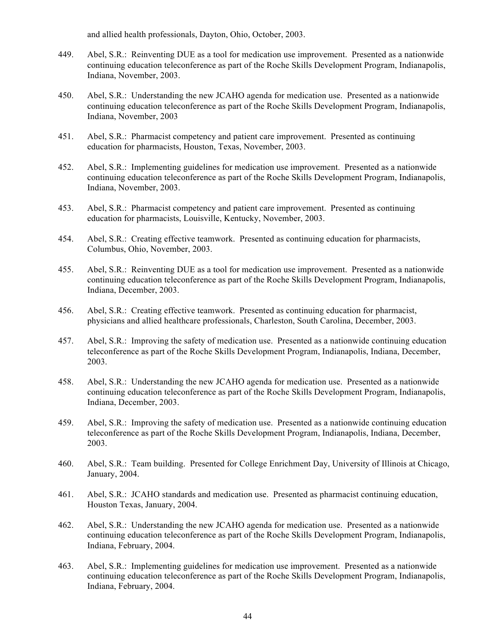and allied health professionals, Dayton, Ohio, October, 2003.

- 449. Abel, S.R.: Reinventing DUE as a tool for medication use improvement. Presented as a nationwide continuing education teleconference as part of the Roche Skills Development Program, Indianapolis, Indiana, November, 2003.
- 450. Abel, S.R.: Understanding the new JCAHO agenda for medication use. Presented as a nationwide continuing education teleconference as part of the Roche Skills Development Program, Indianapolis, Indiana, November, 2003
- 451. Abel, S.R.: Pharmacist competency and patient care improvement. Presented as continuing education for pharmacists, Houston, Texas, November, 2003.
- 452. Abel, S.R.: Implementing guidelines for medication use improvement. Presented as a nationwide continuing education teleconference as part of the Roche Skills Development Program, Indianapolis, Indiana, November, 2003.
- 453. Abel, S.R.: Pharmacist competency and patient care improvement. Presented as continuing education for pharmacists, Louisville, Kentucky, November, 2003.
- 454. Abel, S.R.: Creating effective teamwork. Presented as continuing education for pharmacists, Columbus, Ohio, November, 2003.
- 455. Abel, S.R.: Reinventing DUE as a tool for medication use improvement. Presented as a nationwide continuing education teleconference as part of the Roche Skills Development Program, Indianapolis, Indiana, December, 2003.
- 456. Abel, S.R.: Creating effective teamwork. Presented as continuing education for pharmacist, physicians and allied healthcare professionals, Charleston, South Carolina, December, 2003.
- 457. Abel, S.R.: Improving the safety of medication use. Presented as a nationwide continuing education teleconference as part of the Roche Skills Development Program, Indianapolis, Indiana, December, 2003.
- 458. Abel, S.R.: Understanding the new JCAHO agenda for medication use. Presented as a nationwide continuing education teleconference as part of the Roche Skills Development Program, Indianapolis, Indiana, December, 2003.
- 459. Abel, S.R.: Improving the safety of medication use. Presented as a nationwide continuing education teleconference as part of the Roche Skills Development Program, Indianapolis, Indiana, December, 2003.
- 460. Abel, S.R.: Team building. Presented for College Enrichment Day, University of Illinois at Chicago, January, 2004.
- 461. Abel, S.R.: JCAHO standards and medication use. Presented as pharmacist continuing education, Houston Texas, January, 2004.
- 462. Abel, S.R.: Understanding the new JCAHO agenda for medication use. Presented as a nationwide continuing education teleconference as part of the Roche Skills Development Program, Indianapolis, Indiana, February, 2004.
- 463. Abel, S.R.: Implementing guidelines for medication use improvement. Presented as a nationwide continuing education teleconference as part of the Roche Skills Development Program, Indianapolis, Indiana, February, 2004.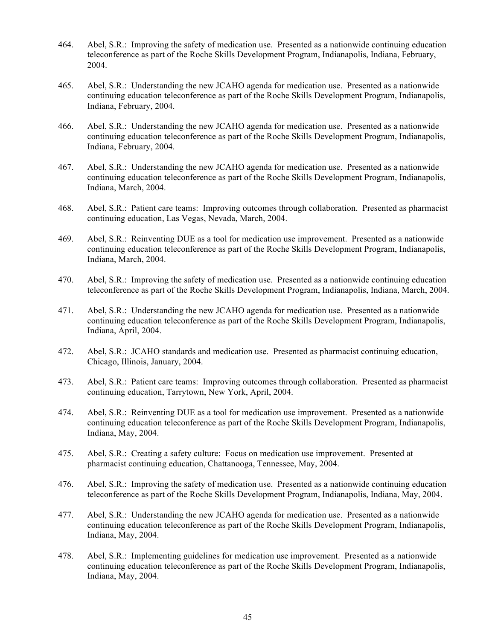- 464. Abel, S.R.: Improving the safety of medication use. Presented as a nationwide continuing education teleconference as part of the Roche Skills Development Program, Indianapolis, Indiana, February, 2004.
- 465. Abel, S.R.: Understanding the new JCAHO agenda for medication use. Presented as a nationwide continuing education teleconference as part of the Roche Skills Development Program, Indianapolis, Indiana, February, 2004.
- 466. Abel, S.R.: Understanding the new JCAHO agenda for medication use. Presented as a nationwide continuing education teleconference as part of the Roche Skills Development Program, Indianapolis, Indiana, February, 2004.
- 467. Abel, S.R.: Understanding the new JCAHO agenda for medication use. Presented as a nationwide continuing education teleconference as part of the Roche Skills Development Program, Indianapolis, Indiana, March, 2004.
- 468. Abel, S.R.: Patient care teams: Improving outcomes through collaboration. Presented as pharmacist continuing education, Las Vegas, Nevada, March, 2004.
- 469. Abel, S.R.: Reinventing DUE as a tool for medication use improvement. Presented as a nationwide continuing education teleconference as part of the Roche Skills Development Program, Indianapolis, Indiana, March, 2004.
- 470. Abel, S.R.: Improving the safety of medication use. Presented as a nationwide continuing education teleconference as part of the Roche Skills Development Program, Indianapolis, Indiana, March, 2004.
- 471. Abel, S.R.: Understanding the new JCAHO agenda for medication use. Presented as a nationwide continuing education teleconference as part of the Roche Skills Development Program, Indianapolis, Indiana, April, 2004.
- 472. Abel, S.R.: JCAHO standards and medication use. Presented as pharmacist continuing education, Chicago, Illinois, January, 2004.
- 473. Abel, S.R.: Patient care teams: Improving outcomes through collaboration. Presented as pharmacist continuing education, Tarrytown, New York, April, 2004.
- 474. Abel, S.R.: Reinventing DUE as a tool for medication use improvement. Presented as a nationwide continuing education teleconference as part of the Roche Skills Development Program, Indianapolis, Indiana, May, 2004.
- 475. Abel, S.R.: Creating a safety culture: Focus on medication use improvement. Presented at pharmacist continuing education, Chattanooga, Tennessee, May, 2004.
- 476. Abel, S.R.: Improving the safety of medication use. Presented as a nationwide continuing education teleconference as part of the Roche Skills Development Program, Indianapolis, Indiana, May, 2004.
- 477. Abel, S.R.: Understanding the new JCAHO agenda for medication use. Presented as a nationwide continuing education teleconference as part of the Roche Skills Development Program, Indianapolis, Indiana, May, 2004.
- 478. Abel, S.R.: Implementing guidelines for medication use improvement. Presented as a nationwide continuing education teleconference as part of the Roche Skills Development Program, Indianapolis, Indiana, May, 2004.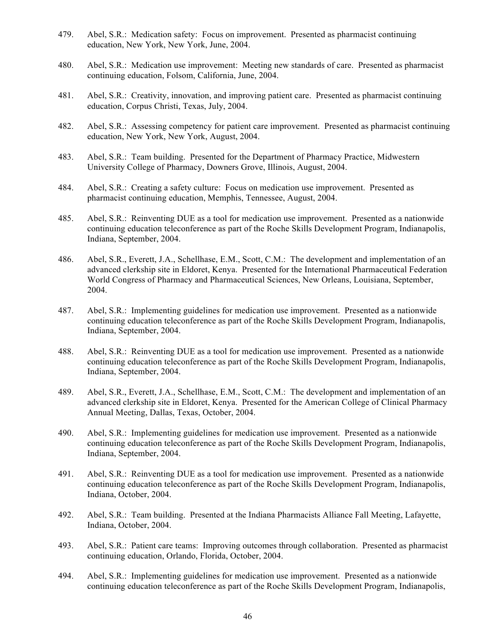- 479. Abel, S.R.: Medication safety: Focus on improvement. Presented as pharmacist continuing education, New York, New York, June, 2004.
- 480. Abel, S.R.: Medication use improvement: Meeting new standards of care. Presented as pharmacist continuing education, Folsom, California, June, 2004.
- 481. Abel, S.R.: Creativity, innovation, and improving patient care. Presented as pharmacist continuing education, Corpus Christi, Texas, July, 2004.
- 482. Abel, S.R.: Assessing competency for patient care improvement. Presented as pharmacist continuing education, New York, New York, August, 2004.
- 483. Abel, S.R.: Team building. Presented for the Department of Pharmacy Practice, Midwestern University College of Pharmacy, Downers Grove, Illinois, August, 2004.
- 484. Abel, S.R.: Creating a safety culture: Focus on medication use improvement. Presented as pharmacist continuing education, Memphis, Tennessee, August, 2004.
- 485. Abel, S.R.: Reinventing DUE as a tool for medication use improvement. Presented as a nationwide continuing education teleconference as part of the Roche Skills Development Program, Indianapolis, Indiana, September, 2004.
- 486. Abel, S.R., Everett, J.A., Schellhase, E.M., Scott, C.M.: The development and implementation of an advanced clerkship site in Eldoret, Kenya. Presented for the International Pharmaceutical Federation World Congress of Pharmacy and Pharmaceutical Sciences, New Orleans, Louisiana, September, 2004.
- 487. Abel, S.R.: Implementing guidelines for medication use improvement. Presented as a nationwide continuing education teleconference as part of the Roche Skills Development Program, Indianapolis, Indiana, September, 2004.
- 488. Abel, S.R.: Reinventing DUE as a tool for medication use improvement. Presented as a nationwide continuing education teleconference as part of the Roche Skills Development Program, Indianapolis, Indiana, September, 2004.
- 489. Abel, S.R., Everett, J.A., Schellhase, E.M., Scott, C.M.: The development and implementation of an advanced clerkship site in Eldoret, Kenya. Presented for the American College of Clinical Pharmacy Annual Meeting, Dallas, Texas, October, 2004.
- 490. Abel, S.R.: Implementing guidelines for medication use improvement. Presented as a nationwide continuing education teleconference as part of the Roche Skills Development Program, Indianapolis, Indiana, September, 2004.
- 491. Abel, S.R.: Reinventing DUE as a tool for medication use improvement. Presented as a nationwide continuing education teleconference as part of the Roche Skills Development Program, Indianapolis, Indiana, October, 2004.
- 492. Abel, S.R.: Team building. Presented at the Indiana Pharmacists Alliance Fall Meeting, Lafayette, Indiana, October, 2004.
- 493. Abel, S.R.: Patient care teams: Improving outcomes through collaboration. Presented as pharmacist continuing education, Orlando, Florida, October, 2004.
- 494. Abel, S.R.: Implementing guidelines for medication use improvement. Presented as a nationwide continuing education teleconference as part of the Roche Skills Development Program, Indianapolis,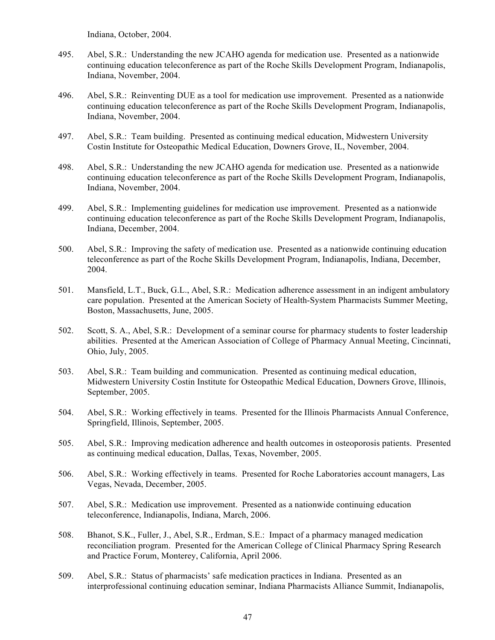Indiana, October, 2004.

- 495. Abel, S.R.: Understanding the new JCAHO agenda for medication use. Presented as a nationwide continuing education teleconference as part of the Roche Skills Development Program, Indianapolis, Indiana, November, 2004.
- 496. Abel, S.R.: Reinventing DUE as a tool for medication use improvement. Presented as a nationwide continuing education teleconference as part of the Roche Skills Development Program, Indianapolis, Indiana, November, 2004.
- 497. Abel, S.R.: Team building. Presented as continuing medical education, Midwestern University Costin Institute for Osteopathic Medical Education, Downers Grove, IL, November, 2004.
- 498. Abel, S.R.: Understanding the new JCAHO agenda for medication use. Presented as a nationwide continuing education teleconference as part of the Roche Skills Development Program, Indianapolis, Indiana, November, 2004.
- 499. Abel, S.R.: Implementing guidelines for medication use improvement. Presented as a nationwide continuing education teleconference as part of the Roche Skills Development Program, Indianapolis, Indiana, December, 2004.
- 500. Abel, S.R.: Improving the safety of medication use. Presented as a nationwide continuing education teleconference as part of the Roche Skills Development Program, Indianapolis, Indiana, December, 2004.
- 501. Mansfield, L.T., Buck, G.L., Abel, S.R.: Medication adherence assessment in an indigent ambulatory care population. Presented at the American Society of Health-System Pharmacists Summer Meeting, Boston, Massachusetts, June, 2005.
- 502. Scott, S. A., Abel, S.R.: Development of a seminar course for pharmacy students to foster leadership abilities. Presented at the American Association of College of Pharmacy Annual Meeting, Cincinnati, Ohio, July, 2005.
- 503. Abel, S.R.: Team building and communication. Presented as continuing medical education, Midwestern University Costin Institute for Osteopathic Medical Education, Downers Grove, Illinois, September, 2005.
- 504. Abel, S.R.: Working effectively in teams. Presented for the Illinois Pharmacists Annual Conference, Springfield, Illinois, September, 2005.
- 505. Abel, S.R.: Improving medication adherence and health outcomes in osteoporosis patients. Presented as continuing medical education, Dallas, Texas, November, 2005.
- 506. Abel, S.R.: Working effectively in teams. Presented for Roche Laboratories account managers, Las Vegas, Nevada, December, 2005.
- 507. Abel, S.R.: Medication use improvement. Presented as a nationwide continuing education teleconference, Indianapolis, Indiana, March, 2006.
- 508. Bhanot, S.K., Fuller, J., Abel, S.R., Erdman, S.E.: Impact of a pharmacy managed medication reconciliation program. Presented for the American College of Clinical Pharmacy Spring Research and Practice Forum, Monterey, California, April 2006.
- 509. Abel, S.R.: Status of pharmacists' safe medication practices in Indiana. Presented as an interprofessional continuing education seminar, Indiana Pharmacists Alliance Summit, Indianapolis,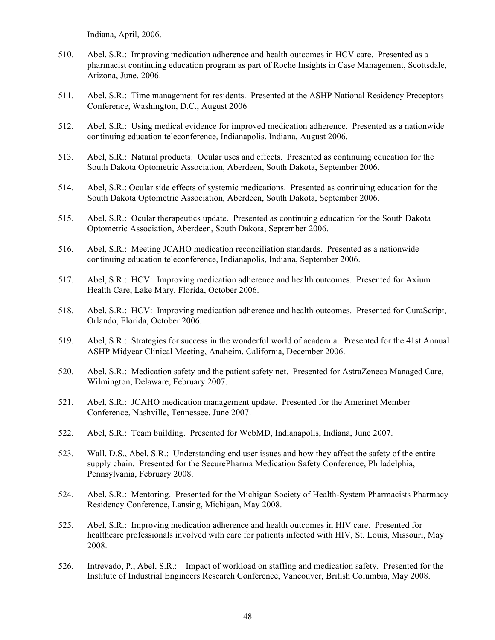Indiana, April, 2006.

- 510. Abel, S.R.: Improving medication adherence and health outcomes in HCV care. Presented as a pharmacist continuing education program as part of Roche Insights in Case Management, Scottsdale, Arizona, June, 2006.
- 511. Abel, S.R.: Time management for residents. Presented at the ASHP National Residency Preceptors Conference, Washington, D.C., August 2006
- 512. Abel, S.R.: Using medical evidence for improved medication adherence. Presented as a nationwide continuing education teleconference, Indianapolis, Indiana, August 2006.
- 513. Abel, S.R.: Natural products: Ocular uses and effects. Presented as continuing education for the South Dakota Optometric Association, Aberdeen, South Dakota, September 2006.
- 514. Abel, S.R.: Ocular side effects of systemic medications. Presented as continuing education for the South Dakota Optometric Association, Aberdeen, South Dakota, September 2006.
- 515. Abel, S.R.: Ocular therapeutics update. Presented as continuing education for the South Dakota Optometric Association, Aberdeen, South Dakota, September 2006.
- 516. Abel, S.R.: Meeting JCAHO medication reconciliation standards. Presented as a nationwide continuing education teleconference, Indianapolis, Indiana, September 2006.
- 517. Abel, S.R.: HCV: Improving medication adherence and health outcomes. Presented for Axium Health Care, Lake Mary, Florida, October 2006.
- 518. Abel, S.R.: HCV: Improving medication adherence and health outcomes. Presented for CuraScript, Orlando, Florida, October 2006.
- 519. Abel, S.R.: Strategies for success in the wonderful world of academia. Presented for the 41st Annual ASHP Midyear Clinical Meeting, Anaheim, California, December 2006.
- 520. Abel, S.R.: Medication safety and the patient safety net. Presented for AstraZeneca Managed Care, Wilmington, Delaware, February 2007.
- 521. Abel, S.R.: JCAHO medication management update. Presented for the Amerinet Member Conference, Nashville, Tennessee, June 2007.
- 522. Abel, S.R.: Team building. Presented for WebMD, Indianapolis, Indiana, June 2007.
- 523. Wall, D.S., Abel, S.R.: Understanding end user issues and how they affect the safety of the entire supply chain. Presented for the SecurePharma Medication Safety Conference, Philadelphia, Pennsylvania, February 2008.
- 524. Abel, S.R.: Mentoring. Presented for the Michigan Society of Health-System Pharmacists Pharmacy Residency Conference, Lansing, Michigan, May 2008.
- 525. Abel, S.R.: Improving medication adherence and health outcomes in HIV care. Presented for healthcare professionals involved with care for patients infected with HIV, St. Louis, Missouri, May 2008.
- 526. Intrevado, P., Abel, S.R.: Impact of workload on staffing and medication safety. Presented for the Institute of Industrial Engineers Research Conference, Vancouver, British Columbia, May 2008.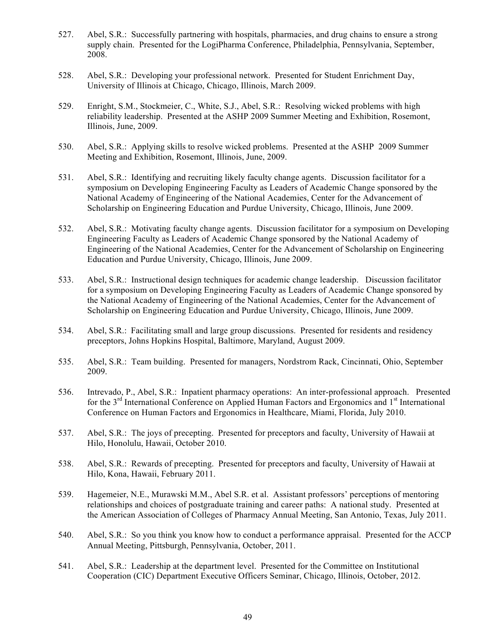- 527. Abel, S.R.: Successfully partnering with hospitals, pharmacies, and drug chains to ensure a strong supply chain. Presented for the LogiPharma Conference, Philadelphia, Pennsylvania, September, 2008.
- 528. Abel, S.R.: Developing your professional network. Presented for Student Enrichment Day, University of Illinois at Chicago, Chicago, Illinois, March 2009.
- 529. Enright, S.M., Stockmeier, C., White, S.J., Abel, S.R.: Resolving wicked problems with high reliability leadership. Presented at the ASHP 2009 Summer Meeting and Exhibition, Rosemont, Illinois, June, 2009.
- 530. Abel, S.R.: Applying skills to resolve wicked problems. Presented at the ASHP 2009 Summer Meeting and Exhibition, Rosemont, Illinois, June, 2009.
- 531. Abel, S.R.: Identifying and recruiting likely faculty change agents. Discussion facilitator for a symposium on Developing Engineering Faculty as Leaders of Academic Change sponsored by the National Academy of Engineering of the National Academies, Center for the Advancement of Scholarship on Engineering Education and Purdue University, Chicago, Illinois, June 2009.
- 532. Abel, S.R.: Motivating faculty change agents. Discussion facilitator for a symposium on Developing Engineering Faculty as Leaders of Academic Change sponsored by the National Academy of Engineering of the National Academies, Center for the Advancement of Scholarship on Engineering Education and Purdue University, Chicago, Illinois, June 2009.
- 533. Abel, S.R.: Instructional design techniques for academic change leadership. Discussion facilitator for a symposium on Developing Engineering Faculty as Leaders of Academic Change sponsored by the National Academy of Engineering of the National Academies, Center for the Advancement of Scholarship on Engineering Education and Purdue University, Chicago, Illinois, June 2009.
- 534. Abel, S.R.: Facilitating small and large group discussions. Presented for residents and residency preceptors, Johns Hopkins Hospital, Baltimore, Maryland, August 2009.
- 535. Abel, S.R.: Team building. Presented for managers, Nordstrom Rack, Cincinnati, Ohio, September 2009.
- 536. Intrevado, P., Abel, S.R.: Inpatient pharmacy operations: An inter-professional approach. Presented for the  $3<sup>rd</sup>$  International Conference on Applied Human Factors and Ergonomics and  $1<sup>st</sup>$  International Conference on Human Factors and Ergonomics in Healthcare, Miami, Florida, July 2010.
- 537. Abel, S.R.: The joys of precepting. Presented for preceptors and faculty, University of Hawaii at Hilo, Honolulu, Hawaii, October 2010.
- 538. Abel, S.R.: Rewards of precepting. Presented for preceptors and faculty, University of Hawaii at Hilo, Kona, Hawaii, February 2011.
- 539. Hagemeier, N.E., Murawski M.M., Abel S.R. et al. Assistant professors' perceptions of mentoring relationships and choices of postgraduate training and career paths: A national study. Presented at the American Association of Colleges of Pharmacy Annual Meeting, San Antonio, Texas, July 2011.
- 540. Abel, S.R.: So you think you know how to conduct a performance appraisal. Presented for the ACCP Annual Meeting, Pittsburgh, Pennsylvania, October, 2011.
- 541. Abel, S.R.: Leadership at the department level. Presented for the Committee on Institutional Cooperation (CIC) Department Executive Officers Seminar, Chicago, Illinois, October, 2012.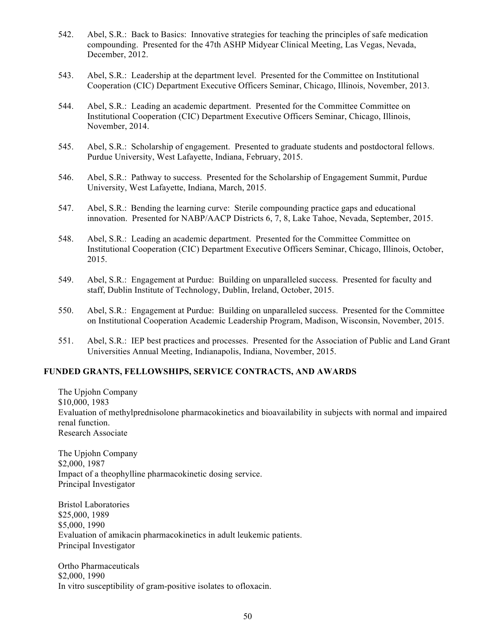- 542. Abel, S.R.: Back to Basics: Innovative strategies for teaching the principles of safe medication compounding. Presented for the 47th ASHP Midyear Clinical Meeting, Las Vegas, Nevada, December, 2012.
- 543. Abel, S.R.: Leadership at the department level. Presented for the Committee on Institutional Cooperation (CIC) Department Executive Officers Seminar, Chicago, Illinois, November, 2013.
- 544. Abel, S.R.: Leading an academic department. Presented for the Committee Committee on Institutional Cooperation (CIC) Department Executive Officers Seminar, Chicago, Illinois, November, 2014.
- 545. Abel, S.R.: Scholarship of engagement. Presented to graduate students and postdoctoral fellows. Purdue University, West Lafayette, Indiana, February, 2015.
- 546. Abel, S.R.: Pathway to success. Presented for the Scholarship of Engagement Summit, Purdue University, West Lafayette, Indiana, March, 2015.
- 547. Abel, S.R.: Bending the learning curve: Sterile compounding practice gaps and educational innovation. Presented for NABP/AACP Districts 6, 7, 8, Lake Tahoe, Nevada, September, 2015.
- 548. Abel, S.R.: Leading an academic department. Presented for the Committee Committee on Institutional Cooperation (CIC) Department Executive Officers Seminar, Chicago, Illinois, October, 2015.
- 549. Abel, S.R.: Engagement at Purdue: Building on unparalleled success. Presented for faculty and staff, Dublin Institute of Technology, Dublin, Ireland, October, 2015.
- 550. Abel, S.R.: Engagement at Purdue: Building on unparalleled success. Presented for the Committee on Institutional Cooperation Academic Leadership Program, Madison, Wisconsin, November, 2015.
- 551. Abel, S.R.: IEP best practices and processes. Presented for the Association of Public and Land Grant Universities Annual Meeting, Indianapolis, Indiana, November, 2015.

## **FUNDED GRANTS, FELLOWSHIPS, SERVICE CONTRACTS, AND AWARDS**

The Upjohn Company \$10,000, 1983 Evaluation of methylprednisolone pharmacokinetics and bioavailability in subjects with normal and impaired renal function. Research Associate

The Upjohn Company \$2,000, 1987 Impact of a theophylline pharmacokinetic dosing service. Principal Investigator

Bristol Laboratories \$25,000, 1989 \$5,000, 1990 Evaluation of amikacin pharmacokinetics in adult leukemic patients. Principal Investigator

Ortho Pharmaceuticals \$2,000, 1990 In vitro susceptibility of gram-positive isolates to ofloxacin.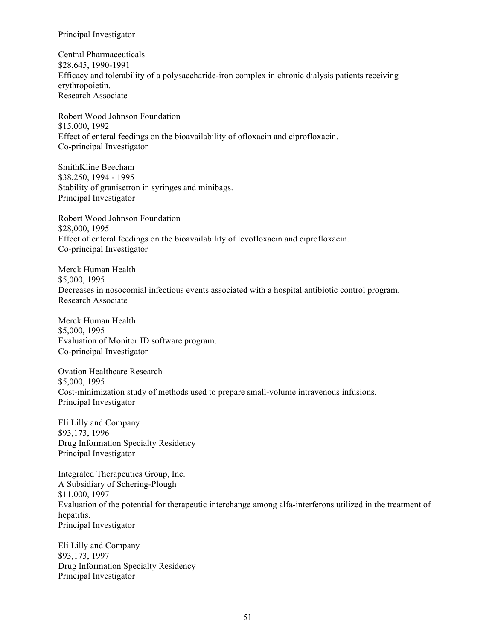Principal Investigator

Central Pharmaceuticals \$28,645, 1990-1991 Efficacy and tolerability of a polysaccharide-iron complex in chronic dialysis patients receiving erythropoietin. Research Associate

Robert Wood Johnson Foundation \$15,000, 1992 Effect of enteral feedings on the bioavailability of ofloxacin and ciprofloxacin. Co-principal Investigator

SmithKline Beecham \$38,250, 1994 - 1995 Stability of granisetron in syringes and minibags. Principal Investigator

Robert Wood Johnson Foundation \$28,000, 1995 Effect of enteral feedings on the bioavailability of levofloxacin and ciprofloxacin. Co-principal Investigator

Merck Human Health \$5,000, 1995 Decreases in nosocomial infectious events associated with a hospital antibiotic control program. Research Associate

Merck Human Health \$5,000, 1995 Evaluation of Monitor ID software program. Co-principal Investigator

Ovation Healthcare Research \$5,000, 1995 Cost-minimization study of methods used to prepare small-volume intravenous infusions. Principal Investigator

Eli Lilly and Company \$93,173, 1996 Drug Information Specialty Residency Principal Investigator

Integrated Therapeutics Group, Inc. A Subsidiary of Schering-Plough \$11,000, 1997 Evaluation of the potential for therapeutic interchange among alfa-interferons utilized in the treatment of hepatitis. Principal Investigator

Eli Lilly and Company \$93,173, 1997 Drug Information Specialty Residency Principal Investigator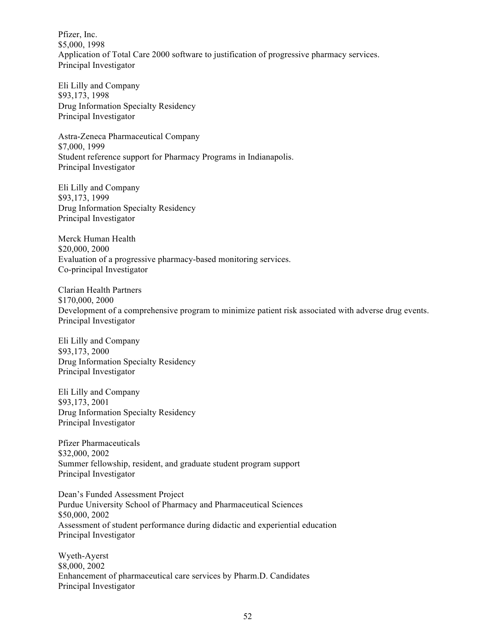Pfizer, Inc. \$5,000, 1998 Application of Total Care 2000 software to justification of progressive pharmacy services. Principal Investigator

Eli Lilly and Company \$93,173, 1998 Drug Information Specialty Residency Principal Investigator

Astra-Zeneca Pharmaceutical Company \$7,000, 1999 Student reference support for Pharmacy Programs in Indianapolis. Principal Investigator

Eli Lilly and Company \$93,173, 1999 Drug Information Specialty Residency Principal Investigator

Merck Human Health \$20,000, 2000 Evaluation of a progressive pharmacy-based monitoring services. Co-principal Investigator

Clarian Health Partners \$170,000, 2000 Development of a comprehensive program to minimize patient risk associated with adverse drug events. Principal Investigator

Eli Lilly and Company \$93,173, 2000 Drug Information Specialty Residency Principal Investigator

Eli Lilly and Company \$93,173, 2001 Drug Information Specialty Residency Principal Investigator

Pfizer Pharmaceuticals \$32,000, 2002 Summer fellowship, resident, and graduate student program support Principal Investigator

Dean's Funded Assessment Project Purdue University School of Pharmacy and Pharmaceutical Sciences \$50,000, 2002 Assessment of student performance during didactic and experiential education Principal Investigator

Wyeth-Ayerst \$8,000, 2002 Enhancement of pharmaceutical care services by Pharm.D. Candidates Principal Investigator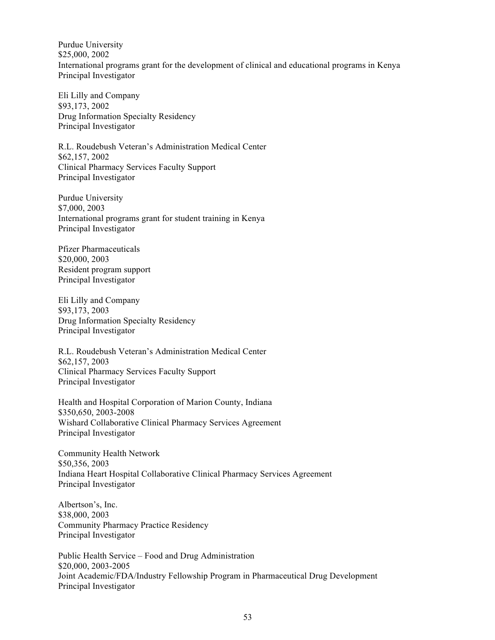Purdue University \$25,000, 2002 International programs grant for the development of clinical and educational programs in Kenya Principal Investigator

Eli Lilly and Company \$93,173, 2002 Drug Information Specialty Residency Principal Investigator

R.L. Roudebush Veteran's Administration Medical Center \$62,157, 2002 Clinical Pharmacy Services Faculty Support Principal Investigator

Purdue University \$7,000, 2003 International programs grant for student training in Kenya Principal Investigator

Pfizer Pharmaceuticals \$20,000, 2003 Resident program support Principal Investigator

Eli Lilly and Company \$93,173, 2003 Drug Information Specialty Residency Principal Investigator

R.L. Roudebush Veteran's Administration Medical Center \$62,157, 2003 Clinical Pharmacy Services Faculty Support Principal Investigator

Health and Hospital Corporation of Marion County, Indiana \$350,650, 2003-2008 Wishard Collaborative Clinical Pharmacy Services Agreement Principal Investigator

Community Health Network \$50,356, 2003 Indiana Heart Hospital Collaborative Clinical Pharmacy Services Agreement Principal Investigator

Albertson's, Inc. \$38,000, 2003 Community Pharmacy Practice Residency Principal Investigator

Public Health Service – Food and Drug Administration \$20,000, 2003-2005 Joint Academic/FDA/Industry Fellowship Program in Pharmaceutical Drug Development Principal Investigator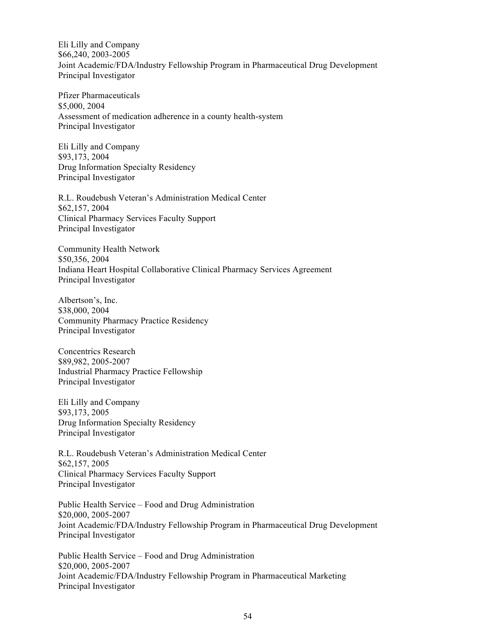Eli Lilly and Company \$66,240, 2003-2005 Joint Academic/FDA/Industry Fellowship Program in Pharmaceutical Drug Development Principal Investigator

Pfizer Pharmaceuticals \$5,000, 2004 Assessment of medication adherence in a county health-system Principal Investigator

Eli Lilly and Company \$93,173, 2004 Drug Information Specialty Residency Principal Investigator

R.L. Roudebush Veteran's Administration Medical Center \$62,157, 2004 Clinical Pharmacy Services Faculty Support Principal Investigator

Community Health Network \$50,356, 2004 Indiana Heart Hospital Collaborative Clinical Pharmacy Services Agreement Principal Investigator

Albertson's, Inc. \$38,000, 2004 Community Pharmacy Practice Residency Principal Investigator

Concentrics Research \$89,982, 2005-2007 Industrial Pharmacy Practice Fellowship Principal Investigator

Eli Lilly and Company \$93,173, 2005 Drug Information Specialty Residency Principal Investigator

R.L. Roudebush Veteran's Administration Medical Center \$62,157, 2005 Clinical Pharmacy Services Faculty Support Principal Investigator

Public Health Service – Food and Drug Administration \$20,000, 2005-2007 Joint Academic/FDA/Industry Fellowship Program in Pharmaceutical Drug Development Principal Investigator

Public Health Service – Food and Drug Administration \$20,000, 2005-2007 Joint Academic/FDA/Industry Fellowship Program in Pharmaceutical Marketing Principal Investigator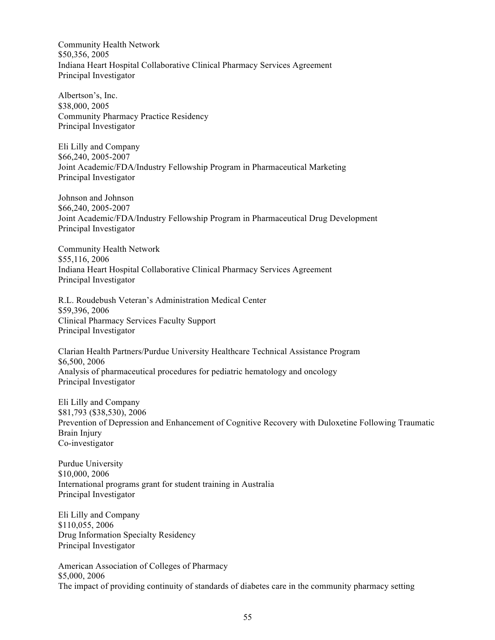Community Health Network \$50,356, 2005 Indiana Heart Hospital Collaborative Clinical Pharmacy Services Agreement Principal Investigator

Albertson's, Inc. \$38,000, 2005 Community Pharmacy Practice Residency Principal Investigator

Eli Lilly and Company \$66,240, 2005-2007 Joint Academic/FDA/Industry Fellowship Program in Pharmaceutical Marketing Principal Investigator

Johnson and Johnson \$66,240, 2005-2007 Joint Academic/FDA/Industry Fellowship Program in Pharmaceutical Drug Development Principal Investigator

Community Health Network \$55,116, 2006 Indiana Heart Hospital Collaborative Clinical Pharmacy Services Agreement Principal Investigator

R.L. Roudebush Veteran's Administration Medical Center \$59,396, 2006 Clinical Pharmacy Services Faculty Support Principal Investigator

Clarian Health Partners/Purdue University Healthcare Technical Assistance Program \$6,500, 2006 Analysis of pharmaceutical procedures for pediatric hematology and oncology Principal Investigator

Eli Lilly and Company \$81,793 (\$38,530), 2006 Prevention of Depression and Enhancement of Cognitive Recovery with Duloxetine Following Traumatic Brain Injury Co-investigator

Purdue University \$10,000, 2006 International programs grant for student training in Australia Principal Investigator

Eli Lilly and Company \$110,055, 2006 Drug Information Specialty Residency Principal Investigator

American Association of Colleges of Pharmacy \$5,000, 2006 The impact of providing continuity of standards of diabetes care in the community pharmacy setting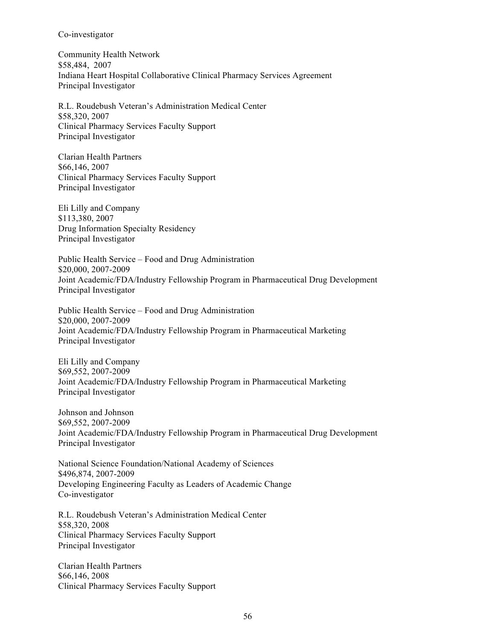#### Co-investigator

Community Health Network \$58,484, 2007 Indiana Heart Hospital Collaborative Clinical Pharmacy Services Agreement Principal Investigator

R.L. Roudebush Veteran's Administration Medical Center \$58,320, 2007 Clinical Pharmacy Services Faculty Support Principal Investigator

Clarian Health Partners \$66,146, 2007 Clinical Pharmacy Services Faculty Support Principal Investigator

Eli Lilly and Company \$113,380, 2007 Drug Information Specialty Residency Principal Investigator

Public Health Service – Food and Drug Administration \$20,000, 2007-2009 Joint Academic/FDA/Industry Fellowship Program in Pharmaceutical Drug Development Principal Investigator

Public Health Service – Food and Drug Administration \$20,000, 2007-2009 Joint Academic/FDA/Industry Fellowship Program in Pharmaceutical Marketing Principal Investigator

Eli Lilly and Company \$69,552, 2007-2009 Joint Academic/FDA/Industry Fellowship Program in Pharmaceutical Marketing Principal Investigator

Johnson and Johnson \$69,552, 2007-2009 Joint Academic/FDA/Industry Fellowship Program in Pharmaceutical Drug Development Principal Investigator

National Science Foundation/National Academy of Sciences \$496,874, 2007-2009 Developing Engineering Faculty as Leaders of Academic Change Co-investigator

R.L. Roudebush Veteran's Administration Medical Center \$58,320, 2008 Clinical Pharmacy Services Faculty Support Principal Investigator

Clarian Health Partners \$66,146, 2008 Clinical Pharmacy Services Faculty Support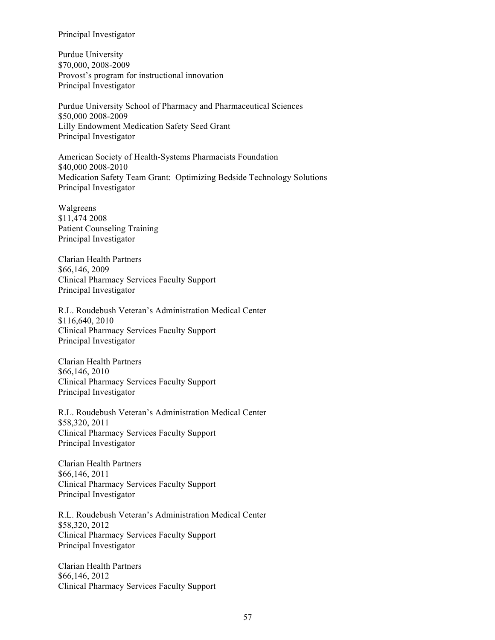#### Principal Investigator

Purdue University \$70,000, 2008-2009 Provost's program for instructional innovation Principal Investigator

Purdue University School of Pharmacy and Pharmaceutical Sciences \$50,000 2008-2009 Lilly Endowment Medication Safety Seed Grant Principal Investigator

American Society of Health-Systems Pharmacists Foundation \$40,000 2008-2010 Medication Safety Team Grant: Optimizing Bedside Technology Solutions Principal Investigator

Walgreens \$11,474 2008 Patient Counseling Training Principal Investigator

Clarian Health Partners \$66,146, 2009 Clinical Pharmacy Services Faculty Support Principal Investigator

R.L. Roudebush Veteran's Administration Medical Center \$116,640, 2010 Clinical Pharmacy Services Faculty Support Principal Investigator

Clarian Health Partners \$66,146, 2010 Clinical Pharmacy Services Faculty Support Principal Investigator

R.L. Roudebush Veteran's Administration Medical Center \$58,320, 2011 Clinical Pharmacy Services Faculty Support Principal Investigator

Clarian Health Partners \$66,146, 2011 Clinical Pharmacy Services Faculty Support Principal Investigator

R.L. Roudebush Veteran's Administration Medical Center \$58,320, 2012 Clinical Pharmacy Services Faculty Support Principal Investigator

Clarian Health Partners \$66,146, 2012 Clinical Pharmacy Services Faculty Support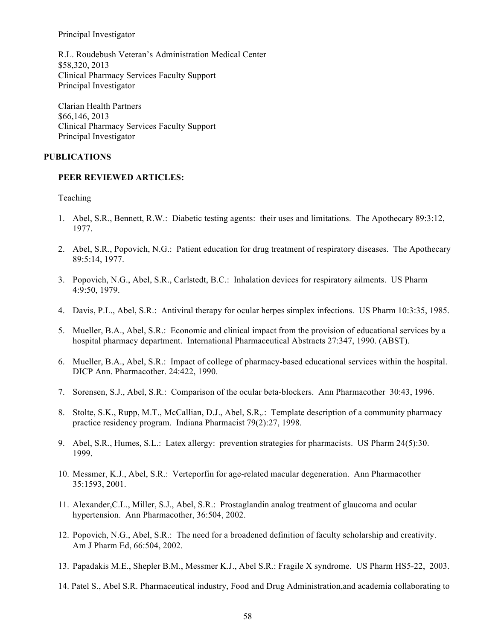Principal Investigator

R.L. Roudebush Veteran's Administration Medical Center \$58,320, 2013 Clinical Pharmacy Services Faculty Support Principal Investigator

Clarian Health Partners \$66,146, 2013 Clinical Pharmacy Services Faculty Support Principal Investigator

#### **PUBLICATIONS**

#### **PEER REVIEWED ARTICLES:**

Teaching

- 1. Abel, S.R., Bennett, R.W.: Diabetic testing agents: their uses and limitations. The Apothecary 89:3:12, 1977.
- 2. Abel, S.R., Popovich, N.G.: Patient education for drug treatment of respiratory diseases. The Apothecary 89:5:14, 1977.
- 3. Popovich, N.G., Abel, S.R., Carlstedt, B.C.: Inhalation devices for respiratory ailments. US Pharm 4:9:50, 1979.
- 4. Davis, P.L., Abel, S.R.: Antiviral therapy for ocular herpes simplex infections. US Pharm 10:3:35, 1985.
- 5. Mueller, B.A., Abel, S.R.: Economic and clinical impact from the provision of educational services by a hospital pharmacy department. International Pharmaceutical Abstracts 27:347, 1990. (ABST).
- 6. Mueller, B.A., Abel, S.R.: Impact of college of pharmacy-based educational services within the hospital. DICP Ann. Pharmacother. 24:422, 1990.
- 7. Sorensen, S.J., Abel, S.R.: Comparison of the ocular beta-blockers. Ann Pharmacother 30:43, 1996.
- 8. Stolte, S.K., Rupp, M.T., McCallian, D.J., Abel, S.R,.: Template description of a community pharmacy practice residency program. Indiana Pharmacist 79(2):27, 1998.
- 9. Abel, S.R., Humes, S.L.: Latex allergy: prevention strategies for pharmacists. US Pharm 24(5):30. 1999.
- 10. Messmer, K.J., Abel, S.R.: Verteporfin for age-related macular degeneration. Ann Pharmacother 35:1593, 2001.
- 11. Alexander,C.L., Miller, S.J., Abel, S.R.: Prostaglandin analog treatment of glaucoma and ocular hypertension. Ann Pharmacother, 36:504, 2002.
- 12. Popovich, N.G., Abel, S.R.: The need for a broadened definition of faculty scholarship and creativity. Am J Pharm Ed, 66:504, 2002.
- 13. Papadakis M.E., Shepler B.M., Messmer K.J., Abel S.R.: Fragile X syndrome. US Pharm HS5-22, 2003.
- 14. Patel S., Abel S.R. Pharmaceutical industry, Food and Drug Administration,and academia collaborating to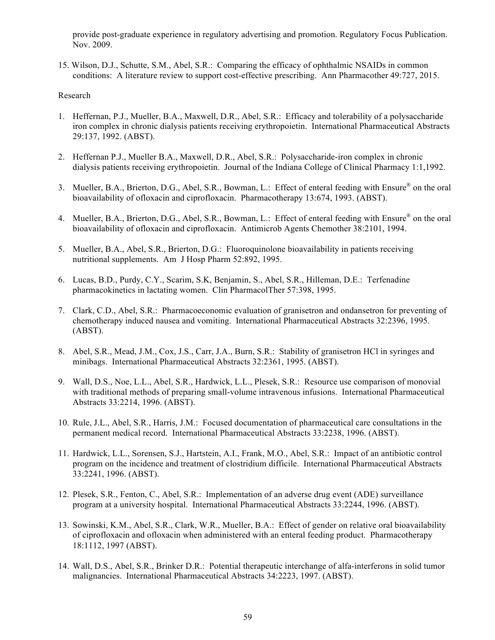provide post-graduate experience in regulatory advertising and promotion. Regulatory Focus Publication. Nov. 2009.

15. Wilson, D.J., Schutte, S.M., Abel, S.R.: Comparing the efficacy of ophthalmic NSAIDs in common conditions: A literature review to support cost-effective prescribing. Ann Pharmacother 49:727, 2015.

#### Research

- 1. Heffernan, P.J., Mueller, B.A., Maxwell, D.R., Abel, S.R.: Efficacy and tolerability of a polysaccharide iron complex in chronic dialysis patients receiving erythropoietin. International Pharmaceutical Abstracts 29:137, 1992. (ABST).
- 2. Heffernan P.J., Mueller B.A., Maxwell, D.R., Abel, S.R.: Polysaccharide-iron complex in chronic dialysis patients receiving erythropoietin. Journal of the Indiana College of Clinical Pharmacy 1:1,1992.
- 3. Mueller, B.A., Brierton, D.G., Abel, S.R., Bowman, L.: Effect of enteral feeding with Ensure® on the oral bioavailability of ofloxacin and ciprofloxacin. Pharmacotherapy 13:674, 1993. (ABST).
- 4. Mueller, B.A., Brierton, D.G., Abel, S.R., Bowman, L.: Effect of enteral feeding with Ensure® on the oral bioavailability of ofloxacin and ciprofloxacin. Antimicrob Agents Chemother 38:2101, 1994.
- 5. Mueller, B.A., Abel, S.R., Brierton, D.G.: Fluoroquinolone bioavailability in patients receiving nutritional supplements. Am J Hosp Pharm 52:892, 1995.
- 6. Lucas, B.D., Purdy, C.Y., Scarim, S.K, Benjamin, S., Abel, S.R., Hilleman, D.E.: Terfenadine pharmacokinetics in lactating women. Clin PharmacolTher 57:398, 1995.
- 7. Clark, C.D., Abel, S.R.: Pharmacoeconomic evaluation of granisetron and ondansetron for preventing of chemotherapy induced nausea and vomiting. International Pharmaceutical Abstracts 32:2396, 1995. (ABST).
- 8. Abel, S.R., Mead, J.M., Cox, J.S., Carr, J.A., Burn, S.R.: Stability of granisetron HCl in syringes and minibags. International Pharmaceutical Abstracts 32:2361, 1995. (ABST).
- 9. Wall, D.S., Noe, L.L., Abel, S.R., Hardwick, L.L., Plesek, S.R.: Resource use comparison of monovial with traditional methods of preparing small-volume intravenous infusions. International Pharmaceutical Abstracts 33:2214, 1996. (ABST).
- 10. Rule, J.L., Abel, S.R., Harris, J.M.: Focused documentation of pharmaceutical care consultations in the permanent medical record. International Pharmaceutical Abstracts 33:2238, 1996. (ABST).
- 11. Hardwick, L.L., Sorensen, S.J., Hartstein, A.I., Frank, M.O., Abel, S.R.: Impact of an antibiotic control program on the incidence and treatment of clostridium difficile. International Pharmaceutical Abstracts 33:2241, 1996. (ABST).
- 12. Plesek, S.R., Fenton, C., Abel, S.R.: Implementation of an adverse drug event (ADE) surveillance program at a university hospital. International Pharmaceutical Abstracts 33:2244, 1996. (ABST).
- 13. Sowinski, K.M., Abel, S.R., Clark, W.R., Mueller, B.A.: Effect of gender on relative oral bioavailability of ciprofloxacin and ofloxacin when administered with an enteral feeding product. Pharmacotherapy 18:1112, 1997 (ABST).
- 14. Wall, D.S., Abel, S.R., Brinker D.R.: Potential therapeutic interchange of alfa-interferons in solid tumor malignancies. International Pharmaceutical Abstracts 34:2223, 1997. (ABST).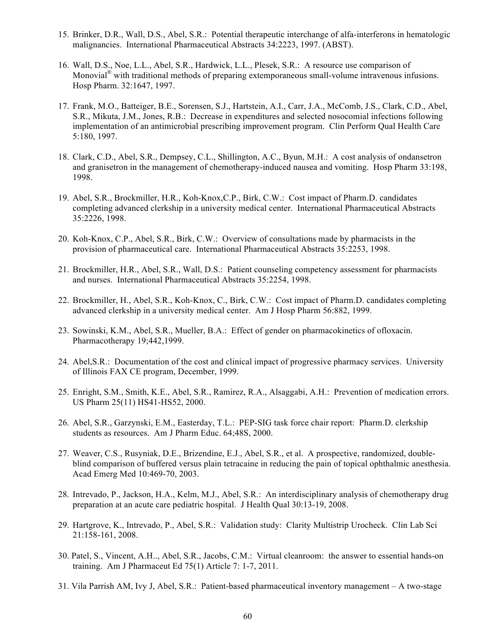- 15. Brinker, D.R., Wall, D.S., Abel, S.R.: Potential therapeutic interchange of alfa-interferons in hematologic malignancies. International Pharmaceutical Abstracts 34:2223, 1997. (ABST).
- 16. Wall, D.S., Noe, L.L., Abel, S.R., Hardwick, L.L., Plesek, S.R.: A resource use comparison of Monovial<sup>®</sup> with traditional methods of preparing extemporaneous small-volume intravenous infusions. Hosp Pharm. 32:1647, 1997.
- 17. Frank, M.O., Batteiger, B.E., Sorensen, S.J., Hartstein, A.I., Carr, J.A., McComb, J.S., Clark, C.D., Abel, S.R., Mikuta, J.M., Jones, R.B.: Decrease in expenditures and selected nosocomial infections following implementation of an antimicrobial prescribing improvement program. Clin Perform Qual Health Care 5:180, 1997.
- 18. Clark, C.D., Abel, S.R., Dempsey, C.L., Shillington, A.C., Byun, M.H.: A cost analysis of ondansetron and granisetron in the management of chemotherapy-induced nausea and vomiting. Hosp Pharm 33:198, 1998.
- 19. Abel, S.R., Brockmiller, H.R., Koh-Knox,C.P., Birk, C.W.: Cost impact of Pharm.D. candidates completing advanced clerkship in a university medical center. International Pharmaceutical Abstracts 35:2226, 1998.
- 20. Koh-Knox, C.P., Abel, S.R., Birk, C.W.: Overview of consultations made by pharmacists in the provision of pharmaceutical care. International Pharmaceutical Abstracts 35:2253, 1998.
- 21. Brockmiller, H.R., Abel, S.R., Wall, D.S.: Patient counseling competency assessment for pharmacists and nurses. International Pharmaceutical Abstracts 35:2254, 1998.
- 22. Brockmiller, H., Abel, S.R., Koh-Knox, C., Birk, C.W.: Cost impact of Pharm.D. candidates completing advanced clerkship in a university medical center. Am J Hosp Pharm 56:882, 1999.
- 23. Sowinski, K.M., Abel, S.R., Mueller, B.A.: Effect of gender on pharmacokinetics of ofloxacin. Pharmacotherapy 19;442,1999.
- 24. Abel,S.R.: Documentation of the cost and clinical impact of progressive pharmacy services. University of Illinois FAX CE program, December, 1999.
- 25. Enright, S.M., Smith, K.E., Abel, S.R., Ramirez, R.A., Alsaggabi, A.H.: Prevention of medication errors. US Pharm 25(11) HS41-HS52, 2000.
- 26. Abel, S.R., Garzynski, E.M., Easterday, T.L.: PEP-SIG task force chair report: Pharm.D. clerkship students as resources. Am J Pharm Educ. 64;48S, 2000.
- 27. Weaver, C.S., Rusyniak, D.E., Brizendine, E.J., Abel, S.R., et al. A prospective, randomized, doubleblind comparison of buffered versus plain tetracaine in reducing the pain of topical ophthalmic anesthesia. Acad Emerg Med 10:469-70, 2003.
- 28. Intrevado, P., Jackson, H.A., Kelm, M.J., Abel, S.R.: An interdisciplinary analysis of chemotherapy drug preparation at an acute care pediatric hospital. J Health Qual 30:13-19, 2008.
- 29. Hartgrove, K., Intrevado, P., Abel, S.R.: Validation study: Clarity Multistrip Urocheck. Clin Lab Sci 21:158-161, 2008.
- 30. Patel, S., Vincent, A.H.., Abel, S.R., Jacobs, C.M.: Virtual cleanroom: the answer to essential hands-on training. Am J Pharmaceut Ed 75(1) Article 7: 1-7, 2011.
- 31. Vila Parrish AM, Ivy J, Abel, S.R.: Patient-based pharmaceutical inventory management A two-stage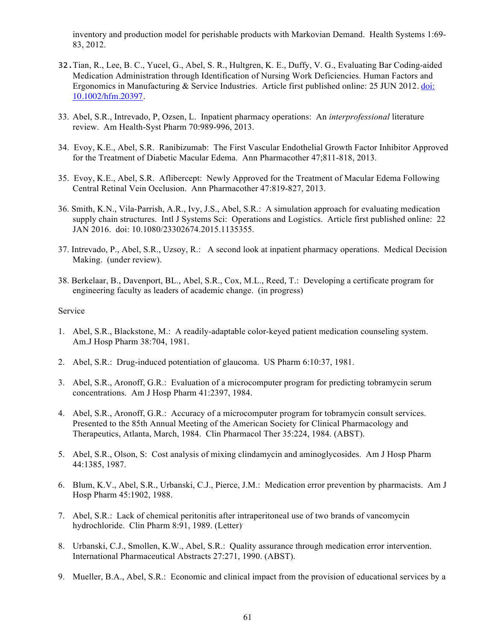inventory and production model for perishable products with Markovian Demand. Health Systems 1:69- 83, 2012.

- 32.Tian, R., Lee, B. C., Yucel, G., Abel, S. R., Hultgren, K. E., Duffy, V. G., Evaluating Bar Coding-aided Medication Administration through Identification of Nursing Work Deficiencies. Human Factors and Ergonomics in Manufacturing & Service Industries. Article first published online: 25 JUN 2012. doi: 10.1002/hfm.20397.
- 33. Abel, S.R., Intrevado, P, Ozsen, L. Inpatient pharmacy operations: An *interprofessional* literature review. Am Health-Syst Pharm 70:989-996, 2013.
- 34. Evoy, K.E., Abel, S.R. Ranibizumab: The First Vascular Endothelial Growth Factor Inhibitor Approved for the Treatment of Diabetic Macular Edema. Ann Pharmacother 47;811-818, 2013.
- 35. Evoy, K.E., Abel, S.R. Aflibercept: Newly Approved for the Treatment of Macular Edema Following Central Retinal Vein Occlusion. Ann Pharmacother 47:819-827, 2013.
- 36. Smith, K.N., Vila-Parrish, A.R., Ivy, J.S., Abel, S.R.: A simulation approach for evaluating medication supply chain structures. Intl J Systems Sci: Operations and Logistics. Article first published online: 22 JAN 2016. doi: 10.1080/23302674.2015.1135355.
- 37. Intrevado, P., Abel, S.R., Uzsoy, R.: A second look at inpatient pharmacy operations. Medical Decision Making. (under review).
- 38. Berkelaar, B., Davenport, BL., Abel, S.R., Cox, M.L., Reed, T.: Developing a certificate program for engineering faculty as leaders of academic change. (in progress)

#### Service

- 1. Abel, S.R., Blackstone, M.: A readily-adaptable color-keyed patient medication counseling system. Am.J Hosp Pharm 38:704, 1981.
- 2. Abel, S.R.: Drug-induced potentiation of glaucoma. US Pharm 6:10:37, 1981.
- 3. Abel, S.R., Aronoff, G.R.: Evaluation of a microcomputer program for predicting tobramycin serum concentrations. Am J Hosp Pharm 41:2397, 1984.
- 4. Abel, S.R., Aronoff, G.R.: Accuracy of a microcomputer program for tobramycin consult services. Presented to the 85th Annual Meeting of the American Society for Clinical Pharmacology and Therapeutics, Atlanta, March, 1984. Clin Pharmacol Ther 35:224, 1984. (ABST).
- 5. Abel, S.R., Olson, S: Cost analysis of mixing clindamycin and aminoglycosides. Am J Hosp Pharm 44:1385, 1987.
- 6. Blum, K.V., Abel, S.R., Urbanski, C.J., Pierce, J.M.: Medication error prevention by pharmacists. Am J Hosp Pharm 45:1902, 1988.
- 7. Abel, S.R.: Lack of chemical peritonitis after intraperitoneal use of two brands of vancomycin hydrochloride. Clin Pharm 8:91, 1989. (Letter).
- 8. Urbanski, C.J., Smollen, K.W., Abel, S.R.: Quality assurance through medication error intervention. International Pharmaceutical Abstracts 27:271, 1990. (ABST).
- 9. Mueller, B.A., Abel, S.R.: Economic and clinical impact from the provision of educational services by a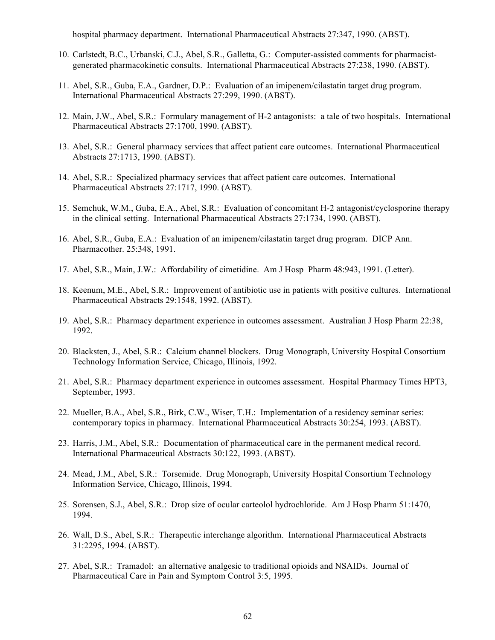hospital pharmacy department. International Pharmaceutical Abstracts 27:347, 1990. (ABST).

- 10. Carlstedt, B.C., Urbanski, C.J., Abel, S.R., Galletta, G.: Computer-assisted comments for pharmacistgenerated pharmacokinetic consults. International Pharmaceutical Abstracts 27:238, 1990. (ABST).
- 11. Abel, S.R., Guba, E.A., Gardner, D.P.: Evaluation of an imipenem/cilastatin target drug program. International Pharmaceutical Abstracts 27:299, 1990. (ABST).
- 12. Main, J.W., Abel, S.R.: Formulary management of H-2 antagonists: a tale of two hospitals. International Pharmaceutical Abstracts 27:1700, 1990. (ABST).
- 13. Abel, S.R.: General pharmacy services that affect patient care outcomes. International Pharmaceutical Abstracts 27:1713, 1990. (ABST).
- 14. Abel, S.R.: Specialized pharmacy services that affect patient care outcomes. International Pharmaceutical Abstracts 27:1717, 1990. (ABST).
- 15. Semchuk, W.M., Guba, E.A., Abel, S.R.: Evaluation of concomitant H-2 antagonist/cyclosporine therapy in the clinical setting. International Pharmaceutical Abstracts 27:1734, 1990. (ABST).
- 16. Abel, S.R., Guba, E.A.: Evaluation of an imipenem/cilastatin target drug program. DICP Ann. Pharmacother. 25:348, 1991.
- 17. Abel, S.R., Main, J.W.: Affordability of cimetidine. Am J Hosp Pharm 48:943, 1991. (Letter).
- 18. Keenum, M.E., Abel, S.R.: Improvement of antibiotic use in patients with positive cultures. International Pharmaceutical Abstracts 29:1548, 1992. (ABST).
- 19. Abel, S.R.: Pharmacy department experience in outcomes assessment. Australian J Hosp Pharm 22:38, 1992.
- 20. Blacksten, J., Abel, S.R.: Calcium channel blockers. Drug Monograph, University Hospital Consortium Technology Information Service, Chicago, Illinois, 1992.
- 21. Abel, S.R.: Pharmacy department experience in outcomes assessment. Hospital Pharmacy Times HPT3, September, 1993.
- 22. Mueller, B.A., Abel, S.R., Birk, C.W., Wiser, T.H.: Implementation of a residency seminar series: contemporary topics in pharmacy. International Pharmaceutical Abstracts 30:254, 1993. (ABST).
- 23. Harris, J.M., Abel, S.R.: Documentation of pharmaceutical care in the permanent medical record. International Pharmaceutical Abstracts 30:122, 1993. (ABST).
- 24. Mead, J.M., Abel, S.R.: Torsemide. Drug Monograph, University Hospital Consortium Technology Information Service, Chicago, Illinois, 1994.
- 25. Sorensen, S.J., Abel, S.R.: Drop size of ocular carteolol hydrochloride. Am J Hosp Pharm 51:1470, 1994.
- 26. Wall, D.S., Abel, S.R.: Therapeutic interchange algorithm. International Pharmaceutical Abstracts 31:2295, 1994. (ABST).
- 27. Abel, S.R.: Tramadol: an alternative analgesic to traditional opioids and NSAIDs. Journal of Pharmaceutical Care in Pain and Symptom Control 3:5, 1995.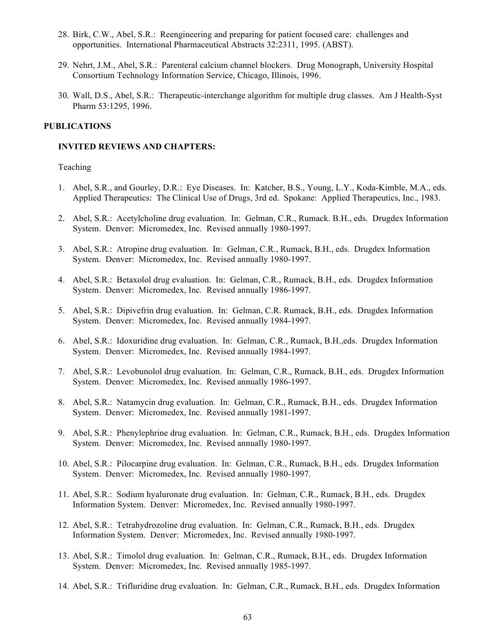- 28. Birk, C.W., Abel, S.R.: Reengineering and preparing for patient focused care: challenges and opportunities. International Pharmaceutical Abstracts 32:2311, 1995. (ABST).
- 29. Nehrt, J.M., Abel, S.R.: Parenteral calcium channel blockers. Drug Monograph, University Hospital Consortium Technology Information Service, Chicago, Illinois, 1996.
- 30. Wall, D.S., Abel, S.R.: Therapeutic-interchange algorithm for multiple drug classes. Am J Health-Syst Pharm 53:1295, 1996.

#### **PUBLICATIONS**

#### **INVITED REVIEWS AND CHAPTERS:**

#### Teaching

- 1. Abel, S.R., and Gourley, D.R.: Eye Diseases. In: Katcher, B.S., Young, L.Y., Koda-Kimble, M.A., eds. Applied Therapeutics: The Clinical Use of Drugs, 3rd ed. Spokane: Applied Therapeutics, Inc., 1983.
- 2. Abel, S.R.: Acetylcholine drug evaluation. In: Gelman, C.R., Rumack. B.H., eds. Drugdex Information System. Denver: Micromedex, Inc. Revised annually 1980-1997.
- 3. Abel, S.R.: Atropine drug evaluation. In: Gelman, C.R., Rumack, B.H., eds. Drugdex Information System. Denver: Micromedex, Inc. Revised annually 1980-1997.
- 4. Abel, S.R.: Betaxolol drug evaluation. In: Gelman, C.R., Rumack, B.H., eds. Drugdex Information System. Denver: Micromedex, Inc. Revised annually 1986-1997.
- 5. Abel, S.R.: Dipivefrin drug evaluation. In: Gelman, C.R. Rumack, B.H., eds. Drugdex Information System. Denver: Micromedex, Inc. Revised annually 1984-1997.
- 6. Abel, S.R.: Idoxuridine drug evaluation. In: Gelman, C.R., Rumack, B.H.,eds. Drugdex Information System. Denver: Micromedex, Inc. Revised annually 1984-1997.
- 7. Abel, S.R.: Levobunolol drug evaluation. In: Gelman, C.R., Rumack, B.H., eds. Drugdex Information System. Denver: Micromedex, Inc. Revised annually 1986-1997.
- 8. Abel, S.R.: Natamycin drug evaluation. In: Gelman, C.R., Rumack, B.H., eds. Drugdex Information System. Denver: Micromedex, Inc. Revised annually 1981-1997.
- 9. Abel, S.R.: Phenylephrine drug evaluation. In: Gelman, C.R., Rumack, B.H., eds. Drugdex Information System. Denver: Micromedex, Inc. Revised annually 1980-1997.
- 10. Abel, S.R.: Pilocarpine drug evaluation. In: Gelman, C.R., Rumack, B.H., eds. Drugdex Information System. Denver: Micromedex, Inc. Revised annually 1980-1997.
- 11. Abel, S.R.: Sodium hyaluronate drug evaluation. In: Gelman, C.R., Rumack, B.H., eds. Drugdex Information System. Denver: Micromedex, Inc. Revised annually 1980-1997.
- 12. Abel, S.R.: Tetrahydrozoline drug evaluation. In: Gelman, C.R., Rumack, B.H., eds. Drugdex Information System. Denver: Micromedex, Inc. Revised annually 1980-1997.
- 13. Abel, S.R.: Timolol drug evaluation. In: Gelman, C.R., Rumack, B.H., eds. Drugdex Information System. Denver: Micromedex, Inc. Revised annually 1985-1997.
- 14. Abel, S.R.: Trifluridine drug evaluation. In: Gelman, C.R., Rumack, B.H., eds. Drugdex Information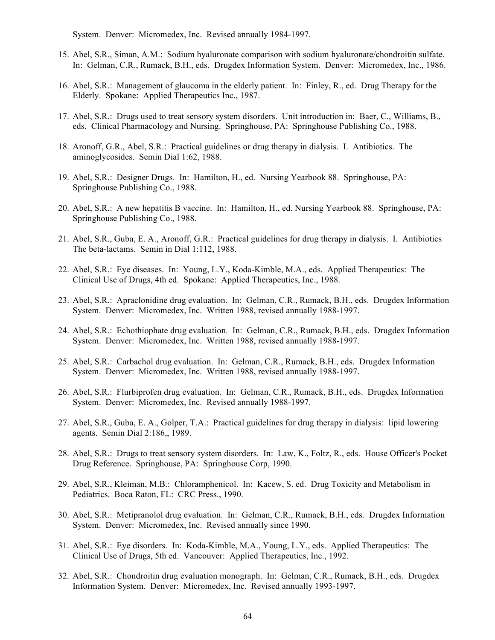System. Denver: Micromedex, Inc. Revised annually 1984-1997.

- 15. Abel, S.R., Siman, A.M.: Sodium hyaluronate comparison with sodium hyaluronate/chondroitin sulfate. In: Gelman, C.R., Rumack, B.H., eds. Drugdex Information System. Denver: Micromedex, Inc., 1986.
- 16. Abel, S.R.: Management of glaucoma in the elderly patient. In: Finley, R., ed. Drug Therapy for the Elderly. Spokane: Applied Therapeutics Inc., 1987.
- 17. Abel, S.R.: Drugs used to treat sensory system disorders. Unit introduction in: Baer, C., Williams, B., eds. Clinical Pharmacology and Nursing. Springhouse, PA: Springhouse Publishing Co., 1988.
- 18. Aronoff, G.R., Abel, S.R.: Practical guidelines or drug therapy in dialysis. I. Antibiotics. The aminoglycosides. Semin Dial 1:62, 1988.
- 19. Abel, S.R.: Designer Drugs. In: Hamilton, H., ed. Nursing Yearbook 88. Springhouse, PA: Springhouse Publishing Co., 1988.
- 20. Abel, S.R.: A new hepatitis B vaccine. In: Hamilton, H., ed. Nursing Yearbook 88. Springhouse, PA: Springhouse Publishing Co., 1988.
- 21. Abel, S.R., Guba, E. A., Aronoff, G.R.: Practical guidelines for drug therapy in dialysis. I. Antibiotics The beta-lactams. Semin in Dial 1:112, 1988.
- 22. Abel, S.R.: Eye diseases. In: Young, L.Y., Koda-Kimble, M.A., eds. Applied Therapeutics: The Clinical Use of Drugs, 4th ed. Spokane: Applied Therapeutics, Inc., 1988.
- 23. Abel, S.R.: Apraclonidine drug evaluation. In: Gelman, C.R., Rumack, B.H., eds. Drugdex Information System. Denver: Micromedex, Inc. Written 1988, revised annually 1988-1997.
- 24. Abel, S.R.: Echothiophate drug evaluation. In: Gelman, C.R., Rumack, B.H., eds. Drugdex Information System. Denver: Micromedex, Inc. Written 1988, revised annually 1988-1997.
- 25. Abel, S.R.: Carbachol drug evaluation. In: Gelman, C.R., Rumack, B.H., eds. Drugdex Information System. Denver: Micromedex, Inc. Written 1988, revised annually 1988-1997.
- 26. Abel, S.R.: Flurbiprofen drug evaluation. In: Gelman, C.R., Rumack, B.H., eds. Drugdex Information System. Denver: Micromedex, Inc. Revised annually 1988-1997.
- 27. Abel, S.R., Guba, E. A., Golper, T.A.: Practical guidelines for drug therapy in dialysis: lipid lowering agents. Semin Dial 2:186,, 1989.
- 28. Abel, S.R.: Drugs to treat sensory system disorders. In: Law, K., Foltz, R., eds. House Officer's Pocket Drug Reference. Springhouse, PA: Springhouse Corp, 1990.
- 29. Abel, S.R., Kleiman, M.B.: Chloramphenicol. In: Kacew, S. ed. Drug Toxicity and Metabolism in Pediatrics. Boca Raton, FL: CRC Press., 1990.
- 30. Abel, S.R.: Metipranolol drug evaluation. In: Gelman, C.R., Rumack, B.H., eds. Drugdex Information System. Denver: Micromedex, Inc. Revised annually since 1990.
- 31. Abel, S.R.: Eye disorders. In: Koda-Kimble, M.A., Young, L.Y., eds. Applied Therapeutics: The Clinical Use of Drugs, 5th ed. Vancouver: Applied Therapeutics, Inc., 1992.
- 32. Abel, S.R.: Chondroitin drug evaluation monograph. In: Gelman, C.R., Rumack, B.H., eds. Drugdex Information System. Denver: Micromedex, Inc. Revised annually 1993-1997.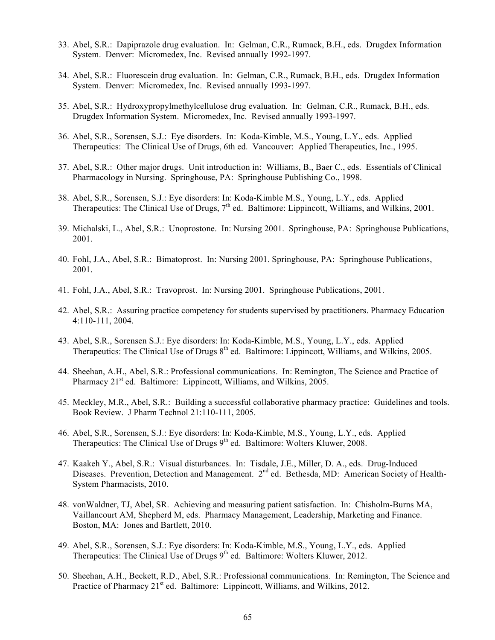- 33. Abel, S.R.: Dapiprazole drug evaluation. In: Gelman, C.R., Rumack, B.H., eds. Drugdex Information System. Denver: Micromedex, Inc. Revised annually 1992-1997.
- 34. Abel, S.R.: Fluorescein drug evaluation. In: Gelman, C.R., Rumack, B.H., eds. Drugdex Information System. Denver: Micromedex, Inc. Revised annually 1993-1997.
- 35. Abel, S.R.: Hydroxypropylmethylcellulose drug evaluation. In: Gelman, C.R., Rumack, B.H., eds. Drugdex Information System. Micromedex, Inc. Revised annually 1993-1997.
- 36. Abel, S.R., Sorensen, S.J.: Eye disorders. In: Koda-Kimble, M.S., Young, L.Y., eds. Applied Therapeutics: The Clinical Use of Drugs, 6th ed. Vancouver: Applied Therapeutics, Inc., 1995.
- 37. Abel, S.R.: Other major drugs. Unit introduction in: Williams, B., Baer C., eds. Essentials of Clinical Pharmacology in Nursing. Springhouse, PA: Springhouse Publishing Co., 1998.
- 38. Abel, S.R., Sorensen, S.J.: Eye disorders: In: Koda-Kimble M.S., Young, L.Y., eds. Applied Therapeutics: The Clinical Use of Drugs, 7<sup>th</sup> ed. Baltimore: Lippincott, Williams, and Wilkins, 2001.
- 39. Michalski, L., Abel, S.R.: Unoprostone. In: Nursing 2001. Springhouse, PA: Springhouse Publications, 2001.
- 40. Fohl, J.A., Abel, S.R.: Bimatoprost. In: Nursing 2001. Springhouse, PA: Springhouse Publications, 2001.
- 41. Fohl, J.A., Abel, S.R.: Travoprost. In: Nursing 2001. Springhouse Publications, 2001.
- 42. Abel, S.R.: Assuring practice competency for students supervised by practitioners. Pharmacy Education 4:110-111, 2004.
- 43. Abel, S.R., Sorensen S.J.: Eye disorders: In: Koda-Kimble, M.S., Young, L.Y., eds. Applied Therapeutics: The Clinical Use of Drugs  $8<sup>th</sup>$  ed. Baltimore: Lippincott, Williams, and Wilkins, 2005.
- 44. Sheehan, A.H., Abel, S.R.: Professional communications. In: Remington, The Science and Practice of Pharmacy  $21<sup>st</sup>$  ed. Baltimore: Lippincott, Williams, and Wilkins, 2005.
- 45. Meckley, M.R., Abel, S.R.: Building a successful collaborative pharmacy practice: Guidelines and tools. Book Review. J Pharm Technol 21:110-111, 2005.
- 46. Abel, S.R., Sorensen, S.J.: Eye disorders: In: Koda-Kimble, M.S., Young, L.Y., eds. Applied Therapeutics: The Clinical Use of Drugs 9<sup>th</sup> ed. Baltimore: Wolters Kluwer, 2008.
- 47. Kaakeh Y., Abel, S.R.: Visual disturbances. In: Tisdale, J.E., Miller, D. A., eds. Drug-Induced Diseases. Prevention, Detection and Management. 2<sup>nd</sup> ed. Bethesda, MD: American Society of Health-System Pharmacists, 2010.
- 48. vonWaldner, TJ, Abel, SR. Achieving and measuring patient satisfaction. In: Chisholm-Burns MA, Vaillancourt AM, Shepherd M, eds. Pharmacy Management, Leadership, Marketing and Finance. Boston, MA: Jones and Bartlett, 2010.
- 49. Abel, S.R., Sorensen, S.J.: Eye disorders: In: Koda-Kimble, M.S., Young, L.Y., eds. Applied Therapeutics: The Clinical Use of Drugs  $9<sup>th</sup>$  ed. Baltimore: Wolters Kluwer, 2012.
- 50. Sheehan, A.H., Beckett, R.D., Abel, S.R.: Professional communications. In: Remington, The Science and Practice of Pharmacy  $21<sup>st</sup>$  ed. Baltimore: Lippincott, Williams, and Wilkins, 2012.